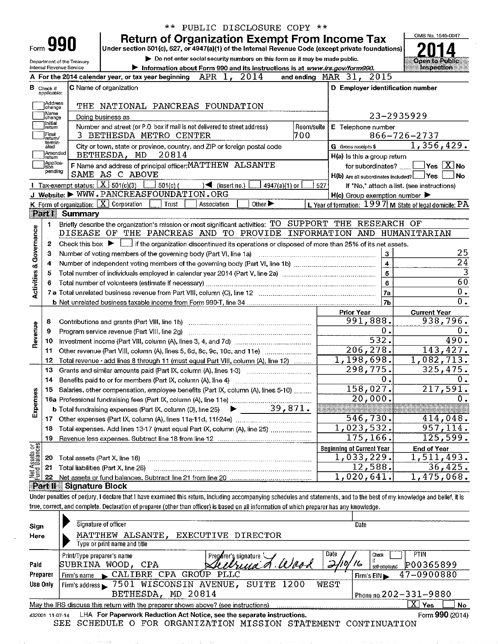|  | ** PUBLIC DISCLOSURE COPY ** |  |
|--|------------------------------|--|
|--|------------------------------|--|

Form 990

Department of the Treasury

**Return of Organization Exempt From Income Tax** 

Under section 501(c), 527, or 4947(a)(1) of the Internal Revenue Code (except private foundations)

> Do not enter social security numbers on this form as it may be made public.



|                                    | Internal Revenue Service         | <b>Demonstration about Form 990 and its instructions is at www.irs.gov/form990.</b>                                                                                        |                                                                       | <b>Inspection</b>                                                    |
|------------------------------------|----------------------------------|----------------------------------------------------------------------------------------------------------------------------------------------------------------------------|-----------------------------------------------------------------------|----------------------------------------------------------------------|
|                                    |                                  | 2014<br>APR 1,<br>A For the 2014 calendar year, or tax year beginning                                                                                                      | and ending $\n  MAR\n  31$<br>2015                                    |                                                                      |
|                                    | <b>B</b> Check if<br>applicable: | C Name of organization                                                                                                                                                     | D Employer identification number                                      |                                                                      |
|                                    | Address<br>change                | THE NATIONAL PANCREAS FOUNDATION                                                                                                                                           |                                                                       |                                                                      |
|                                    | Name<br>change                   | Doing business as                                                                                                                                                          |                                                                       | 23-2935929                                                           |
|                                    | Initial<br>retum                 | Number and street (or P.O. box if mail is not delivered to street address)<br>Room/suite                                                                                   | E Telephone number                                                    |                                                                      |
|                                    | Final<br>return/                 | 700<br>З.<br>BETHESDA METRO CENTER                                                                                                                                         |                                                                       | 866-726-2737                                                         |
|                                    | termin-<br>ated                  | City or town, state or province, country, and ZIP or foreign postal code                                                                                                   | G Gross receipts \$                                                   | 1,356,429.                                                           |
|                                    | Amended<br>return                | BETHESDA, MD<br>20814                                                                                                                                                      | H(a) is this a group return                                           |                                                                      |
|                                    | Apolica-<br> tion                | F Name and address of principal officer: MATTHEW ALSANTE                                                                                                                   |                                                                       | for subordinates? $\boxed{\phantom{a}}$ Yes $\boxed{\phantom{a}}$ No |
|                                    | pending                          | SAME AS C ABOVE                                                                                                                                                            | H(b) Are all subordinates included?   Yes                             | No.                                                                  |
|                                    |                                  | 1 Tax-exempt status: $X \sim 501(c)(3)$<br>$501(c)$ (<br>$\sqrt{ }$ (insert no.)<br>$4947(a)(1)$ or                                                                        | 527                                                                   | If "No," attach a list. (see instructions)                           |
|                                    |                                  | J Website: $\blacktriangleright$ WWW.PANCREASFOUNDATION.ORG                                                                                                                | $H(c)$ Group exemption number                                         |                                                                      |
|                                    |                                  | <b>K</b> Form of organization: $\boxed{\overline{X}}$ Corporation<br>Other $\blacktriangleright$<br>Trust<br>Association                                                   | L. Year of formation: $1997$ M State of legal domicile: $\mathrm{P}P$ |                                                                      |
|                                    | <b>Part I</b>                    | Summary                                                                                                                                                                    |                                                                       |                                                                      |
|                                    | 1                                | Briefly describe the organization's mission or most significant activities: TO SUPPORT THE RESEARCH OF                                                                     |                                                                       |                                                                      |
| <b>Activities &amp; Governance</b> |                                  | DISEASE OF THE PANCREAS AND TO PROVIDE INFORMATION AND HUMANITARIAN                                                                                                        |                                                                       |                                                                      |
|                                    | 2                                | Check this box $\blacktriangleright$ $\Box$ if the organization discontinued its operations or disposed of more than 25% of its net assets.                                |                                                                       |                                                                      |
|                                    | з                                | Number of voting members of the governing body (Part VI, line 1a)                                                                                                          | $\mathbf{3}$                                                          | 25                                                                   |
|                                    | 4                                | Number of independent voting members of the governing body (Part VI, line 1b) manufacture content to the Number                                                            | $\ddot{\bf{4}}$                                                       | $\overline{24}$                                                      |
|                                    | 5                                |                                                                                                                                                                            | 5                                                                     |                                                                      |
|                                    | 6                                |                                                                                                                                                                            | 6                                                                     | 60                                                                   |
|                                    |                                  |                                                                                                                                                                            | 7a                                                                    | 0.                                                                   |
|                                    |                                  |                                                                                                                                                                            | 7 <sub>b</sub>                                                        | 0.                                                                   |
|                                    |                                  |                                                                                                                                                                            | <b>Prior Year</b>                                                     | <b>Current Year</b>                                                  |
|                                    | 8                                |                                                                                                                                                                            | 991,888.                                                              | 938,796.                                                             |
| Revenue                            | 9                                |                                                                                                                                                                            | 0.                                                                    | 0.                                                                   |
|                                    | 10                               |                                                                                                                                                                            | 532.                                                                  | 490.                                                                 |
|                                    | -11                              | Other revenue (Part VIII, column (A), lines 5, 6d, 8c, 9c, 10c, and 11e)                                                                                                   | $\overline{206, 278}$ .                                               | 143,427.                                                             |
|                                    | 12                               | Total revenue - add lines 8 through 11 (must equal Part VIII, column (A), line 12)                                                                                         | $\overline{1,198,698}$ .                                              | $\overline{1,}082,713.$                                              |
|                                    | 13                               | Grants and similar amounts paid (Part IX, column (A), lines 1-3)                                                                                                           | 298,775.                                                              | 325,475.                                                             |
|                                    | 14                               |                                                                                                                                                                            | 0.                                                                    | 0.                                                                   |
|                                    | 15                               | Salaries, other compensation, employee benefits (Part IX, column (A), lines 5-10)                                                                                          | 158,027.                                                              | 217,591.                                                             |
| Expenses                           |                                  |                                                                                                                                                                            | 20,000.                                                               | 0.                                                                   |
|                                    |                                  | 39,871.<br><b>b</b> Total fundraising expenses (Part IX, column (D), line 25) $\blacktriangleright$                                                                        |                                                                       |                                                                      |
|                                    |                                  |                                                                                                                                                                            | 546,730.                                                              | 414,048.                                                             |
|                                    | 18                               | Total expenses. Add lines 13-17 (must equal Part IX, column (A), line 25)                                                                                                  | 1,023,532.                                                            | 957,114.                                                             |
|                                    | 19                               |                                                                                                                                                                            | 175,166.                                                              | 125,599.                                                             |
|                                    |                                  |                                                                                                                                                                            | <b>Beginning of Current Year</b>                                      | <b>End of Year</b>                                                   |
| Net Assets or                      | 20                               | Total assets (Part X, line 16)                                                                                                                                             | $\overline{1,033}, 229.$                                              | $\overline{1,511,493}$ .                                             |
|                                    | 21                               | Total liabilities (Part X, line 26)                                                                                                                                        | 12,588.                                                               | 36,425.                                                              |
|                                    | 22                               |                                                                                                                                                                            | 1,020,641.                                                            | 1,475,068                                                            |
|                                    | Part II                          | <b>Signature Block</b>                                                                                                                                                     |                                                                       |                                                                      |
|                                    |                                  | Under penalties of perjury, I declare that I have examined this return, including accompanying schedules and statements, and to the best of my knowledge and belief, it is |                                                                       |                                                                      |
|                                    |                                  | true, correct, and complete. Declaration of preparer (other than officer) is based on all information of which preparer has any knowledge.                                 |                                                                       |                                                                      |
|                                    |                                  |                                                                                                                                                                            |                                                                       |                                                                      |
|                                    |                                  | Signature of officer                                                                                                                                                       | Date                                                                  |                                                                      |
| Sign                               |                                  | MATTHEW ALSANTE, EXECUTIVE DIRECTOR                                                                                                                                        |                                                                       |                                                                      |
| Here                               |                                  | Type or print name and title                                                                                                                                               |                                                                       |                                                                      |
|                                    |                                  |                                                                                                                                                                            | Check                                                                 | PTIN                                                                 |
| Daid                               |                                  | Print/Type preparer's name<br>Preparer's signature of the line of<br>ח∩ה גזודםםווי<br>CDX                                                                                  | Date<br>〜<br>Ħ                                                        | maascrooo                                                            |

raid <u>xaivuus</u> self-employed 1. UU 30 30 Y Preparer Firm's name CALIBRE CPA GROUP PLLC 47-0900880 Firm's EIN Firm's address > 7501 WISCONSIN AVENUE, SUITE 1200 **WEST** Use Only BETHESDA, MD 20814 Phone no.202-331-9880  $\overline{\mathrm{X}}$  Yes May the IRS discuss this return with the preparer shown above? (see instructions)  $\Box$  No LHA For Paperwork Reduction Act Notice, see the separate instructions. Form 990 (2014) 432001 11-07-14

SEE SCHEDULE O FOR ORGANIZATION MISSION STATEMENT CONTINUATION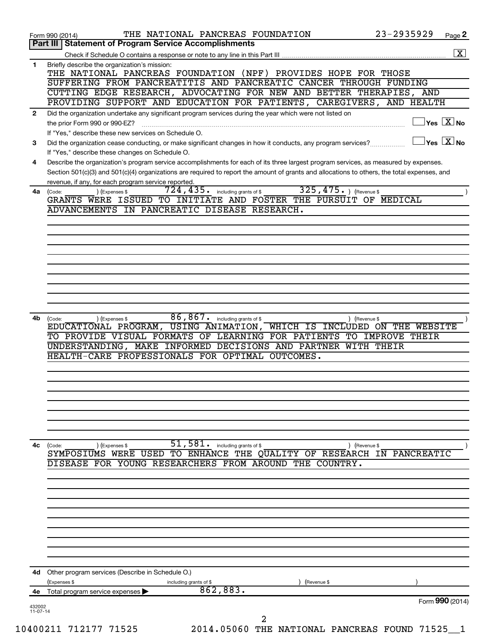| $\overline{\mathbf{X}}$<br>Briefly describe the organization's mission:<br>1<br>THE NATIONAL PANCREAS FOUNDATION (NPF) PROVIDES HOPE FOR THOSE<br>SUFFERING FROM PANCREATITIS AND PANCREATIC CANCER THROUGH FUNDING<br>CUTTING EDGE RESEARCH, ADVOCATING FOR NEW AND BETTER THERAPIES, AND<br>PROVIDING SUPPORT AND EDUCATION FOR PATIENTS, CAREGIVERS, AND HEALTH<br>Did the organization undertake any significant program services during the year which were not listed on<br>$\mathbf{2}$<br>$\vert$ Yes $\boxed{\text{X}}$ No<br>the prior Form 990 or 990-EZ?<br>If "Yes," describe these new services on Schedule O.<br>$\sqrt{\mathsf{Yes}\mathord{\;\mathbb{X}}\mathord{\;\mathsf{No}}}$<br>Did the organization cease conducting, or make significant changes in how it conducts, any program services?<br>3<br>If "Yes," describe these changes on Schedule O.<br>Describe the organization's program service accomplishments for each of its three largest program services, as measured by expenses.<br>4<br>Section 501(c)(3) and 501(c)(4) organizations are required to report the amount of grants and allocations to others, the total expenses, and<br>revenue, if any, for each program service reported.<br>325, 475. ) (Revenue \$<br>724, 435.<br>including grants of \$<br>4a<br>(Code:<br>(Expenses \$<br>GRANTS WERE ISSUED TO INITIATE AND FOSTER THE PURSUIT OF MEDICAL<br>ADVANCEMENTS IN PANCREATIC DISEASE RESEARCH.<br>86,867.<br>including grants of \$<br>4b<br>(Code:<br>(Expenses \$<br>) (Revenue \$<br>EDUCATIONAL PROGRAM, USING ANIMATION, WHICH IS INCLUDED ON THE WEBSITE<br>TO PROVIDE VISUAL FORMATS OF LEARNING FOR PATIENTS TO IMPROVE THEIR<br>UNDERSTANDING, MAKE INFORMED DECISIONS AND PARTNER WITH THEIR<br>HEALTH-CARE PROFESSIONALS FOR OPTIMAL OUTCOMES.<br>$\overline{51,581}$ including grants of \$<br>4c<br>(Code:<br>) (Expenses \$<br>) (Revenue \$<br>SYMPOSIUMS WERE USED TO ENHANCE THE QUALITY OF RESEARCH IN PANCREATIC<br>DISEASE FOR YOUNG RESEARCHERS FROM AROUND THE COUNTRY.<br>Other program services (Describe in Schedule O.)<br>4d<br>(Expenses \$<br>including grants of \$<br>(Revenue \$<br>862,883.<br>Total program service expenses<br>4е<br>Form 990 (2014)<br>432002 |  |
|---------------------------------------------------------------------------------------------------------------------------------------------------------------------------------------------------------------------------------------------------------------------------------------------------------------------------------------------------------------------------------------------------------------------------------------------------------------------------------------------------------------------------------------------------------------------------------------------------------------------------------------------------------------------------------------------------------------------------------------------------------------------------------------------------------------------------------------------------------------------------------------------------------------------------------------------------------------------------------------------------------------------------------------------------------------------------------------------------------------------------------------------------------------------------------------------------------------------------------------------------------------------------------------------------------------------------------------------------------------------------------------------------------------------------------------------------------------------------------------------------------------------------------------------------------------------------------------------------------------------------------------------------------------------------------------------------------------------------------------------------------------------------------------------------------------------------------------------------------------------------------------------------------------------------------------------------------------------------------------------------------------------------------------------------------------------------------------------------------------------------------------------------------------------------------------------------------------------------------------------------------|--|
|                                                                                                                                                                                                                                                                                                                                                                                                                                                                                                                                                                                                                                                                                                                                                                                                                                                                                                                                                                                                                                                                                                                                                                                                                                                                                                                                                                                                                                                                                                                                                                                                                                                                                                                                                                                                                                                                                                                                                                                                                                                                                                                                                                                                                                                         |  |
|                                                                                                                                                                                                                                                                                                                                                                                                                                                                                                                                                                                                                                                                                                                                                                                                                                                                                                                                                                                                                                                                                                                                                                                                                                                                                                                                                                                                                                                                                                                                                                                                                                                                                                                                                                                                                                                                                                                                                                                                                                                                                                                                                                                                                                                         |  |
|                                                                                                                                                                                                                                                                                                                                                                                                                                                                                                                                                                                                                                                                                                                                                                                                                                                                                                                                                                                                                                                                                                                                                                                                                                                                                                                                                                                                                                                                                                                                                                                                                                                                                                                                                                                                                                                                                                                                                                                                                                                                                                                                                                                                                                                         |  |
|                                                                                                                                                                                                                                                                                                                                                                                                                                                                                                                                                                                                                                                                                                                                                                                                                                                                                                                                                                                                                                                                                                                                                                                                                                                                                                                                                                                                                                                                                                                                                                                                                                                                                                                                                                                                                                                                                                                                                                                                                                                                                                                                                                                                                                                         |  |
|                                                                                                                                                                                                                                                                                                                                                                                                                                                                                                                                                                                                                                                                                                                                                                                                                                                                                                                                                                                                                                                                                                                                                                                                                                                                                                                                                                                                                                                                                                                                                                                                                                                                                                                                                                                                                                                                                                                                                                                                                                                                                                                                                                                                                                                         |  |
|                                                                                                                                                                                                                                                                                                                                                                                                                                                                                                                                                                                                                                                                                                                                                                                                                                                                                                                                                                                                                                                                                                                                                                                                                                                                                                                                                                                                                                                                                                                                                                                                                                                                                                                                                                                                                                                                                                                                                                                                                                                                                                                                                                                                                                                         |  |
|                                                                                                                                                                                                                                                                                                                                                                                                                                                                                                                                                                                                                                                                                                                                                                                                                                                                                                                                                                                                                                                                                                                                                                                                                                                                                                                                                                                                                                                                                                                                                                                                                                                                                                                                                                                                                                                                                                                                                                                                                                                                                                                                                                                                                                                         |  |
|                                                                                                                                                                                                                                                                                                                                                                                                                                                                                                                                                                                                                                                                                                                                                                                                                                                                                                                                                                                                                                                                                                                                                                                                                                                                                                                                                                                                                                                                                                                                                                                                                                                                                                                                                                                                                                                                                                                                                                                                                                                                                                                                                                                                                                                         |  |
|                                                                                                                                                                                                                                                                                                                                                                                                                                                                                                                                                                                                                                                                                                                                                                                                                                                                                                                                                                                                                                                                                                                                                                                                                                                                                                                                                                                                                                                                                                                                                                                                                                                                                                                                                                                                                                                                                                                                                                                                                                                                                                                                                                                                                                                         |  |
|                                                                                                                                                                                                                                                                                                                                                                                                                                                                                                                                                                                                                                                                                                                                                                                                                                                                                                                                                                                                                                                                                                                                                                                                                                                                                                                                                                                                                                                                                                                                                                                                                                                                                                                                                                                                                                                                                                                                                                                                                                                                                                                                                                                                                                                         |  |
|                                                                                                                                                                                                                                                                                                                                                                                                                                                                                                                                                                                                                                                                                                                                                                                                                                                                                                                                                                                                                                                                                                                                                                                                                                                                                                                                                                                                                                                                                                                                                                                                                                                                                                                                                                                                                                                                                                                                                                                                                                                                                                                                                                                                                                                         |  |
|                                                                                                                                                                                                                                                                                                                                                                                                                                                                                                                                                                                                                                                                                                                                                                                                                                                                                                                                                                                                                                                                                                                                                                                                                                                                                                                                                                                                                                                                                                                                                                                                                                                                                                                                                                                                                                                                                                                                                                                                                                                                                                                                                                                                                                                         |  |
|                                                                                                                                                                                                                                                                                                                                                                                                                                                                                                                                                                                                                                                                                                                                                                                                                                                                                                                                                                                                                                                                                                                                                                                                                                                                                                                                                                                                                                                                                                                                                                                                                                                                                                                                                                                                                                                                                                                                                                                                                                                                                                                                                                                                                                                         |  |
|                                                                                                                                                                                                                                                                                                                                                                                                                                                                                                                                                                                                                                                                                                                                                                                                                                                                                                                                                                                                                                                                                                                                                                                                                                                                                                                                                                                                                                                                                                                                                                                                                                                                                                                                                                                                                                                                                                                                                                                                                                                                                                                                                                                                                                                         |  |
| Part III   Statement of Program Service Accomplishments                                                                                                                                                                                                                                                                                                                                                                                                                                                                                                                                                                                                                                                                                                                                                                                                                                                                                                                                                                                                                                                                                                                                                                                                                                                                                                                                                                                                                                                                                                                                                                                                                                                                                                                                                                                                                                                                                                                                                                                                                                                                                                                                                                                                 |  |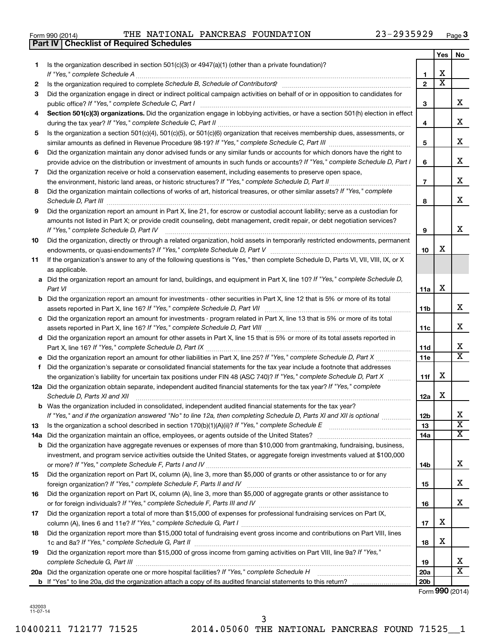| Form 990 (2014) |  |  |
|-----------------|--|--|
|                 |  |  |

**Part IV Checklist of Required Schedules**

Form 990 (2014) **PHE NATIONAL PANCREAS FOUNDATION** 23-2935929  $_{\text{Page}}$ 

|    |                                                                                                                                      |                 | <b>Yes</b>            | No                      |
|----|--------------------------------------------------------------------------------------------------------------------------------------|-----------------|-----------------------|-------------------------|
| 1. | Is the organization described in section 501(c)(3) or $4947(a)(1)$ (other than a private foundation)?                                |                 |                       |                         |
|    |                                                                                                                                      | 1               | X                     |                         |
| 2  |                                                                                                                                      | $\overline{2}$  | $\overline{\text{x}}$ |                         |
| З  | Did the organization engage in direct or indirect political campaign activities on behalf of or in opposition to candidates for      | 3               |                       | x                       |
| 4  | Section 501(c)(3) organizations. Did the organization engage in lobbying activities, or have a section 501(h) election in effect     |                 |                       |                         |
|    |                                                                                                                                      | 4               |                       | x                       |
| 5  | Is the organization a section 501(c)(4), 501(c)(5), or 501(c)(6) organization that receives membership dues, assessments, or         |                 |                       |                         |
|    |                                                                                                                                      | 5               |                       | х                       |
| 6  | Did the organization maintain any donor advised funds or any similar funds or accounts for which donors have the right to            |                 |                       |                         |
|    | provide advice on the distribution or investment of amounts in such funds or accounts? If "Yes," complete Schedule D, Part I         | 6               |                       | x                       |
| 7  | Did the organization receive or hold a conservation easement, including easements to preserve open space,                            |                 |                       |                         |
|    | the environment, historic land areas, or historic structures? If "Yes," complete Schedule D, Part II                                 | $\overline{7}$  |                       | x                       |
| 8  | Did the organization maintain collections of works of art, historical treasures, or other similar assets? If "Yes," complete         |                 |                       |                         |
|    |                                                                                                                                      | 8               |                       | x                       |
| 9  | Did the organization report an amount in Part X, line 21, for escrow or custodial account liability; serve as a custodian for        |                 |                       |                         |
|    | amounts not listed in Part X; or provide credit counseling, debt management, credit repair, or debt negotiation services?            |                 |                       |                         |
|    | If "Yes," complete Schedule D, Part IV                                                                                               | 9               |                       | x                       |
| 10 | Did the organization, directly or through a related organization, hold assets in temporarily restricted endowments, permanent        |                 |                       |                         |
|    |                                                                                                                                      | 10              | х                     |                         |
| 11 | If the organization's answer to any of the following questions is "Yes," then complete Schedule D, Parts VI, VII, VIII, IX, or X     |                 |                       |                         |
|    | as applicable.                                                                                                                       |                 |                       |                         |
|    | a Did the organization report an amount for land, buildings, and equipment in Part X, line 10? If "Yes," complete Schedule D,        |                 | х                     |                         |
|    | Part VI                                                                                                                              | 11a             |                       |                         |
|    | <b>b</b> Did the organization report an amount for investments - other securities in Part X, line 12 that is 5% or more of its total | 11b             |                       | x                       |
|    | c Did the organization report an amount for investments - program related in Part X, line 13 that is 5% or more of its total         |                 |                       |                         |
|    |                                                                                                                                      | 11c             |                       | x                       |
|    | d Did the organization report an amount for other assets in Part X, line 15 that is 5% or more of its total assets reported in       |                 |                       |                         |
|    |                                                                                                                                      | 11d             |                       | x                       |
|    | e Did the organization report an amount for other liabilities in Part X, line 25? If "Yes," complete Schedule D, Part X              | 11e             |                       | $\overline{\mathtt{x}}$ |
| f. | Did the organization's separate or consolidated financial statements for the tax year include a footnote that addresses              |                 |                       |                         |
|    | the organization's liability for uncertain tax positions under FIN 48 (ASC 740)? If "Yes," complete Schedule D, Part X               | 11f             | х                     |                         |
|    | 12a Did the organization obtain separate, independent audited financial statements for the tax year? If "Yes," complete              |                 |                       |                         |
|    | Schedule D, Parts XI and XII                                                                                                         | 12a             | х                     |                         |
|    | <b>b</b> Was the organization included in consolidated, independent audited financial statements for the tax year?                   |                 |                       |                         |
|    | If "Yes," and if the organization answered "No" to line 12a, then completing Schedule D, Parts XI and XII is optional                | 12b             |                       | Δ.                      |
| 13 |                                                                                                                                      | 13              |                       | $\overline{\text{x}}$   |
|    | 14a Did the organization maintain an office, employees, or agents outside of the United States?                                      | 14a             |                       | $\overline{\mathbf{X}}$ |
|    | <b>b</b> Did the organization have aggregate revenues or expenses of more than \$10,000 from grantmaking, fundraising, business,     |                 |                       |                         |
|    | investment, and program service activities outside the United States, or aggregate foreign investments valued at \$100,000           | 14b             |                       | x                       |
| 15 | Did the organization report on Part IX, column (A), line 3, more than \$5,000 of grants or other assistance to or for any            |                 |                       |                         |
|    |                                                                                                                                      | 15              |                       | x                       |
| 16 | Did the organization report on Part IX, column (A), line 3, more than \$5,000 of aggregate grants or other assistance to             |                 |                       |                         |
|    |                                                                                                                                      | 16              |                       | x                       |
| 17 | Did the organization report a total of more than \$15,000 of expenses for professional fundraising services on Part IX,              |                 |                       |                         |
|    |                                                                                                                                      | 17              | х                     |                         |
| 18 | Did the organization report more than \$15,000 total of fundraising event gross income and contributions on Part VIII, lines         |                 |                       |                         |
|    |                                                                                                                                      | 18              | х                     |                         |
| 19 | Did the organization report more than \$15,000 of gross income from gaming activities on Part VIII, line 9a? If "Yes,"               |                 |                       |                         |
|    |                                                                                                                                      | 19              |                       | x                       |
|    |                                                                                                                                      | 20a             |                       | $\overline{\texttt{x}}$ |
|    |                                                                                                                                      | 20 <sub>b</sub> |                       |                         |

Form (2014) **990**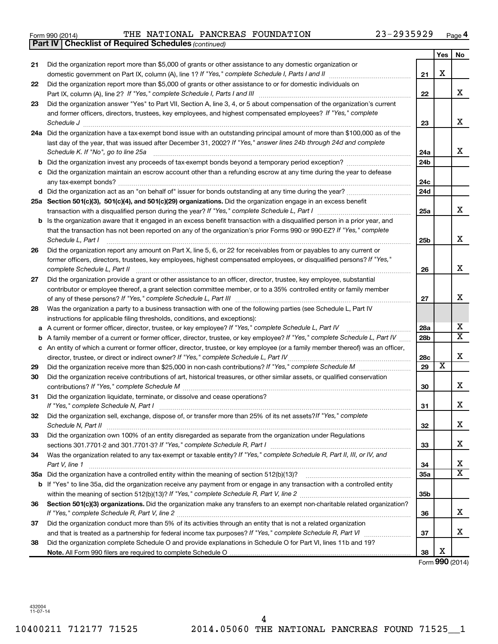| Form 990 (2014) | THE NATIONAL PANCREAS FOUNDATION |  |  | $23 - 2935929$ | Page |  |
|-----------------|----------------------------------|--|--|----------------|------|--|
|-----------------|----------------------------------|--|--|----------------|------|--|

|    | <b>Part IV   Checklist of Required Schedules (continued)</b>                                                                      |                 |                         |                         |
|----|-----------------------------------------------------------------------------------------------------------------------------------|-----------------|-------------------------|-------------------------|
|    |                                                                                                                                   |                 | Yes                     | No                      |
| 21 | Did the organization report more than \$5,000 of grants or other assistance to any domestic organization or                       |                 |                         |                         |
|    |                                                                                                                                   | 21              | X                       |                         |
| 22 | Did the organization report more than \$5,000 of grants or other assistance to or for domestic individuals on                     |                 |                         |                         |
|    |                                                                                                                                   | 22              |                         | x                       |
| 23 | Did the organization answer "Yes" to Part VII, Section A, line 3, 4, or 5 about compensation of the organization's current        |                 |                         |                         |
|    | and former officers, directors, trustees, key employees, and highest compensated employees? If "Yes," complete                    |                 |                         |                         |
|    | Schedule J <b>Execute Schedule J Execute Schedule J</b>                                                                           | 23              |                         | x                       |
|    | 24a Did the organization have a tax-exempt bond issue with an outstanding principal amount of more than \$100,000 as of the       |                 |                         |                         |
|    | last day of the year, that was issued after December 31, 2002? If "Yes," answer lines 24b through 24d and complete                |                 |                         |                         |
|    | Schedule K. If "No", go to line 25a                                                                                               | 24a             |                         | x                       |
|    |                                                                                                                                   | 24 <sub>b</sub> |                         |                         |
|    | Did the organization maintain an escrow account other than a refunding escrow at any time during the year to defease              |                 |                         |                         |
|    |                                                                                                                                   | 24c             |                         |                         |
|    |                                                                                                                                   | 24 <sub>d</sub> |                         |                         |
|    | 25a Section 501(c)(3), 501(c)(4), and 501(c)(29) organizations. Did the organization engage in an excess benefit                  |                 |                         |                         |
|    |                                                                                                                                   | 25a             |                         | х                       |
|    | Is the organization aware that it engaged in an excess benefit transaction with a disqualified person in a prior year, and        |                 |                         |                         |
|    | that the transaction has not been reported on any of the organization's prior Forms 990 or 990-EZ? If "Yes," complete             |                 |                         |                         |
|    | Schedule L, Part I                                                                                                                | 25b             |                         | x                       |
| 26 | Did the organization report any amount on Part X, line 5, 6, or 22 for receivables from or payables to any current or             |                 |                         |                         |
|    | former officers, directors, trustees, key employees, highest compensated employees, or disqualified persons? If "Yes,"            |                 |                         |                         |
|    | complete Schedule L, Part II                                                                                                      | 26              |                         | x                       |
| 27 | Did the organization provide a grant or other assistance to an officer, director, trustee, key employee, substantial              |                 |                         |                         |
|    | contributor or employee thereof, a grant selection committee member, or to a 35% controlled entity or family member               |                 |                         |                         |
|    |                                                                                                                                   | 27              |                         | х                       |
| 28 | Was the organization a party to a business transaction with one of the following parties (see Schedule L, Part IV                 |                 |                         |                         |
|    | instructions for applicable filing thresholds, conditions, and exceptions):                                                       |                 |                         |                         |
| а  | A current or former officer, director, trustee, or key employee? If "Yes," complete Schedule L, Part IV                           | 28a             |                         | x                       |
| b  | A family member of a current or former officer, director, trustee, or key employee? If "Yes," complete Schedule L, Part IV        | 28 <sub>b</sub> |                         | $\overline{\mathtt{x}}$ |
|    | c An entity of which a current or former officer, director, trustee, or key employee (or a family member thereof) was an officer, |                 |                         |                         |
|    | director, trustee, or direct or indirect owner? If "Yes," complete Schedule L, Part IV                                            | 28c             |                         | х                       |
| 29 |                                                                                                                                   | 29              | $\overline{\texttt{x}}$ |                         |
| 30 | Did the organization receive contributions of art, historical treasures, or other similar assets, or qualified conservation       |                 |                         |                         |
|    |                                                                                                                                   | 30              |                         | х                       |
| 31 | Did the organization liquidate, terminate, or dissolve and cease operations?                                                      |                 |                         |                         |
|    | If "Yes," complete Schedule N, Part I                                                                                             | 31              |                         | ▵                       |
| 32 | Did the organization sell, exchange, dispose of, or transfer more than 25% of its net assets? If "Yes," complete                  |                 |                         |                         |
|    | Schedule N, Part II                                                                                                               | 32              |                         | x                       |
| 33 | Did the organization own 100% of an entity disregarded as separate from the organization under Regulations                        |                 |                         |                         |
|    |                                                                                                                                   | 33              |                         | x                       |
| 34 | Was the organization related to any tax-exempt or taxable entity? If "Yes," complete Schedule R, Part II, III, or IV, and         |                 |                         |                         |
|    | Part V, line 1                                                                                                                    | 34              |                         | х                       |
|    |                                                                                                                                   | 35a             |                         | $\overline{\texttt{x}}$ |
|    | b If "Yes" to line 35a, did the organization receive any payment from or engage in any transaction with a controlled entity       |                 |                         |                         |
|    |                                                                                                                                   | 35 <sub>b</sub> |                         |                         |
| 36 | Section 501(c)(3) organizations. Did the organization make any transfers to an exempt non-charitable related organization?        |                 |                         |                         |
|    |                                                                                                                                   | 36              |                         | x                       |
| 37 | Did the organization conduct more than 5% of its activities through an entity that is not a related organization                  |                 |                         |                         |
|    |                                                                                                                                   | 37              |                         | x                       |
| 38 | Did the organization complete Schedule O and provide explanations in Schedule O for Part VI, lines 11b and 19?                    |                 |                         |                         |
|    |                                                                                                                                   | 38              | х                       |                         |

Form (2014) **990**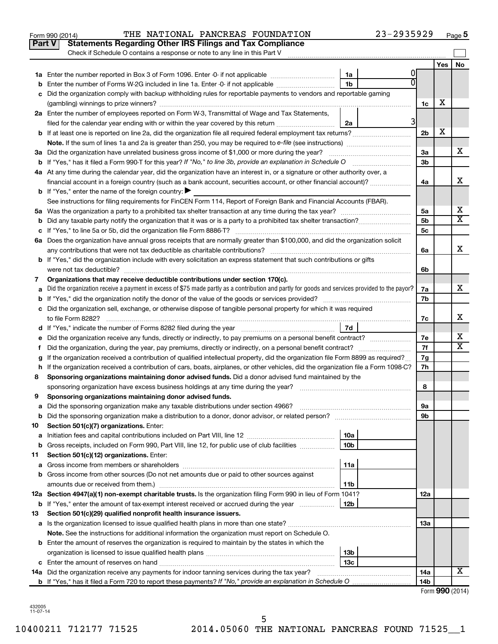|    | Part V<br><b>Statements Regarding Other IRS Filings and Tax Compliance</b><br>Check if Schedule O contains a response or note to any line in this Part V |                 |                |                                                |    |
|----|----------------------------------------------------------------------------------------------------------------------------------------------------------|-----------------|----------------|------------------------------------------------|----|
|    |                                                                                                                                                          |                 |                | Yes                                            | No |
|    |                                                                                                                                                          | 1a              |                |                                                |    |
|    | Enter the number of Forms W-2G included in line 1a. Enter -0- if not applicable                                                                          | 1 <sub>b</sub>  | n              |                                                |    |
| с  | Did the organization comply with backup withholding rules for reportable payments to vendors and reportable gaming                                       |                 |                |                                                |    |
|    |                                                                                                                                                          |                 | 1c             | х                                              |    |
|    | 2a Enter the number of employees reported on Form W-3, Transmittal of Wage and Tax Statements,                                                           |                 |                |                                                |    |
|    | filed for the calendar year ending with or within the year covered by this return <i>manumumumum</i>                                                     | 2a              | 3              |                                                |    |
|    |                                                                                                                                                          |                 | 2 <sub>b</sub> | X                                              |    |
|    |                                                                                                                                                          |                 |                |                                                |    |
|    | 3a Did the organization have unrelated business gross income of \$1,000 or more during the year?                                                         |                 | За             |                                                | х  |
|    |                                                                                                                                                          |                 | 3b             |                                                |    |
|    | 4a At any time during the calendar year, did the organization have an interest in, or a signature or other authority over, a                             |                 |                |                                                |    |
|    | financial account in a foreign country (such as a bank account, securities account, or other financial account)?                                         |                 | 4a             |                                                | x  |
|    | <b>b</b> If "Yes," enter the name of the foreign country: $\blacktriangleright$                                                                          |                 |                |                                                |    |
|    | See instructions for filing requirements for FinCEN Form 114, Report of Foreign Bank and Financial Accounts (FBAR).                                      |                 |                |                                                |    |
|    |                                                                                                                                                          |                 | 5а             |                                                | х  |
| b  |                                                                                                                                                          |                 | 5b             |                                                | X  |
|    |                                                                                                                                                          |                 | 5с             |                                                |    |
|    | 6a Does the organization have annual gross receipts that are normally greater than \$100,000, and did the organization solicit                           |                 |                |                                                |    |
|    |                                                                                                                                                          |                 | 6a             |                                                | x  |
|    | <b>b</b> If "Yes," did the organization include with every solicitation an express statement that such contributions or gifts                            |                 |                |                                                |    |
|    |                                                                                                                                                          |                 | 6b             |                                                |    |
| 7  | Organizations that may receive deductible contributions under section 170(c).                                                                            |                 |                |                                                |    |
|    | Did the organization receive a payment in excess of \$75 made partly as a contribution and partly for goods and services provided to the payor?          |                 | 7a             |                                                | x  |
|    |                                                                                                                                                          |                 | 7b             |                                                |    |
|    | c Did the organization sell, exchange, or otherwise dispose of tangible personal property for which it was required                                      |                 |                |                                                |    |
|    |                                                                                                                                                          |                 | 7c             |                                                | х  |
|    |                                                                                                                                                          | 7d              |                |                                                |    |
|    | Did the organization receive any funds, directly or indirectly, to pay premiums on a personal benefit contract?                                          |                 | 7е             |                                                | х  |
| f. | Did the organization, during the year, pay premiums, directly or indirectly, on a personal benefit contract?                                             |                 | 7f             |                                                | X  |
|    | If the organization received a contribution of qualified intellectual property, did the organization file Form 8899 as required?                         |                 | 7g             |                                                |    |
|    | h If the organization received a contribution of cars, boats, airplanes, or other vehicles, did the organization file a Form 1098-C?                     |                 | 7h             |                                                |    |
| 8  | Sponsoring organizations maintaining donor advised funds. Did a donor advised fund maintained by the                                                     |                 |                |                                                |    |
|    |                                                                                                                                                          |                 | 8              |                                                |    |
| 9  | Sponsoring organizations maintaining donor advised funds.                                                                                                |                 |                |                                                |    |
|    |                                                                                                                                                          |                 | эа             |                                                |    |
|    | <b>b</b> Did the sponsoring organization make a distribution to a donor, donor advisor, or related person?                                               |                 | 9b             |                                                |    |
| 10 | Section 501(c)(7) organizations. Enter:                                                                                                                  |                 |                |                                                |    |
| а  |                                                                                                                                                          | 10a             |                |                                                |    |
| b  | Gross receipts, included on Form 990, Part VIII, line 12, for public use of club facilities                                                              | 10b             |                |                                                |    |
| 11 | Section 501(c)(12) organizations. Enter:                                                                                                                 |                 |                |                                                |    |
| а  |                                                                                                                                                          | 11a             |                |                                                |    |
|    | <b>b</b> Gross income from other sources (Do not net amounts due or paid to other sources against                                                        |                 |                |                                                |    |
|    |                                                                                                                                                          | 11b             |                |                                                |    |
|    | 12a Section 4947(a)(1) non-exempt charitable trusts. Is the organization filing Form 990 in lieu of Form 1041?                                           |                 | 12a            |                                                |    |
|    | <b>b</b> If "Yes," enter the amount of tax-exempt interest received or accrued during the year                                                           | 12 <sub>b</sub> |                |                                                |    |
| 13 | Section 501(c)(29) qualified nonprofit health insurance issuers.                                                                                         |                 |                |                                                |    |
|    | a Is the organization licensed to issue qualified health plans in more than one state?                                                                   |                 | 1За            |                                                |    |
|    | Note. See the instructions for additional information the organization must report on Schedule O.                                                        |                 |                |                                                |    |
|    | <b>b</b> Enter the amount of reserves the organization is required to maintain by the states in which the                                                |                 |                |                                                |    |
|    |                                                                                                                                                          | 13b             |                |                                                |    |
| c  |                                                                                                                                                          | 13с             |                |                                                | x  |
|    | 14a Did the organization receive any payments for indoor tanning services during the tax year?                                                           |                 | 14a            |                                                |    |
|    |                                                                                                                                                          |                 | 14b            | $T_{\text{arm}}$ $\Omega \Omega \Omega$ (2014) |    |

Form 990 (2014) **PHE NATIONAL PANCREAS FOUNDATION** 23-2935929  $_{\text{Page}}$ 

**5**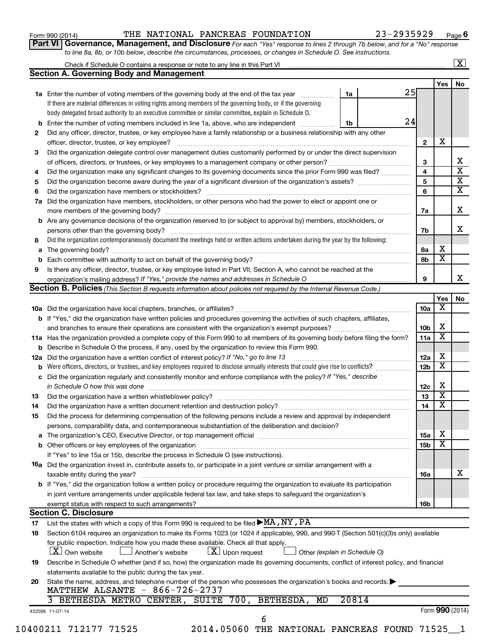| Form 990 (2014) |  |  |  |
|-----------------|--|--|--|
|-----------------|--|--|--|

### Form 990 (2014) **PHE NATIONAL PANCREAS FOUNDATION** 23-2935929  $_{\text{Page}}$

**Part VI** Governance, Management, and Disclosure For each "Yes" response to lines 2 through 7b below, and for a "No" response *to line 8a, 8b, or 10b below, describe the circumstances, processes, or changes in Schedule O. See instructions.*

|    |                                                                                                                                                                                                                                |                         |                         | $\overline{\mathbf{X}}$ |
|----|--------------------------------------------------------------------------------------------------------------------------------------------------------------------------------------------------------------------------------|-------------------------|-------------------------|-------------------------|
|    | <b>Section A. Governing Body and Management</b>                                                                                                                                                                                |                         |                         | No                      |
|    |                                                                                                                                                                                                                                | 25                      | <b>Yes</b>              |                         |
|    | 1a<br>1a Enter the number of voting members of the governing body at the end of the tax year                                                                                                                                   |                         |                         |                         |
|    | If there are material differences in voting rights among members of the governing body, or if the governing                                                                                                                    |                         |                         |                         |
|    | body delegated broad authority to an executive committee or similar committee, explain in Schedule O.                                                                                                                          |                         |                         |                         |
|    | <b>b</b> Enter the number of voting members included in line 1a, above, who are independent <i>manumum</i><br>1b                                                                                                               | 24                      |                         |                         |
| 2  | Did any officer, director, trustee, or key employee have a family relationship or a business relationship with any other                                                                                                       |                         |                         |                         |
|    |                                                                                                                                                                                                                                | $\overline{2}$          | X                       |                         |
| 3  | Did the organization delegate control over management duties customarily performed by or under the direct supervision                                                                                                          |                         |                         |                         |
|    | of officers, directors, or trustees, or key employees to a management company or other person?                                                                                                                                 | 3                       |                         |                         |
| 4  | Did the organization make any significant changes to its governing documents since the prior Form 990 was filed?                                                                                                               | $\overline{\mathbf{4}}$ |                         |                         |
| 5  |                                                                                                                                                                                                                                | 5                       |                         |                         |
| 6  |                                                                                                                                                                                                                                | 6                       |                         |                         |
|    | 7a Did the organization have members, stockholders, or other persons who had the power to elect or appoint one or                                                                                                              |                         |                         |                         |
|    |                                                                                                                                                                                                                                | 7a                      |                         |                         |
|    | <b>b</b> Are any governance decisions of the organization reserved to (or subject to approval by) members, stockholders, or                                                                                                    |                         |                         |                         |
|    | persons other than the governing body?                                                                                                                                                                                         | 7b                      |                         |                         |
| 8  | Did the organization contemporaneously document the meetings held or written actions undertaken during the year by the following:                                                                                              |                         |                         |                         |
|    |                                                                                                                                                                                                                                | 8a                      | х                       |                         |
|    |                                                                                                                                                                                                                                | 8b                      | $\overline{\mathbf{X}}$ |                         |
| 9  | Is there any officer, director, trustee, or key employee listed in Part VII, Section A, who cannot be reached at the                                                                                                           |                         |                         |                         |
|    |                                                                                                                                                                                                                                | 9                       |                         |                         |
|    | Section B. Policies (This Section B requests information about policies not required by the Internal Revenue Code.)                                                                                                            |                         |                         |                         |
|    |                                                                                                                                                                                                                                |                         | Yes                     |                         |
|    |                                                                                                                                                                                                                                | 10a                     | X                       |                         |
|    | <b>b</b> If "Yes," did the organization have written policies and procedures governing the activities of such chapters, affiliates,                                                                                            |                         |                         |                         |
|    |                                                                                                                                                                                                                                | 10 <sub>b</sub>         | х                       |                         |
|    | 11a Has the organization provided a complete copy of this Form 990 to all members of its governing body before filing the form?                                                                                                | 11a                     | $\overline{\mathbf{X}}$ |                         |
|    | <b>b</b> Describe in Schedule O the process, if any, used by the organization to review this Form 990.                                                                                                                         |                         |                         |                         |
|    | <b>12a</b> Did the organization have a written conflict of interest policy? If "No," go to line 13                                                                                                                             | 12a                     | х                       |                         |
|    |                                                                                                                                                                                                                                | 12 <sub>b</sub>         | $\overline{\mathbf{X}}$ |                         |
|    | c Did the organization regularly and consistently monitor and enforce compliance with the policy? If "Yes," describe                                                                                                           |                         |                         |                         |
|    | in Schedule O how this was done manufactured and contain an according to the state of the state of the state o                                                                                                                 | 12c                     | х                       |                         |
| 13 |                                                                                                                                                                                                                                | 13                      | $\overline{\textbf{x}}$ |                         |
| 14 | Did the organization have a written document retention and destruction policy? [11] manufaction manufaction in                                                                                                                 | 14                      | $\overline{\mathbf{X}}$ |                         |
| 15 | Did the process for determining compensation of the following persons include a review and approval by independent                                                                                                             |                         |                         |                         |
|    | persons, comparability data, and contemporaneous substantiation of the deliberation and decision?                                                                                                                              |                         |                         |                         |
|    | a The organization's CEO, Executive Director, or top management official manufactured content content of the organization's CEO, Executive Director, or top management official manufactured content of the state of the state | 15a                     | х                       |                         |
|    |                                                                                                                                                                                                                                | 15 <sub>b</sub>         | $\overline{\mathbf{X}}$ |                         |
|    | If "Yes" to line 15a or 15b, describe the process in Schedule O (see instructions).                                                                                                                                            |                         |                         |                         |
|    | 16a Did the organization invest in, contribute assets to, or participate in a joint venture or similar arrangement with a                                                                                                      |                         |                         |                         |
|    | taxable entity during the year?                                                                                                                                                                                                | 16a                     |                         |                         |
|    | b If "Yes," did the organization follow a written policy or procedure requiring the organization to evaluate its participation                                                                                                 |                         |                         |                         |
|    | in joint venture arrangements under applicable federal tax law, and take steps to safeguard the organization's                                                                                                                 |                         |                         |                         |
|    | exempt status with respect to such arrangements?                                                                                                                                                                               | 16b                     |                         |                         |
|    | <b>Section C. Disclosure</b>                                                                                                                                                                                                   |                         |                         |                         |
| 17 | List the states with which a copy of this Form 990 is required to be filed $\blacktriangleright$ MA, NY, PA                                                                                                                    |                         |                         |                         |
| 18 | Section 6104 requires an organization to make its Forms 1023 (or 1024 if applicable), 990, and 990-T (Section 501(c)(3)s only) available                                                                                       |                         |                         |                         |
|    | for public inspection. Indicate how you made these available. Check all that apply.                                                                                                                                            |                         |                         |                         |
|    | $\lfloor x \rfloor$ Own website<br>$\lfloor x \rfloor$ Upon request<br>Another's website<br>Other (explain in Schedule O)                                                                                                      |                         |                         |                         |
|    | Describe in Schedule O whether (and if so, how) the organization made its governing documents, conflict of interest policy, and financial                                                                                      |                         |                         |                         |
| 19 |                                                                                                                                                                                                                                |                         |                         |                         |
|    | statements available to the public during the tax year.                                                                                                                                                                        |                         |                         |                         |
| 20 | State the name, address, and telephone number of the person who possesses the organization's books and records:                                                                                                                |                         |                         |                         |
|    | MATTHEW ALSANTE - 866-726-2737                                                                                                                                                                                                 |                         |                         |                         |
|    | BETHESDA METRO CENTER, SUITE 700, BETHESDA,<br>20814<br>MD                                                                                                                                                                     |                         | Form 990 (2014)         |                         |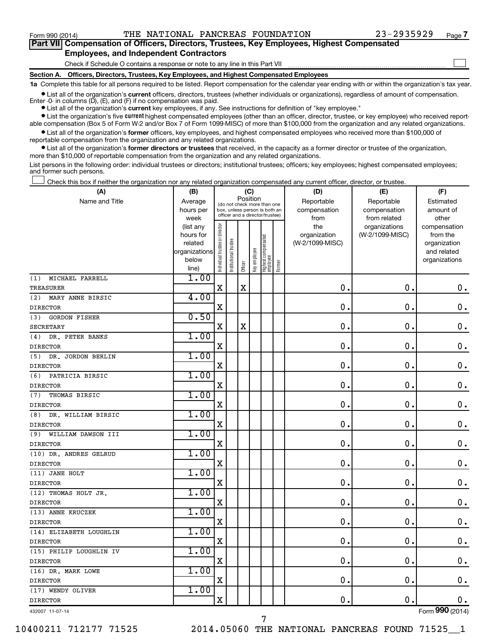$\Box$ 

| Part VII Compensation of Officers, Directors, Trustees, Key Employees, Highest Compensated |
|--------------------------------------------------------------------------------------------|
| <b>Employees, and Independent Contractors</b>                                              |

Check if Schedule O contains a response or note to any line in this Part VII

**Section A. Officers, Directors, Trustees, Key Employees, and Highest Compensated Employees**

**1a**  Complete this table for all persons required to be listed. Report compensation for the calendar year ending with or within the organization's tax year.

**•** List all of the organization's current officers, directors, trustees (whether individuals or organizations), regardless of amount of compensation. Enter -0- in columns  $(D)$ ,  $(E)$ , and  $(F)$  if no compensation was paid.

**•** List all of the organization's **current** key employees, if any. See instructions for definition of "key employee."

**•** List the organization's five current highest compensated employees (other than an officer, director, trustee, or key employee) who received reportable compensation (Box 5 of Form W-2 and/or Box 7 of Form 1099-MISC) of more than \$100,000 from the organization and any related organizations.

**•** List all of the organization's former officers, key employees, and highest compensated employees who received more than \$100,000 of reportable compensation from the organization and any related organizations.

**•** List all of the organization's former directors or trustees that received, in the capacity as a former director or trustee of the organization, more than \$10,000 of reportable compensation from the organization and any related organizations.

List persons in the following order: individual trustees or directors; institutional trustees; officers; key employees; highest compensated employees; and former such persons.

Check this box if neither the organization nor any related organization compensated any current officer, director, or trustee.  $\Box$ 

| (A)                         | (B)                  |                                |                                                                  | (C)         |              |                                 |        | (D)                             | (E)             | (F)                      |
|-----------------------------|----------------------|--------------------------------|------------------------------------------------------------------|-------------|--------------|---------------------------------|--------|---------------------------------|-----------------|--------------------------|
| Name and Title              | Average              |                                | (do not check more than one                                      | Position    |              |                                 |        | Reportable                      | Reportable      | Estimated                |
|                             | hours per            |                                | box, unless person is both an<br>officer and a director/trustee) |             |              |                                 |        | compensation                    | compensation    | amount of                |
|                             | week                 |                                |                                                                  |             |              |                                 |        | from                            | from related    | other                    |
|                             | (list any            |                                |                                                                  |             |              |                                 |        | the                             | organizations   | compensation             |
|                             | hours for<br>related |                                |                                                                  |             |              |                                 |        | organization<br>(W-2/1099-MISC) | (W-2/1099-MISC) | from the<br>organization |
|                             | organizations        |                                |                                                                  |             |              |                                 |        |                                 |                 | and related              |
|                             | below                |                                |                                                                  |             |              |                                 |        |                                 |                 | organizations            |
|                             | line)                | Individual trustee or director | Institutional trustee                                            | Officer     | Key employee | Highest compensated<br>employee | Former |                                 |                 |                          |
| MICHAEL FARRELL<br>(1)      | 1.00                 |                                |                                                                  |             |              |                                 |        |                                 |                 |                          |
| <b>TREASURER</b>            |                      | $\mathbf x$                    |                                                                  | $\mathbf X$ |              |                                 |        | 0.                              | $\mathbf 0$ .   | $\mathbf 0$ .            |
| MARY ANNE BIRSIC<br>(2)     | 4.00                 |                                |                                                                  |             |              |                                 |        |                                 |                 |                          |
| <b>DIRECTOR</b>             |                      | $\mathbf X$                    |                                                                  |             |              |                                 |        | $\mathbf 0$ .                   | $\mathbf 0$ .   | $\mathbf 0$ .            |
| (3)<br><b>GORDON FISHER</b> | 0.50                 |                                |                                                                  |             |              |                                 |        |                                 |                 |                          |
| <b>SECRETARY</b>            |                      | X                              |                                                                  | X           |              |                                 |        | $\mathbf 0$ .                   | 0.              | 0.                       |
| DR. PETER BANKS<br>(4)      | 1.00                 |                                |                                                                  |             |              |                                 |        |                                 |                 |                          |
| <b>DIRECTOR</b>             |                      | $\mathbf X$                    |                                                                  |             |              |                                 |        | $\mathbf 0$ .                   | $\mathbf 0$ .   | $\mathbf 0$ .            |
| DR. JORDON BERLIN<br>(5)    | 1.00                 |                                |                                                                  |             |              |                                 |        |                                 |                 |                          |
| <b>DIRECTOR</b>             |                      | $\mathbf X$                    |                                                                  |             |              |                                 |        | $\mathbf 0$ .                   | $\mathbf 0$ .   | $\mathbf 0$ .            |
| PATRICIA BIRSIC<br>(6)      | 1.00                 |                                |                                                                  |             |              |                                 |        |                                 |                 |                          |
| <b>DIRECTOR</b>             |                      | $\mathbf X$                    |                                                                  |             |              |                                 |        | $\mathbf 0$ .                   | $\mathbf 0$ .   | 0.                       |
| THOMAS BIRSIC<br>(7)        | 1.00                 |                                |                                                                  |             |              |                                 |        |                                 |                 |                          |
| <b>DIRECTOR</b>             |                      | $\mathbf X$                    |                                                                  |             |              |                                 |        | $\mathbf 0$ .                   | $\mathbf 0$ .   | $\mathbf 0$ .            |
| DR. WILLIAM BIRSIC<br>(8)   | 1.00                 |                                |                                                                  |             |              |                                 |        |                                 |                 |                          |
| <b>DIRECTOR</b>             |                      | $\mathbf X$                    |                                                                  |             |              |                                 |        | $\mathbf 0$ .                   | $\mathbf 0$ .   | $\mathbf 0$ .            |
| (9)<br>WILLIAM DAWSON III   | 1.00                 |                                |                                                                  |             |              |                                 |        |                                 |                 |                          |
| <b>DIRECTOR</b>             |                      | $\mathbf X$                    |                                                                  |             |              |                                 |        | $\mathbf{0}$ .                  | $\mathbf 0$ .   | $0$ .                    |
| (10) DR. ANDRES GELRUD      | 1.00                 |                                |                                                                  |             |              |                                 |        |                                 |                 |                          |
| <b>DIRECTOR</b>             |                      | $\mathbf X$                    |                                                                  |             |              |                                 |        | 0.                              | $\mathbf 0$ .   | $\mathbf 0$ .            |
| (11) JANE HOLT              | 1.00                 |                                |                                                                  |             |              |                                 |        |                                 |                 |                          |
| <b>DIRECTOR</b>             |                      | $\mathbf X$                    |                                                                  |             |              |                                 |        | $\mathbf 0$ .                   | $\mathbf 0$ .   | $\mathbf 0$ .            |
| (12) THOMAS HOLT JR.        | 1.00                 |                                |                                                                  |             |              |                                 |        |                                 |                 |                          |
| <b>DIRECTOR</b>             |                      | $\mathbf X$                    |                                                                  |             |              |                                 |        | $\mathbf 0$ .                   | $\mathbf 0$ .   | 0.                       |
| (13) ANNE KRUCZEK           | 1.00                 |                                |                                                                  |             |              |                                 |        |                                 |                 |                          |
| <b>DIRECTOR</b>             |                      | $\mathbf X$                    |                                                                  |             |              |                                 |        | 0.                              | $\mathbf 0$ .   | $\mathbf 0$ .            |
| (14) ELIZABETH LOUGHLIN     | 1.00                 |                                |                                                                  |             |              |                                 |        |                                 |                 |                          |
| <b>DIRECTOR</b>             |                      | $\mathbf X$                    |                                                                  |             |              |                                 |        | 0.                              | $\mathbf 0$ .   | $\mathbf 0$ .            |
| (15) PHILIP LOUGHLIN IV     | 1.00                 |                                |                                                                  |             |              |                                 |        |                                 |                 |                          |
| <b>DIRECTOR</b>             |                      | X                              |                                                                  |             |              |                                 |        | $\mathbf 0$ .                   | $\mathbf 0$ .   | $\mathbf 0$ .            |
| (16) DR. MARK LOWE          | 1.00                 |                                |                                                                  |             |              |                                 |        |                                 |                 |                          |
| <b>DIRECTOR</b>             |                      | $\mathbf X$                    |                                                                  |             |              |                                 |        | 0.                              | $\mathbf 0$ .   | $0$ .                    |
| (17) WENDY OLIVER           | 1.00                 |                                |                                                                  |             |              |                                 |        |                                 |                 |                          |
| <b>DIRECTOR</b>             |                      | $\mathbf X$                    |                                                                  |             |              |                                 |        | 0.                              | $\mathbf 0$ .   | $0$ .                    |
| 432007 11-07-14             |                      |                                |                                                                  |             |              |                                 |        |                                 |                 | Form 990 (2014)          |

432007 11-07-14

10400211 712177 71525 2014.05060 THE NATIONAL PANCREAS FOUND 71525\_\_1

7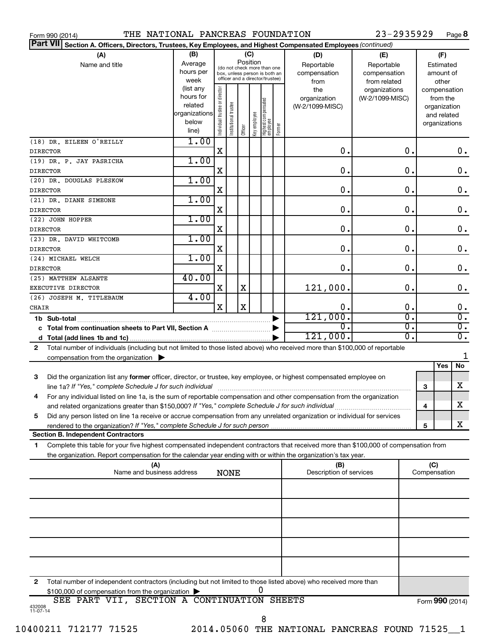|                 | THE NATIONAL PANCREAS FOUNDATION<br>Form 990 (2014)                                                                                                                                                                                                    |                                                                      |                                |                       |         |                 |                                                                                                 |        |                                           | 23-2935929                                        |                     | Page 8                                                                   |
|-----------------|--------------------------------------------------------------------------------------------------------------------------------------------------------------------------------------------------------------------------------------------------------|----------------------------------------------------------------------|--------------------------------|-----------------------|---------|-----------------|-------------------------------------------------------------------------------------------------|--------|-------------------------------------------|---------------------------------------------------|---------------------|--------------------------------------------------------------------------|
| <b>Part VII</b> | Section A. Officers, Directors, Trustees, Key Employees, and Highest Compensated Employees (continued)                                                                                                                                                 |                                                                      |                                |                       |         |                 |                                                                                                 |        |                                           |                                                   |                     |                                                                          |
|                 | (B)<br>(A)<br>Average<br>Name and title<br>hours per<br>week                                                                                                                                                                                           |                                                                      |                                |                       |         | (C)<br>Position | (do not check more than one<br>box, unless person is both an<br>officer and a director/trustee) |        | (D)<br>Reportable<br>compensation<br>from | (E)<br>Reportable<br>compensation<br>from related |                     | (F)<br>Estimated<br>amount of<br>other                                   |
|                 |                                                                                                                                                                                                                                                        | (list any<br>hours for<br>related<br>organizations<br>below<br>line) | Individual trustee or director | Institutional trustee | Officer | key employee    | Highest compensated<br>  employee                                                               | Former | the<br>organization<br>(W-2/1099-MISC)    | organizations<br>(W-2/1099-MISC)                  |                     | compensation<br>from the<br>organization<br>and related<br>organizations |
| <b>DIRECTOR</b> | (18) DR. EILEEN O'REILLY                                                                                                                                                                                                                               | 1.00                                                                 | X                              |                       |         |                 |                                                                                                 |        | $\mathbf 0$ .                             | 0.                                                |                     | 0.                                                                       |
| <b>DIRECTOR</b> | (19) DR. P. JAY PASRICHA                                                                                                                                                                                                                               | 1.00                                                                 | X                              |                       |         |                 |                                                                                                 |        | 0.                                        | 0.                                                |                     | $\mathbf 0$ .                                                            |
|                 | (20) DR. DOUGLAS PLESKOW                                                                                                                                                                                                                               | 1.00                                                                 |                                |                       |         |                 |                                                                                                 |        |                                           |                                                   |                     |                                                                          |
| <b>DIRECTOR</b> | (21) DR. DIANE SIMEONE                                                                                                                                                                                                                                 | 1.00                                                                 | X                              |                       |         |                 |                                                                                                 |        | 0.                                        | 0.                                                |                     | $\mathbf 0$ .                                                            |
| <b>DIRECTOR</b> | (22) JOHN HOPPER                                                                                                                                                                                                                                       | 1.00                                                                 | X                              |                       |         |                 |                                                                                                 |        | 0.                                        | 0.                                                |                     | $\mathbf 0$ .                                                            |
| <b>DIRECTOR</b> |                                                                                                                                                                                                                                                        | 1.00                                                                 | X                              |                       |         |                 |                                                                                                 |        | 0.                                        | 0.                                                |                     | $\mathbf 0$ .                                                            |
| <b>DIRECTOR</b> | (23) DR. DAVID WHITCOMB                                                                                                                                                                                                                                |                                                                      | X                              |                       |         |                 |                                                                                                 |        | 0.                                        | 0.                                                |                     | $\mathbf 0$ .                                                            |
| <b>DIRECTOR</b> | (24) MICHAEL WELCH                                                                                                                                                                                                                                     | 1.00                                                                 | X                              |                       |         |                 |                                                                                                 |        | 0.                                        | 0.                                                |                     | $\mathbf 0$ .                                                            |
|                 | (25) MATTHEW ALSANTE<br>EXECUTIVE DIRECTOR                                                                                                                                                                                                             | 40.00                                                                | X                              |                       | X       |                 |                                                                                                 |        | 121,000.                                  | 0.                                                |                     | $\mathbf 0$ .                                                            |
| CHAIR           | (26) JOSEPH M. TITLEBAUM                                                                                                                                                                                                                               | 4.00                                                                 | X                              |                       | X       |                 |                                                                                                 |        | 0.                                        | 0.                                                |                     | 0.                                                                       |
|                 | 1b Sub-total                                                                                                                                                                                                                                           |                                                                      |                                |                       |         |                 |                                                                                                 |        | 121,000.                                  | σ.                                                |                     | $\overline{0}$ .                                                         |
|                 | c Total from continuation sheets to Part VII, Section A manuscription                                                                                                                                                                                  |                                                                      |                                |                       |         |                 |                                                                                                 |        | σ.                                        | $\overline{\mathfrak{o}}$ .                       |                     | $\overline{0}$ .                                                         |
|                 |                                                                                                                                                                                                                                                        |                                                                      |                                |                       |         |                 |                                                                                                 |        | 121,000.                                  | $\overline{0}$ .                                  |                     | $\overline{0}$ .                                                         |
| $\mathbf{2}$    | Total number of individuals (including but not limited to those listed above) who received more than \$100,000 of reportable                                                                                                                           |                                                                      |                                |                       |         |                 |                                                                                                 |        |                                           |                                                   |                     |                                                                          |
|                 | compensation from the organization $\blacktriangleright$                                                                                                                                                                                               |                                                                      |                                |                       |         |                 |                                                                                                 |        |                                           |                                                   |                     | Yes<br>No                                                                |
| 3               | Did the organization list any former officer, director, or trustee, key employee, or highest compensated employee on                                                                                                                                   |                                                                      |                                |                       |         |                 |                                                                                                 |        |                                           |                                                   |                     | x                                                                        |
|                 | line 1a? If "Yes," complete Schedule J for such individual manufactured content to the set of the set of the s<br>For any individual listed on line 1a, is the sum of reportable compensation and other compensation from the organization             |                                                                      |                                |                       |         |                 |                                                                                                 |        |                                           |                                                   | 3                   |                                                                          |
| 5               | and related organizations greater than \$150,000? If "Yes," complete Schedule J for such individual<br>Did any person listed on line 1a receive or accrue compensation from any unrelated organization or individual for services                      |                                                                      |                                |                       |         |                 |                                                                                                 |        |                                           |                                                   | 4                   | х                                                                        |
|                 |                                                                                                                                                                                                                                                        |                                                                      |                                |                       |         |                 |                                                                                                 |        |                                           |                                                   | 5                   | x                                                                        |
|                 | <b>Section B. Independent Contractors</b>                                                                                                                                                                                                              |                                                                      |                                |                       |         |                 |                                                                                                 |        |                                           |                                                   |                     |                                                                          |
| 1.              | Complete this table for your five highest compensated independent contractors that received more than \$100,000 of compensation from<br>the organization. Report compensation for the calendar year ending with or within the organization's tax year. |                                                                      |                                |                       |         |                 |                                                                                                 |        |                                           |                                                   |                     |                                                                          |
|                 | (A)<br>Name and business address                                                                                                                                                                                                                       |                                                                      |                                | <b>NONE</b>           |         |                 |                                                                                                 |        | (B)<br>Description of services            |                                                   | (C)<br>Compensation |                                                                          |
|                 |                                                                                                                                                                                                                                                        |                                                                      |                                |                       |         |                 |                                                                                                 |        |                                           |                                                   |                     |                                                                          |
|                 |                                                                                                                                                                                                                                                        |                                                                      |                                |                       |         |                 |                                                                                                 |        |                                           |                                                   |                     |                                                                          |
|                 |                                                                                                                                                                                                                                                        |                                                                      |                                |                       |         |                 |                                                                                                 |        |                                           |                                                   |                     |                                                                          |
|                 |                                                                                                                                                                                                                                                        |                                                                      |                                |                       |         |                 |                                                                                                 |        |                                           |                                                   |                     |                                                                          |
|                 |                                                                                                                                                                                                                                                        |                                                                      |                                |                       |         |                 |                                                                                                 |        |                                           |                                                   |                     |                                                                          |
| 2               | Total number of independent contractors (including but not limited to those listed above) who received more than                                                                                                                                       |                                                                      |                                |                       |         |                 |                                                                                                 |        |                                           |                                                   |                     |                                                                          |
|                 | \$100,000 of compensation from the organization                                                                                                                                                                                                        |                                                                      |                                |                       |         |                 | 0                                                                                               |        |                                           |                                                   |                     |                                                                          |

|                    | SEE | PART | VII |  | SECTION A CONTINUATION SHEETS | Form 990 (2014) |
|--------------------|-----|------|-----|--|-------------------------------|-----------------|
| 432008<br>11-07-14 |     |      |     |  |                               |                 |
|                    |     |      |     |  |                               |                 |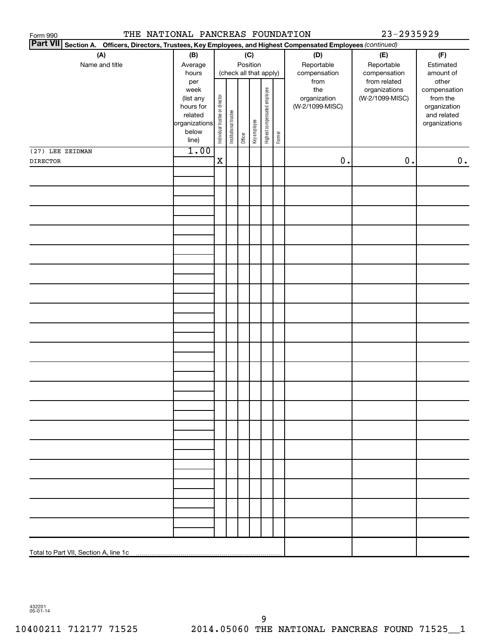| THE NATIONAL PANCREAS FOUNDATION<br>23-2935929<br>Form 990                                                      |               |                                |                       |                        |              |                              |        |                 |                 |               |  |
|-----------------------------------------------------------------------------------------------------------------|---------------|--------------------------------|-----------------------|------------------------|--------------|------------------------------|--------|-----------------|-----------------|---------------|--|
| Part VII Section A. Officers, Directors, Trustees, Key Employees, and Highest Compensated Employees (continued) |               |                                |                       |                        |              |                              |        |                 |                 |               |  |
| (A)                                                                                                             | (B)           |                                |                       |                        | (C)          |                              |        | (D)             | (E)             | (F)           |  |
| Name and title                                                                                                  | Average       |                                |                       |                        | Position     |                              |        | Reportable      | Reportable      | Estimated     |  |
|                                                                                                                 | hours         |                                |                       | (check all that apply) |              |                              |        | compensation    | compensation    | amount of     |  |
|                                                                                                                 | per           |                                |                       |                        |              |                              |        | from            | from related    | other         |  |
|                                                                                                                 | week          |                                |                       |                        |              |                              |        | the             | organizations   | compensation  |  |
|                                                                                                                 | (list any     |                                |                       |                        |              |                              |        | organization    | (W-2/1099-MISC) | from the      |  |
|                                                                                                                 | hours for     |                                |                       |                        |              |                              |        | (W-2/1099-MISC) |                 | organization  |  |
|                                                                                                                 | related       |                                |                       |                        |              |                              |        |                 |                 | and related   |  |
|                                                                                                                 | organizations | Individual trustee or director | Institutional trustee |                        | Key employee | Highest compensated employee |        |                 |                 | organizations |  |
|                                                                                                                 | below         |                                |                       | Officer                |              |                              | Former |                 |                 |               |  |
|                                                                                                                 | line)         |                                |                       |                        |              |                              |        |                 |                 |               |  |
| (27) LEE ZEIDMAN                                                                                                | 1.00          |                                |                       |                        |              |                              |        |                 |                 |               |  |
| <b>DIRECTOR</b>                                                                                                 |               | $\mathbf X$                    |                       |                        |              |                              |        | $\mathbf 0$ .   | $\mathbf 0$ .   | 0.            |  |
|                                                                                                                 |               |                                |                       |                        |              |                              |        |                 |                 |               |  |
|                                                                                                                 |               |                                |                       |                        |              |                              |        |                 |                 |               |  |
|                                                                                                                 |               |                                |                       |                        |              |                              |        |                 |                 |               |  |
|                                                                                                                 |               |                                |                       |                        |              |                              |        |                 |                 |               |  |
|                                                                                                                 |               |                                |                       |                        |              |                              |        |                 |                 |               |  |
|                                                                                                                 |               |                                |                       |                        |              |                              |        |                 |                 |               |  |
|                                                                                                                 |               |                                |                       |                        |              |                              |        |                 |                 |               |  |
|                                                                                                                 |               |                                |                       |                        |              |                              |        |                 |                 |               |  |
|                                                                                                                 |               |                                |                       |                        |              |                              |        |                 |                 |               |  |
|                                                                                                                 |               |                                |                       |                        |              |                              |        |                 |                 |               |  |
|                                                                                                                 |               |                                |                       |                        |              |                              |        |                 |                 |               |  |
|                                                                                                                 |               |                                |                       |                        |              |                              |        |                 |                 |               |  |
|                                                                                                                 |               |                                |                       |                        |              |                              |        |                 |                 |               |  |
|                                                                                                                 |               |                                |                       |                        |              |                              |        |                 |                 |               |  |
|                                                                                                                 |               |                                |                       |                        |              |                              |        |                 |                 |               |  |
|                                                                                                                 |               |                                |                       |                        |              |                              |        |                 |                 |               |  |
|                                                                                                                 |               |                                |                       |                        |              |                              |        |                 |                 |               |  |
|                                                                                                                 |               |                                |                       |                        |              |                              |        |                 |                 |               |  |
|                                                                                                                 |               |                                |                       |                        |              |                              |        |                 |                 |               |  |
|                                                                                                                 |               |                                |                       |                        |              |                              |        |                 |                 |               |  |
|                                                                                                                 |               |                                |                       |                        |              |                              |        |                 |                 |               |  |
|                                                                                                                 |               |                                |                       |                        |              |                              |        |                 |                 |               |  |
|                                                                                                                 |               |                                |                       |                        |              |                              |        |                 |                 |               |  |
|                                                                                                                 |               |                                |                       |                        |              |                              |        |                 |                 |               |  |
|                                                                                                                 |               |                                |                       |                        |              |                              |        |                 |                 |               |  |
|                                                                                                                 |               |                                |                       |                        |              |                              |        |                 |                 |               |  |
|                                                                                                                 |               |                                |                       |                        |              |                              |        |                 |                 |               |  |
|                                                                                                                 |               |                                |                       |                        |              |                              |        |                 |                 |               |  |
|                                                                                                                 |               |                                |                       |                        |              |                              |        |                 |                 |               |  |
|                                                                                                                 |               |                                |                       |                        |              |                              |        |                 |                 |               |  |
|                                                                                                                 |               |                                |                       |                        |              |                              |        |                 |                 |               |  |
|                                                                                                                 |               |                                |                       |                        |              |                              |        |                 |                 |               |  |
|                                                                                                                 |               |                                |                       |                        |              |                              |        |                 |                 |               |  |
|                                                                                                                 |               |                                |                       |                        |              |                              |        |                 |                 |               |  |
|                                                                                                                 |               |                                |                       |                        |              |                              |        |                 |                 |               |  |
|                                                                                                                 |               |                                |                       |                        |              |                              |        |                 |                 |               |  |
|                                                                                                                 |               |                                |                       |                        |              |                              |        |                 |                 |               |  |
|                                                                                                                 |               |                                |                       |                        |              |                              |        |                 |                 |               |  |
|                                                                                                                 |               |                                |                       |                        |              |                              |        |                 |                 |               |  |
|                                                                                                                 |               |                                |                       |                        |              |                              |        |                 |                 |               |  |
|                                                                                                                 |               |                                |                       |                        |              |                              |        |                 |                 |               |  |
|                                                                                                                 |               |                                |                       |                        |              |                              |        |                 |                 |               |  |

432201 05-01-14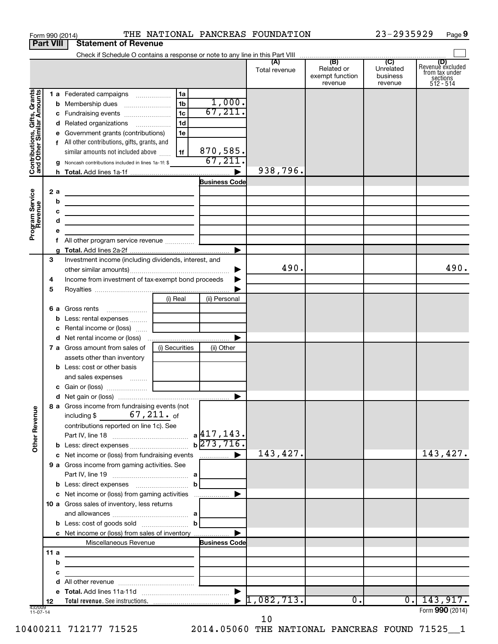|                                                           |                  | Form 990 (2014)                                                                                                      |                |                       | THE NATIONAL PANCREAS FOUNDATION |                                          | 23-2935929                       | Page 9                                                             |
|-----------------------------------------------------------|------------------|----------------------------------------------------------------------------------------------------------------------|----------------|-----------------------|----------------------------------|------------------------------------------|----------------------------------|--------------------------------------------------------------------|
|                                                           | <b>Part VIII</b> | <b>Statement of Revenue</b>                                                                                          |                |                       |                                  |                                          |                                  |                                                                    |
|                                                           |                  |                                                                                                                      |                |                       |                                  | (B)                                      | $\overline{C}$                   |                                                                    |
|                                                           |                  |                                                                                                                      |                |                       | (A)<br>Total revenue             | Related or<br>exempt function<br>revenue | Unrelated<br>business<br>revenue | (D)<br>Revenue excluded<br>from tax under<br>sections<br>512 - 514 |
|                                                           |                  | 1 a Federated campaigns                                                                                              | 1a             |                       |                                  |                                          |                                  |                                                                    |
| Contributions, Gifts, Grants<br>and Other Similar Amounts |                  |                                                                                                                      | 1 <sub>b</sub> | 1,000.                |                                  |                                          |                                  |                                                                    |
|                                                           |                  | c Fundraising events                                                                                                 | 1 <sub>c</sub> | 67, 211.              |                                  |                                          |                                  |                                                                    |
|                                                           |                  | d Related organizations                                                                                              | 1 <sub>d</sub> |                       |                                  |                                          |                                  |                                                                    |
|                                                           |                  | e Government grants (contributions)                                                                                  | 1e             |                       |                                  |                                          |                                  |                                                                    |
|                                                           |                  | f All other contributions, gifts, grants, and                                                                        |                | 870,585.              |                                  |                                          |                                  |                                                                    |
|                                                           |                  | similar amounts not included above<br>g Noncash contributions included in lines 1a-1f: \$                            | l 1f           | 67,211.               |                                  |                                          |                                  |                                                                    |
|                                                           |                  |                                                                                                                      |                |                       | 938,796.                         |                                          |                                  |                                                                    |
|                                                           |                  |                                                                                                                      |                | <b>Business Code</b>  |                                  |                                          |                                  |                                                                    |
|                                                           | 2a               | <u> 1989 - Johann John Stein, markin fan it ferstjer fan it ferstjer fan it ferstjer fan it ferstjer fan it fers</u> |                |                       |                                  |                                          |                                  |                                                                    |
|                                                           |                  | b<br><u> 1989 - Johann Barn, mars et al. (b. 1989)</u>                                                               |                |                       |                                  |                                          |                                  |                                                                    |
|                                                           |                  | с<br>the contract of the contract of the contract of the contract of the contract of                                 |                |                       |                                  |                                          |                                  |                                                                    |
|                                                           |                  | d<br>the control of the control of the control of the control of the control of                                      |                |                       |                                  |                                          |                                  |                                                                    |
| Program Service<br>Revenue                                |                  | е                                                                                                                    |                |                       |                                  |                                          |                                  |                                                                    |
|                                                           |                  | 1.                                                                                                                   |                |                       |                                  |                                          |                                  |                                                                    |
|                                                           |                  |                                                                                                                      |                | $\blacktriangleright$ |                                  |                                          |                                  |                                                                    |
|                                                           | 3                | Investment income (including dividends, interest, and                                                                |                |                       | 490.                             |                                          |                                  | 490.                                                               |
|                                                           | 4                | Income from investment of tax-exempt bond proceeds                                                                   |                |                       |                                  |                                          |                                  |                                                                    |
|                                                           | 5                |                                                                                                                      |                |                       |                                  |                                          |                                  |                                                                    |
|                                                           |                  |                                                                                                                      | (i) Real       | (ii) Personal         |                                  |                                          |                                  |                                                                    |
|                                                           |                  | 6 a Gross rents                                                                                                      |                |                       |                                  |                                          |                                  |                                                                    |
|                                                           |                  | <b>b</b> Less: rental expenses                                                                                       |                |                       |                                  |                                          |                                  |                                                                    |
|                                                           |                  | c Rental income or (loss)                                                                                            |                |                       |                                  |                                          |                                  |                                                                    |
|                                                           |                  |                                                                                                                      |                |                       |                                  |                                          |                                  |                                                                    |
|                                                           |                  | 7 a Gross amount from sales of                                                                                       | (i) Securities | (ii) Other            |                                  |                                          |                                  |                                                                    |
|                                                           |                  | assets other than inventory                                                                                          |                |                       |                                  |                                          |                                  |                                                                    |
|                                                           |                  | <b>b</b> Less: cost or other basis                                                                                   |                |                       |                                  |                                          |                                  |                                                                    |
|                                                           |                  | and sales expenses<br>c Gain or (loss)                                                                               |                |                       |                                  |                                          |                                  |                                                                    |
|                                                           |                  |                                                                                                                      |                |                       |                                  |                                          |                                  |                                                                    |
|                                                           |                  | 8 a Gross income from fundraising events (not<br>including \$ $67,211$ . of                                          |                |                       |                                  |                                          |                                  |                                                                    |
| <b>Other Revenue</b>                                      |                  | contributions reported on line 1c). See                                                                              |                |                       |                                  |                                          |                                  |                                                                    |
|                                                           |                  |                                                                                                                      |                |                       |                                  |                                          |                                  |                                                                    |
|                                                           |                  |                                                                                                                      |                |                       |                                  |                                          |                                  |                                                                    |
|                                                           |                  | c Net income or (loss) from fundraising events                                                                       |                |                       | 143,427.                         |                                          |                                  | 143,427.                                                           |
|                                                           |                  | 9 a Gross income from gaming activities. See                                                                         |                |                       |                                  |                                          |                                  |                                                                    |
|                                                           |                  |                                                                                                                      |                |                       |                                  |                                          |                                  |                                                                    |
|                                                           |                  |                                                                                                                      | b              |                       |                                  |                                          |                                  |                                                                    |
|                                                           |                  | c Net income or (loss) from gaming activities                                                                        |                |                       |                                  |                                          |                                  |                                                                    |
|                                                           |                  | 10 a Gross sales of inventory, less returns                                                                          |                |                       |                                  |                                          |                                  |                                                                    |
|                                                           |                  |                                                                                                                      | $\mathbf{b}$   |                       |                                  |                                          |                                  |                                                                    |
|                                                           |                  | c Net income or (loss) from sales of inventory                                                                       |                |                       |                                  |                                          |                                  |                                                                    |
|                                                           |                  | Miscellaneous Revenue                                                                                                |                | <b>Business Code</b>  |                                  |                                          |                                  |                                                                    |
|                                                           | 11a              |                                                                                                                      |                |                       |                                  |                                          |                                  |                                                                    |
|                                                           |                  | b<br>the control of the control of the control of the control of the control of                                      |                |                       |                                  |                                          |                                  |                                                                    |
|                                                           |                  | c<br>the control of the control of the control of the control of                                                     |                |                       |                                  |                                          |                                  |                                                                    |
|                                                           |                  | d                                                                                                                    |                |                       |                                  |                                          |                                  |                                                                    |
|                                                           |                  |                                                                                                                      |                |                       |                                  |                                          |                                  |                                                                    |
|                                                           | 12               |                                                                                                                      |                |                       | 1,082,713.                       | 0.                                       | $\overline{0}$ .                 | 143,917.                                                           |
| 432009<br>11-07-14                                        |                  |                                                                                                                      |                |                       |                                  |                                          |                                  | Form 990 (2014)                                                    |

10

10400211 712177 71525 2014.05060 THE NATIONAL PANCREAS FOUND 71525\_\_1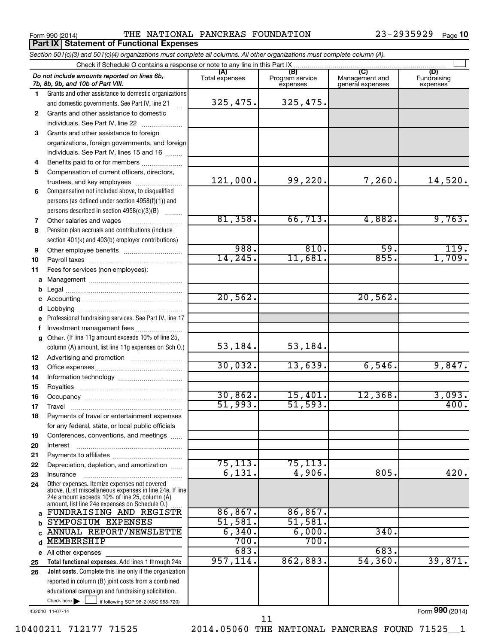**Part IX Statement of Functional Expenses**

Form 990 (2014) **THE NATIONAL PANCREAS FOUNDATION** 23-2935929 Page

|                                                                                                                                                                                                                                 | Section 501(c)(3) and 501(c)(4) organizations must complete all columns. All other organizations must complete column (A).                                                                                    |           |           |          |         |  |  |  |
|---------------------------------------------------------------------------------------------------------------------------------------------------------------------------------------------------------------------------------|---------------------------------------------------------------------------------------------------------------------------------------------------------------------------------------------------------------|-----------|-----------|----------|---------|--|--|--|
|                                                                                                                                                                                                                                 | Check if Schedule O contains a response or note to any line in this Part IX                                                                                                                                   |           |           |          |         |  |  |  |
| (A)<br>(B)<br>(C)<br>(D)<br>Do not include amounts reported on lines 6b,<br>Program service<br>Total expenses<br>Management and<br>Fundraising<br>7b, 8b, 9b, and 10b of Part VIII.<br>general expenses<br>expenses<br>expenses |                                                                                                                                                                                                               |           |           |          |         |  |  |  |
| 1.                                                                                                                                                                                                                              | Grants and other assistance to domestic organizations                                                                                                                                                         |           |           |          |         |  |  |  |
|                                                                                                                                                                                                                                 | and domestic governments. See Part IV, line 21                                                                                                                                                                | 325,475.  | 325,475.  |          |         |  |  |  |
| 2                                                                                                                                                                                                                               | Grants and other assistance to domestic                                                                                                                                                                       |           |           |          |         |  |  |  |
|                                                                                                                                                                                                                                 | individuals. See Part IV, line 22                                                                                                                                                                             |           |           |          |         |  |  |  |
| 3                                                                                                                                                                                                                               | Grants and other assistance to foreign                                                                                                                                                                        |           |           |          |         |  |  |  |
|                                                                                                                                                                                                                                 | organizations, foreign governments, and foreign                                                                                                                                                               |           |           |          |         |  |  |  |
|                                                                                                                                                                                                                                 | individuals. See Part IV, lines 15 and 16                                                                                                                                                                     |           |           |          |         |  |  |  |
| 4                                                                                                                                                                                                                               | Benefits paid to or for members                                                                                                                                                                               |           |           |          |         |  |  |  |
| 5                                                                                                                                                                                                                               | Compensation of current officers, directors,                                                                                                                                                                  |           |           |          |         |  |  |  |
|                                                                                                                                                                                                                                 | trustees, and key employees                                                                                                                                                                                   | 121,000.  | 99,220.   | 7,260.   | 14,520. |  |  |  |
| 6                                                                                                                                                                                                                               | Compensation not included above, to disqualified                                                                                                                                                              |           |           |          |         |  |  |  |
|                                                                                                                                                                                                                                 | persons (as defined under section 4958(f)(1)) and                                                                                                                                                             |           |           |          |         |  |  |  |
|                                                                                                                                                                                                                                 | persons described in section 4958(c)(3)(B)                                                                                                                                                                    |           |           |          |         |  |  |  |
| 7                                                                                                                                                                                                                               |                                                                                                                                                                                                               | 81,358.   | 66, 713.  | 4,882.   | 9,763.  |  |  |  |
| 8                                                                                                                                                                                                                               | Pension plan accruals and contributions (include                                                                                                                                                              |           |           |          |         |  |  |  |
|                                                                                                                                                                                                                                 | section 401(k) and 403(b) employer contributions)                                                                                                                                                             |           |           |          |         |  |  |  |
| 9                                                                                                                                                                                                                               |                                                                                                                                                                                                               | 988.      | 810.      | 59.      | 119.    |  |  |  |
| 10                                                                                                                                                                                                                              |                                                                                                                                                                                                               | 14, 245.  | 11,681.   | 855.     | 1,709.  |  |  |  |
| 11                                                                                                                                                                                                                              | Fees for services (non-employees):                                                                                                                                                                            |           |           |          |         |  |  |  |
| а                                                                                                                                                                                                                               |                                                                                                                                                                                                               |           |           |          |         |  |  |  |
| b                                                                                                                                                                                                                               |                                                                                                                                                                                                               |           |           |          |         |  |  |  |
|                                                                                                                                                                                                                                 |                                                                                                                                                                                                               | 20,562.   |           | 20,562.  |         |  |  |  |
| d                                                                                                                                                                                                                               |                                                                                                                                                                                                               |           |           |          |         |  |  |  |
| е                                                                                                                                                                                                                               | Professional fundraising services. See Part IV, line 17                                                                                                                                                       |           |           |          |         |  |  |  |
| f                                                                                                                                                                                                                               | Investment management fees                                                                                                                                                                                    |           |           |          |         |  |  |  |
| g                                                                                                                                                                                                                               | Other. (If line 11g amount exceeds 10% of line 25,                                                                                                                                                            |           |           |          |         |  |  |  |
|                                                                                                                                                                                                                                 | column (A) amount, list line 11g expenses on Sch 0.)                                                                                                                                                          | 53, 184.  | 53,184.   |          |         |  |  |  |
| 12                                                                                                                                                                                                                              |                                                                                                                                                                                                               |           |           |          |         |  |  |  |
| 13                                                                                                                                                                                                                              |                                                                                                                                                                                                               | 30,032.   | 13,639.   | 6,546.   | 9,847.  |  |  |  |
| 14                                                                                                                                                                                                                              |                                                                                                                                                                                                               |           |           |          |         |  |  |  |
| 15                                                                                                                                                                                                                              |                                                                                                                                                                                                               |           |           |          |         |  |  |  |
| 16                                                                                                                                                                                                                              |                                                                                                                                                                                                               | 30,862.   | 15,401.   | 12,368.  | 3,093.  |  |  |  |
| 17                                                                                                                                                                                                                              |                                                                                                                                                                                                               | 51,993.   | 51, 593.  |          | 400.    |  |  |  |
| 18                                                                                                                                                                                                                              | Payments of travel or entertainment expenses                                                                                                                                                                  |           |           |          |         |  |  |  |
|                                                                                                                                                                                                                                 | for any federal, state, or local public officials                                                                                                                                                             |           |           |          |         |  |  |  |
| 19                                                                                                                                                                                                                              | Conferences, conventions, and meetings                                                                                                                                                                        |           |           |          |         |  |  |  |
| 20                                                                                                                                                                                                                              | Interest                                                                                                                                                                                                      |           |           |          |         |  |  |  |
| 21                                                                                                                                                                                                                              |                                                                                                                                                                                                               |           |           |          |         |  |  |  |
| 22                                                                                                                                                                                                                              | Depreciation, depletion, and amortization                                                                                                                                                                     | 75, 113.  | 75, 113.  |          |         |  |  |  |
| 23                                                                                                                                                                                                                              | Insurance                                                                                                                                                                                                     | 6,131.    | 4,906.    | 805.     | 420.    |  |  |  |
| 24                                                                                                                                                                                                                              | Other expenses. Itemize expenses not covered<br>above. (List miscellaneous expenses in line 24e. If line<br>24e amount exceeds 10% of line 25, column (A)<br>amount, list line 24e expenses on Schedule O.) [ |           |           |          |         |  |  |  |
| a                                                                                                                                                                                                                               | FUNDRAISING AND REGISTR                                                                                                                                                                                       | 86, 867.  | 86, 867.  |          |         |  |  |  |
| b                                                                                                                                                                                                                               | <b>SYMPOSIUM EXPENSES</b>                                                                                                                                                                                     | 51,581.   | 51,581.   |          |         |  |  |  |
| C                                                                                                                                                                                                                               | <b>ANNUAL REPORT/NEWSLETTE</b>                                                                                                                                                                                | 6,340.    | 6,000.    | 340.     |         |  |  |  |
| d                                                                                                                                                                                                                               | <b>MEMBERSHIP</b>                                                                                                                                                                                             | 700.      | 700.      |          |         |  |  |  |
|                                                                                                                                                                                                                                 | e All other expenses                                                                                                                                                                                          | 683.      |           | 683.     |         |  |  |  |
| 25                                                                                                                                                                                                                              | Total functional expenses. Add lines 1 through 24e                                                                                                                                                            | 957, 114. | 862, 883. | 54, 360. | 39,871. |  |  |  |
| 26                                                                                                                                                                                                                              | <b>Joint costs.</b> Complete this line only if the organization                                                                                                                                               |           |           |          |         |  |  |  |
|                                                                                                                                                                                                                                 | reported in column (B) joint costs from a combined                                                                                                                                                            |           |           |          |         |  |  |  |
|                                                                                                                                                                                                                                 | educational campaign and fundraising solicitation.                                                                                                                                                            |           |           |          |         |  |  |  |
|                                                                                                                                                                                                                                 | Check here $\blacktriangleright$<br>if following SOP 98-2 (ASC 958-720)                                                                                                                                       |           |           |          |         |  |  |  |

432010 11-07-14

10400211 712177 71525 2014.05060 THE NATIONAL PANCREAS FOUND 71525\_\_1

11

Form (2014) **990**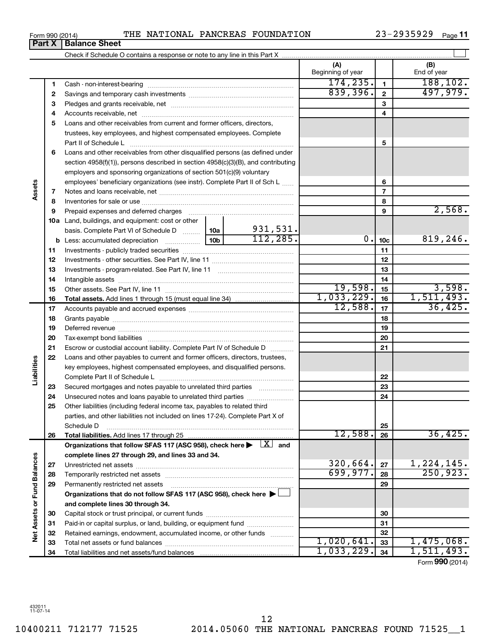| Form 990 (2014) |  | THE NATIONAL PANCREAS FOUNDATION | 23-2935929 | Page 11 |
|-----------------|--|----------------------------------|------------|---------|

|                             |    |                                                                                                                                                                       |  |           | (A)<br>Beginning of year |                 | (B)<br>End of year |
|-----------------------------|----|-----------------------------------------------------------------------------------------------------------------------------------------------------------------------|--|-----------|--------------------------|-----------------|--------------------|
|                             | 1  |                                                                                                                                                                       |  |           | 174, 235.                | $\mathbf{1}$    | 188, 102.          |
|                             | 2  |                                                                                                                                                                       |  |           | 839,396.                 | $\overline{2}$  | 497,979.           |
|                             | з  |                                                                                                                                                                       |  |           |                          | 3               |                    |
|                             | 4  |                                                                                                                                                                       |  |           | 4                        |                 |                    |
|                             | 5  | Loans and other receivables from current and former officers, directors,                                                                                              |  |           |                          |                 |                    |
|                             |    | trustees, key employees, and highest compensated employees. Complete                                                                                                  |  |           |                          |                 |                    |
|                             |    | Part II of Schedule L                                                                                                                                                 |  |           |                          | 5               |                    |
|                             | 6  | Loans and other receivables from other disqualified persons (as defined under                                                                                         |  |           |                          |                 |                    |
|                             |    | section 4958(f)(1)), persons described in section 4958(c)(3)(B), and contributing                                                                                     |  |           |                          |                 |                    |
|                             |    | employers and sponsoring organizations of section 501(c)(9) voluntary                                                                                                 |  |           |                          |                 |                    |
|                             |    | employees' beneficiary organizations (see instr). Complete Part II of Sch L                                                                                           |  |           |                          | 6               |                    |
| Assets                      | 7  |                                                                                                                                                                       |  |           |                          | $\overline{7}$  |                    |
|                             | 8  |                                                                                                                                                                       |  |           |                          | 8               |                    |
|                             | 9  |                                                                                                                                                                       |  |           |                          | 9               | 2,568.             |
|                             |    | <b>10a</b> Land, buildings, and equipment: cost or other                                                                                                              |  |           |                          |                 |                    |
|                             |    | basis. Complete Part VI of Schedule D  10a                                                                                                                            |  | 931,531.  |                          |                 |                    |
|                             |    |                                                                                                                                                                       |  | 112, 285. | 0.1                      | 10 <sub>c</sub> | 819,246.           |
|                             | 11 |                                                                                                                                                                       |  |           |                          | 11              |                    |
|                             | 12 |                                                                                                                                                                       |  |           |                          | 12              |                    |
|                             | 13 |                                                                                                                                                                       |  |           |                          | 13              |                    |
|                             | 14 |                                                                                                                                                                       |  |           |                          | 14              |                    |
|                             | 15 |                                                                                                                                                                       |  |           | 19,598.                  | 15              | 3,598.             |
|                             | 16 |                                                                                                                                                                       |  |           | 1,033,229.               | 16              | 1, 511, 493.       |
|                             | 17 |                                                                                                                                                                       |  |           | 12,588.                  | 17              | 36,425.            |
|                             | 18 |                                                                                                                                                                       |  |           |                          | 18              |                    |
|                             | 19 |                                                                                                                                                                       |  |           |                          | 19              |                    |
|                             | 20 |                                                                                                                                                                       |  |           |                          | 20              |                    |
|                             | 21 | Escrow or custodial account liability. Complete Part IV of Schedule D                                                                                                 |  |           |                          | 21              |                    |
|                             | 22 | Loans and other payables to current and former officers, directors, trustees,                                                                                         |  |           |                          |                 |                    |
| Liabilities                 |    | key employees, highest compensated employees, and disqualified persons.                                                                                               |  |           |                          |                 |                    |
|                             |    |                                                                                                                                                                       |  |           |                          | 22              |                    |
|                             | 23 | Secured mortgages and notes payable to unrelated third parties                                                                                                        |  |           |                          | 23              |                    |
|                             | 24 | Unsecured notes and loans payable to unrelated third parties                                                                                                          |  |           |                          | 24              |                    |
|                             | 25 | Other liabilities (including federal income tax, payables to related third                                                                                            |  |           |                          |                 |                    |
|                             |    | parties, and other liabilities not included on lines 17-24). Complete Part X of                                                                                       |  |           |                          |                 |                    |
|                             |    | Schedule D                                                                                                                                                            |  |           | 12,588.                  | 25              | 36,425.            |
|                             | 26 | Total liabilities. Add lines 17 through 25<br>Organizations that follow SFAS 117 (ASC 958), check here $\blacktriangleright \begin{array}{c} \perp X \end{array}$ and |  |           |                          | 26              |                    |
|                             |    | complete lines 27 through 29, and lines 33 and 34.                                                                                                                    |  |           |                          |                 |                    |
|                             | 27 |                                                                                                                                                                       |  |           | 320,664.                 | 27              | 1,224,145.         |
|                             | 28 | Temporarily restricted net assets                                                                                                                                     |  |           | 699,977.                 | 28              | 250, 923.          |
|                             | 29 | Permanently restricted net assets                                                                                                                                     |  |           |                          | 29              |                    |
|                             |    | Organizations that do not follow SFAS 117 (ASC 958), check here $\blacktriangleright$                                                                                 |  |           |                          |                 |                    |
|                             |    | and complete lines 30 through 34.                                                                                                                                     |  |           |                          |                 |                    |
|                             | 30 |                                                                                                                                                                       |  |           |                          | 30              |                    |
|                             | 31 | Paid-in or capital surplus, or land, building, or equipment fund                                                                                                      |  |           |                          | 31              |                    |
| Net Assets or Fund Balances | 32 | Retained earnings, endowment, accumulated income, or other funds                                                                                                      |  |           |                          | 32              |                    |
|                             | 33 |                                                                                                                                                                       |  |           | 1,020,641.               | 33              | 1,475,068.         |
|                             | 34 |                                                                                                                                                                       |  |           | 1,033,229.               | 34              | 1,511,493.         |
|                             |    |                                                                                                                                                                       |  |           |                          |                 |                    |

Form (2014) **990**

| 'U I 41              | ---- | <b>IVAL</b> |
|----------------------|------|-------------|
| <b>Balance Sheet</b> |      |             |
|                      |      |             |

**Part X**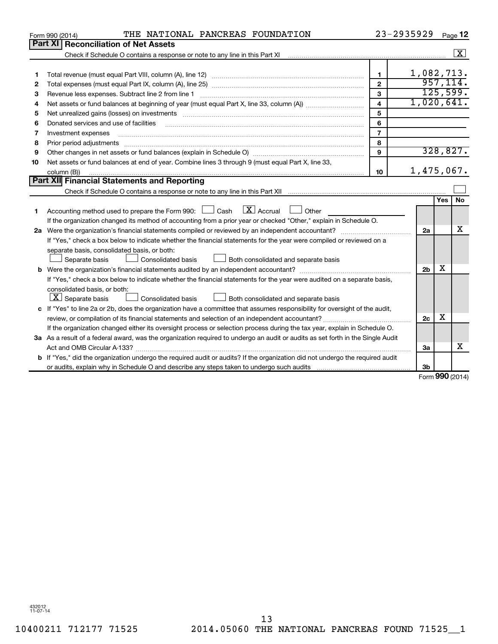|    | THE NATIONAL PANCREAS FOUNDATION<br>Form 990 (2014)                                                                                                                                                                           |                         | 23-2935929     |                   | Page 12                 |
|----|-------------------------------------------------------------------------------------------------------------------------------------------------------------------------------------------------------------------------------|-------------------------|----------------|-------------------|-------------------------|
|    | Part XI<br><b>Reconciliation of Net Assets</b>                                                                                                                                                                                |                         |                |                   |                         |
|    |                                                                                                                                                                                                                               |                         |                |                   | $\overline{\mathbf{x}}$ |
|    |                                                                                                                                                                                                                               |                         |                |                   |                         |
| 1  |                                                                                                                                                                                                                               | 1.                      | 1,082,713.     |                   |                         |
| 2  |                                                                                                                                                                                                                               | $\overline{2}$          |                |                   | 957, 114.               |
| 3  | Revenue less expenses. Subtract line 2 from line 1                                                                                                                                                                            | 3                       |                |                   | 125,599.                |
| 4  |                                                                                                                                                                                                                               | $\overline{\mathbf{4}}$ | 1,020,641.     |                   |                         |
| 5  | Net unrealized gains (losses) on investments [11] matter in the content of the state of the state of the state of the state of the state of the state of the state of the state of the state of the state of the state of the | 5                       |                |                   |                         |
| 6  | Donated services and use of facilities                                                                                                                                                                                        | 6                       |                |                   |                         |
| 7  | Investment expenses                                                                                                                                                                                                           | $\overline{7}$          |                |                   |                         |
| 8  | Prior period adjustments                                                                                                                                                                                                      | 8                       |                |                   |                         |
| 9  |                                                                                                                                                                                                                               | 9                       |                |                   | 328,827.                |
| 10 | Net assets or fund balances at end of year. Combine lines 3 through 9 (must equal Part X, line 33,                                                                                                                            |                         |                |                   |                         |
|    | column (B))                                                                                                                                                                                                                   | 10                      | 1,475,067.     |                   |                         |
|    | Part XII Financial Statements and Reporting                                                                                                                                                                                   |                         |                |                   |                         |
|    |                                                                                                                                                                                                                               |                         |                |                   |                         |
|    |                                                                                                                                                                                                                               |                         |                | Yes               | No                      |
| 1  | $\lfloor x \rfloor$ Accrual<br>Accounting method used to prepare the Form 990: $\Box$ Cash<br>Other                                                                                                                           |                         |                |                   |                         |
|    | If the organization changed its method of accounting from a prior year or checked "Other," explain in Schedule O.                                                                                                             |                         |                |                   |                         |
|    |                                                                                                                                                                                                                               |                         | 2a             |                   | x                       |
|    | If "Yes," check a box below to indicate whether the financial statements for the year were compiled or reviewed on a                                                                                                          |                         |                |                   |                         |
|    | separate basis, consolidated basis, or both:                                                                                                                                                                                  |                         |                |                   |                         |
|    | Both consolidated and separate basis<br>Separate basis<br>Consolidated basis                                                                                                                                                  |                         |                |                   |                         |
|    |                                                                                                                                                                                                                               |                         | 2 <sub>b</sub> | x                 |                         |
|    | If "Yes," check a box below to indicate whether the financial statements for the year were audited on a separate basis,                                                                                                       |                         |                |                   |                         |
|    | consolidated basis, or both:                                                                                                                                                                                                  |                         |                |                   |                         |
|    | $\lfloor x \rfloor$ Separate basis<br>Consolidated basis<br>Both consolidated and separate basis                                                                                                                              |                         |                |                   |                         |
|    | c If "Yes" to line 2a or 2b, does the organization have a committee that assumes responsibility for oversight of the audit,                                                                                                   |                         |                |                   |                         |
|    |                                                                                                                                                                                                                               |                         | 2c             | х                 |                         |
|    | If the organization changed either its oversight process or selection process during the tax year, explain in Schedule O.                                                                                                     |                         |                |                   |                         |
|    | 3a As a result of a federal award, was the organization required to undergo an audit or audits as set forth in the Single Audit                                                                                               |                         |                |                   |                         |
|    | Act and OMB Circular A-133?                                                                                                                                                                                                   |                         | 3a             |                   | x                       |
|    | <b>b</b> If "Yes," did the organization undergo the required audit or audits? If the organization did not undergo the required audit                                                                                          |                         |                |                   |                         |
|    |                                                                                                                                                                                                                               |                         | 3b             | $000 \, \text{m}$ |                         |
|    |                                                                                                                                                                                                                               |                         |                |                   |                         |

Form (2014) **990**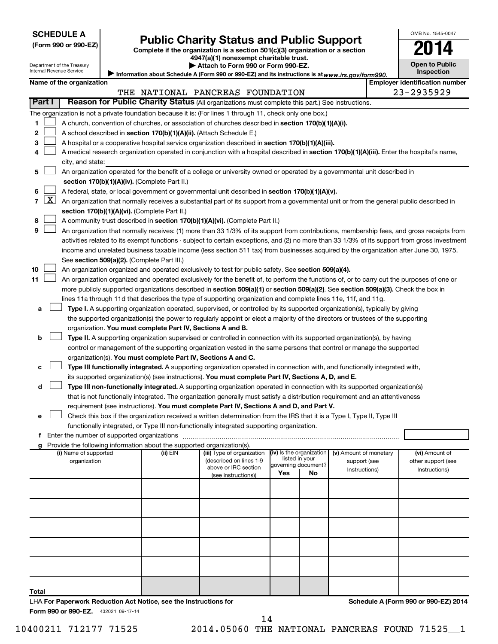Department of the Treasury Internal Revenue Service

# Form 990 or 990-EZ) **Public Charity Status and Public Support**<br>
Complete if the organization is a section 501(c)(3) organization or a section<br> **2014**

**4947(a)(1) nonexempt charitable trust. | Attach to Form 990 or Form 990-EZ.** 

| U                                   |  |
|-------------------------------------|--|
| Open to Public<br><b>Inspection</b> |  |

**Employer identification number** 

OMB No. 1545-0047

Information about Schedule A (Form 990 or 990-EZ) and its instructions is at www.irs.gov/form990.

| Name of the organization |      |
|--------------------------|------|
|                          | THE. |

|                          |                                                                                                                                               | THE NATIONAL PANCREAS FOUNDATION                                                                                     |                     |    |               | 23-2935929                           |  |
|--------------------------|-----------------------------------------------------------------------------------------------------------------------------------------------|----------------------------------------------------------------------------------------------------------------------|---------------------|----|---------------|--------------------------------------|--|
| Part I                   | Reason for Public Charity Status (All organizations must complete this part.) See instructions.                                               |                                                                                                                      |                     |    |               |                                      |  |
|                          | The organization is not a private foundation because it is: (For lines 1 through 11, check only one box.)                                     |                                                                                                                      |                     |    |               |                                      |  |
| 1                        | A church, convention of churches, or association of churches described in section 170(b)(1)(A)(i).                                            |                                                                                                                      |                     |    |               |                                      |  |
| 2                        | A school described in section 170(b)(1)(A)(ii). (Attach Schedule E.)                                                                          |                                                                                                                      |                     |    |               |                                      |  |
| з                        | A hospital or a cooperative hospital service organization described in section 170(b)(1)(A)(iii).                                             |                                                                                                                      |                     |    |               |                                      |  |
|                          |                                                                                                                                               |                                                                                                                      |                     |    |               |                                      |  |
|                          | A medical research organization operated in conjunction with a hospital described in section 170(b)(1)(A)(iii). Enter the hospital's name,    |                                                                                                                      |                     |    |               |                                      |  |
|                          | city, and state:                                                                                                                              |                                                                                                                      |                     |    |               |                                      |  |
| 5                        | An organization operated for the benefit of a college or university owned or operated by a governmental unit described in                     |                                                                                                                      |                     |    |               |                                      |  |
|                          | section 170(b)(1)(A)(iv). (Complete Part II.)                                                                                                 |                                                                                                                      |                     |    |               |                                      |  |
| 6                        | A federal, state, or local government or governmental unit described in section 170(b)(1)(A)(v).                                              |                                                                                                                      |                     |    |               |                                      |  |
| $\lfloor x \rfloor$<br>7 | An organization that normally receives a substantial part of its support from a governmental unit or from the general public described in     |                                                                                                                      |                     |    |               |                                      |  |
|                          | section 170(b)(1)(A)(vi). (Complete Part II.)                                                                                                 |                                                                                                                      |                     |    |               |                                      |  |
| 8                        | A community trust described in section 170(b)(1)(A)(vi). (Complete Part II.)                                                                  |                                                                                                                      |                     |    |               |                                      |  |
| 9                        | An organization that normally receives: (1) more than 33 1/3% of its support from contributions, membership fees, and gross receipts from     |                                                                                                                      |                     |    |               |                                      |  |
|                          | activities related to its exempt functions - subject to certain exceptions, and (2) no more than 33 1/3% of its support from gross investment |                                                                                                                      |                     |    |               |                                      |  |
|                          | income and unrelated business taxable income (less section 511 tax) from businesses acquired by the organization after June 30, 1975.         |                                                                                                                      |                     |    |               |                                      |  |
|                          | See section 509(a)(2). (Complete Part III.)                                                                                                   |                                                                                                                      |                     |    |               |                                      |  |
| 10                       | An organization organized and operated exclusively to test for public safety. See section 509(a)(4).                                          |                                                                                                                      |                     |    |               |                                      |  |
| 11                       | An organization organized and operated exclusively for the benefit of, to perform the functions of, or to carry out the purposes of one or    |                                                                                                                      |                     |    |               |                                      |  |
|                          | more publicly supported organizations described in section 509(a)(1) or section 509(a)(2). See section 509(a)(3). Check the box in            |                                                                                                                      |                     |    |               |                                      |  |
|                          | lines 11a through 11d that describes the type of supporting organization and complete lines 11e, 11f, and 11g.                                |                                                                                                                      |                     |    |               |                                      |  |
| а                        | Type I. A supporting organization operated, supervised, or controlled by its supported organization(s), typically by giving                   |                                                                                                                      |                     |    |               |                                      |  |
|                          | the supported organization(s) the power to regularly appoint or elect a majority of the directors or trustees of the supporting               |                                                                                                                      |                     |    |               |                                      |  |
|                          | organization. You must complete Part IV, Sections A and B.                                                                                    |                                                                                                                      |                     |    |               |                                      |  |
| b                        | Type II. A supporting organization supervised or controlled in connection with its supported organization(s), by having                       |                                                                                                                      |                     |    |               |                                      |  |
|                          | control or management of the supporting organization vested in the same persons that control or manage the supported                          |                                                                                                                      |                     |    |               |                                      |  |
|                          | organization(s). You must complete Part IV, Sections A and C.                                                                                 |                                                                                                                      |                     |    |               |                                      |  |
|                          | Type III functionally integrated. A supporting organization operated in connection with, and functionally integrated with,                    |                                                                                                                      |                     |    |               |                                      |  |
|                          |                                                                                                                                               |                                                                                                                      |                     |    |               |                                      |  |
|                          | its supported organization(s) (see instructions). You must complete Part IV, Sections A, D, and E.                                            |                                                                                                                      |                     |    |               |                                      |  |
| d                        | Type III non-functionally integrated. A supporting organization operated in connection with its supported organization(s)                     |                                                                                                                      |                     |    |               |                                      |  |
|                          | that is not functionally integrated. The organization generally must satisfy a distribution requirement and an attentiveness                  |                                                                                                                      |                     |    |               |                                      |  |
|                          | requirement (see instructions). You must complete Part IV, Sections A and D, and Part V.                                                      |                                                                                                                      |                     |    |               |                                      |  |
| е                        | Check this box if the organization received a written determination from the IRS that it is a Type I, Type II, Type III                       |                                                                                                                      |                     |    |               |                                      |  |
|                          | functionally integrated, or Type III non-functionally integrated supporting organization.                                                     |                                                                                                                      |                     |    |               |                                      |  |
|                          | Enter the number of supported organizations                                                                                                   |                                                                                                                      |                     |    |               |                                      |  |
|                          | Provide the following information about the supported organization(s).                                                                        | $\frac{1}{2}$ (iii) Type of organization $\frac{1}{2}$ (iv) Is the organization $\frac{1}{2}$ (v) Amount of monetary |                     |    |               |                                      |  |
|                          | (i) Name of supported (ii) EIN<br>organization                                                                                                | (described on lines 1-9                                                                                              | listed in your      |    | support (see  | (vi) Amount of<br>other support (see |  |
|                          |                                                                                                                                               | above or IRC section                                                                                                 | governing document? |    | Instructions) | Instructions)                        |  |
|                          |                                                                                                                                               | (see instructions))                                                                                                  | Yes                 | No |               |                                      |  |
|                          |                                                                                                                                               |                                                                                                                      |                     |    |               |                                      |  |
|                          |                                                                                                                                               |                                                                                                                      |                     |    |               |                                      |  |
|                          |                                                                                                                                               |                                                                                                                      |                     |    |               |                                      |  |
|                          |                                                                                                                                               |                                                                                                                      |                     |    |               |                                      |  |
|                          |                                                                                                                                               |                                                                                                                      |                     |    |               |                                      |  |
|                          |                                                                                                                                               |                                                                                                                      |                     |    |               |                                      |  |
|                          |                                                                                                                                               |                                                                                                                      |                     |    |               |                                      |  |
|                          |                                                                                                                                               |                                                                                                                      |                     |    |               |                                      |  |
|                          |                                                                                                                                               |                                                                                                                      |                     |    |               |                                      |  |
|                          |                                                                                                                                               |                                                                                                                      |                     |    |               |                                      |  |
| Total                    |                                                                                                                                               |                                                                                                                      |                     |    |               |                                      |  |
|                          |                                                                                                                                               |                                                                                                                      |                     |    |               |                                      |  |

Form 990 or 990-EZ. 432021 09-17-14 LHA **For Paperwork Reduction Act Notice, see the Instructions for**  **Schedule A (Form 990 or 990-EZ) 2014**

10400211 712177 71525 2014.05060 THE NATIONAL PANCREAS FOUND 71525\_\_1 14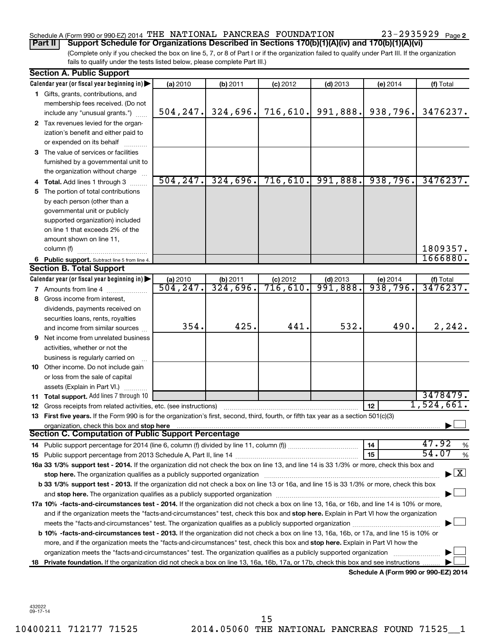### Schedule A (Form 990 or 990-EZ) 2014  $\,$  THE NATIONAL PANCREAS FOUNDATION  $\,$  23-2935929  $\,$  Page

(Complete only if you checked the box on line 5, 7, or 8 of Part I or if the organization failed to qualify under Part III. If the organization fails to qualify under the tests listed below, please complete Part III.) **Part II Support Schedule for Organizations Described in Sections 170(b)(1)(A)(iv) and 170(b)(1)(A)(vi)**

|    | <b>Section A. Public Support</b>                                                                                                                                                                                                                                          |           |          |            |            |                                      |               |  |
|----|---------------------------------------------------------------------------------------------------------------------------------------------------------------------------------------------------------------------------------------------------------------------------|-----------|----------|------------|------------|--------------------------------------|---------------|--|
|    | Calendar year (or fiscal year beginning in)                                                                                                                                                                                                                               | (a) 2010  | (b) 2011 | $(c)$ 2012 | $(d)$ 2013 | (e) 2014                             | (f) Total     |  |
|    | 1 Gifts, grants, contributions, and                                                                                                                                                                                                                                       |           |          |            |            |                                      |               |  |
|    | membership fees received. (Do not                                                                                                                                                                                                                                         |           |          |            |            |                                      |               |  |
|    | include any "unusual grants.")                                                                                                                                                                                                                                            | 504, 247. | 324,696. | 716,610.   | 991,888.   | 938,796.                             | 3476237.      |  |
|    | 2 Tax revenues levied for the organ-                                                                                                                                                                                                                                      |           |          |            |            |                                      |               |  |
|    | ization's benefit and either paid to                                                                                                                                                                                                                                      |           |          |            |            |                                      |               |  |
|    | or expended on its behalf                                                                                                                                                                                                                                                 |           |          |            |            |                                      |               |  |
|    | 3 The value of services or facilities                                                                                                                                                                                                                                     |           |          |            |            |                                      |               |  |
|    | furnished by a governmental unit to                                                                                                                                                                                                                                       |           |          |            |            |                                      |               |  |
|    | the organization without charge                                                                                                                                                                                                                                           |           |          |            |            |                                      |               |  |
|    | 4 Total. Add lines 1 through 3                                                                                                                                                                                                                                            | 504, 247. | 324,696. | 716,610.   | 991,888.   | 938,796.                             | 3476237.      |  |
| 5. | The portion of total contributions                                                                                                                                                                                                                                        |           |          |            |            |                                      |               |  |
|    | by each person (other than a                                                                                                                                                                                                                                              |           |          |            |            |                                      |               |  |
|    | governmental unit or publicly                                                                                                                                                                                                                                             |           |          |            |            |                                      |               |  |
|    | supported organization) included                                                                                                                                                                                                                                          |           |          |            |            |                                      |               |  |
|    | on line 1 that exceeds 2% of the                                                                                                                                                                                                                                          |           |          |            |            |                                      |               |  |
|    | amount shown on line 11,                                                                                                                                                                                                                                                  |           |          |            |            |                                      |               |  |
|    | column (f)                                                                                                                                                                                                                                                                |           |          |            |            |                                      | 1809357.      |  |
|    | 6 Public support. Subtract line 5 from line 4.                                                                                                                                                                                                                            |           |          |            |            |                                      | 1666880.      |  |
|    | <b>Section B. Total Support</b>                                                                                                                                                                                                                                           |           |          |            |            |                                      |               |  |
|    | Calendar year (or fiscal year beginning in)                                                                                                                                                                                                                               | (a) 2010  | (b) 2011 | $(c)$ 2012 | $(d)$ 2013 | (e) 2014                             | (f) Total     |  |
|    | <b>7</b> Amounts from line 4                                                                                                                                                                                                                                              | 504, 247. | 324,696. | 716,610.   | 991,888.   | 938,796.                             | 3476237.      |  |
|    | 8 Gross income from interest,                                                                                                                                                                                                                                             |           |          |            |            |                                      |               |  |
|    | dividends, payments received on                                                                                                                                                                                                                                           |           |          |            |            |                                      |               |  |
|    | securities loans, rents, royalties                                                                                                                                                                                                                                        |           |          |            |            |                                      |               |  |
|    | and income from similar sources                                                                                                                                                                                                                                           | 354.      | 425.     | 441        | 532.       | 490.                                 | 2, 242.       |  |
|    | 9 Net income from unrelated business                                                                                                                                                                                                                                      |           |          |            |            |                                      |               |  |
|    | activities, whether or not the                                                                                                                                                                                                                                            |           |          |            |            |                                      |               |  |
|    | business is regularly carried on                                                                                                                                                                                                                                          |           |          |            |            |                                      |               |  |
|    | 10 Other income. Do not include gain                                                                                                                                                                                                                                      |           |          |            |            |                                      |               |  |
|    | or loss from the sale of capital                                                                                                                                                                                                                                          |           |          |            |            |                                      |               |  |
|    | assets (Explain in Part VI.)                                                                                                                                                                                                                                              |           |          |            |            |                                      |               |  |
|    | 11 Total support. Add lines 7 through 10                                                                                                                                                                                                                                  |           |          |            |            |                                      | 3478479.      |  |
|    | <b>12</b> Gross receipts from related activities, etc. (see instructions)                                                                                                                                                                                                 |           |          |            |            | 12                                   | 1,524,661.    |  |
|    | 13 First five years. If the Form 990 is for the organization's first, second, third, fourth, or fifth tax year as a section 501(c)(3)                                                                                                                                     |           |          |            |            |                                      |               |  |
|    | organization, check this box and stop here                                                                                                                                                                                                                                |           |          |            |            |                                      |               |  |
|    | Section C. Computation of Public Support Percentage                                                                                                                                                                                                                       |           |          |            |            |                                      |               |  |
|    |                                                                                                                                                                                                                                                                           |           |          |            |            | 14                                   | 47.92<br>%    |  |
|    |                                                                                                                                                                                                                                                                           |           |          |            |            | 15                                   | 54.07<br>$\%$ |  |
|    | 16a 33 1/3% support test - 2014. If the organization did not check the box on line 13, and line 14 is 33 1/3% or more, check this box and                                                                                                                                 |           |          |            |            |                                      |               |  |
|    | $\blacktriangleright$ $\boxed{\text{X}}$<br>stop here. The organization qualifies as a publicly supported organization manufaction manufacture or the organization manufacture or the state of the state of the state of the state of the state of the state of the state |           |          |            |            |                                      |               |  |
|    | b 33 1/3% support test - 2013. If the organization did not check a box on line 13 or 16a, and line 15 is 33 1/3% or more, check this box                                                                                                                                  |           |          |            |            |                                      |               |  |
|    |                                                                                                                                                                                                                                                                           |           |          |            |            |                                      |               |  |
|    | 17a 10% -facts-and-circumstances test - 2014. If the organization did not check a box on line 13, 16a, or 16b, and line 14 is 10% or more,                                                                                                                                |           |          |            |            |                                      |               |  |
|    | and if the organization meets the "facts-and-circumstances" test, check this box and stop here. Explain in Part VI how the organization                                                                                                                                   |           |          |            |            |                                      |               |  |
|    |                                                                                                                                                                                                                                                                           |           |          |            |            |                                      |               |  |
|    | b 10% -facts-and-circumstances test - 2013. If the organization did not check a box on line 13, 16a, 16b, or 17a, and line 15 is 10% or                                                                                                                                   |           |          |            |            |                                      |               |  |
|    | more, and if the organization meets the "facts-and-circumstances" test, check this box and stop here. Explain in Part VI how the                                                                                                                                          |           |          |            |            |                                      |               |  |
|    | organization meets the "facts-and-circumstances" test. The organization qualifies as a publicly supported organization                                                                                                                                                    |           |          |            |            |                                      |               |  |
|    | 18 Private foundation. If the organization did not check a box on line 13, 16a, 16b, 17a, or 17b, check this box and see instructions                                                                                                                                     |           |          |            |            |                                      |               |  |
|    |                                                                                                                                                                                                                                                                           |           |          |            |            | Schedule A (Form 990 or 990-EZ) 2014 |               |  |

432022 09-17-14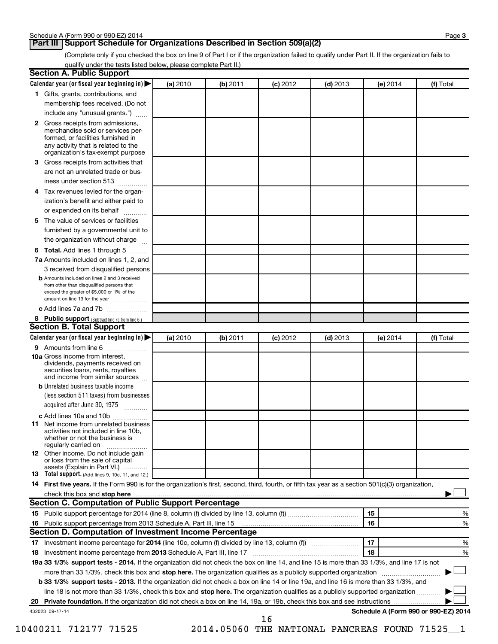### **Part III Support Schedule for Organizations Described in Section 509(a)(2)**

(Complete only if you checked the box on line 9 of Part I or if the organization failed to qualify under Part II. If the organization fails to qualify under the tests listed below, please complete Part II.)

| <b>Section A. Public Support</b>                                                                                                                                                                                                                          |          |          |            |            |                                      |           |
|-----------------------------------------------------------------------------------------------------------------------------------------------------------------------------------------------------------------------------------------------------------|----------|----------|------------|------------|--------------------------------------|-----------|
| Calendar year (or fiscal year beginning in)                                                                                                                                                                                                               | (a) 2010 | (b) 2011 | $(c)$ 2012 | $(d)$ 2013 | (e) 2014                             | (f) Total |
| 1 Gifts, grants, contributions, and                                                                                                                                                                                                                       |          |          |            |            |                                      |           |
| membership fees received. (Do not                                                                                                                                                                                                                         |          |          |            |            |                                      |           |
| include any "unusual grants.")                                                                                                                                                                                                                            |          |          |            |            |                                      |           |
| 2 Gross receipts from admissions,<br>merchandise sold or services per-<br>formed, or facilities furnished in<br>any activity that is related to the<br>organization's tax-exempt purpose                                                                  |          |          |            |            |                                      |           |
| 3 Gross receipts from activities that                                                                                                                                                                                                                     |          |          |            |            |                                      |           |
| are not an unrelated trade or bus-                                                                                                                                                                                                                        |          |          |            |            |                                      |           |
| iness under section 513                                                                                                                                                                                                                                   |          |          |            |            |                                      |           |
| 4 Tax revenues levied for the organ-                                                                                                                                                                                                                      |          |          |            |            |                                      |           |
| ization's benefit and either paid to<br>or expended on its behalf<br>.                                                                                                                                                                                    |          |          |            |            |                                      |           |
| 5 The value of services or facilities                                                                                                                                                                                                                     |          |          |            |            |                                      |           |
| furnished by a governmental unit to                                                                                                                                                                                                                       |          |          |            |            |                                      |           |
| the organization without charge                                                                                                                                                                                                                           |          |          |            |            |                                      |           |
| 6 Total. Add lines 1 through 5                                                                                                                                                                                                                            |          |          |            |            |                                      |           |
| 7a Amounts included on lines 1, 2, and                                                                                                                                                                                                                    |          |          |            |            |                                      |           |
| 3 received from disqualified persons                                                                                                                                                                                                                      |          |          |            |            |                                      |           |
| <b>b</b> Amounts included on lines 2 and 3 received<br>from other than disqualified persons that<br>exceed the greater of \$5,000 or 1% of the<br>amount on line 13 for the year                                                                          |          |          |            |            |                                      |           |
| c Add lines 7a and 7b                                                                                                                                                                                                                                     |          |          |            |            |                                      |           |
| 8 Public support (Subtract line 7c from line 6.)                                                                                                                                                                                                          |          |          |            |            |                                      |           |
| <b>Section B. Total Support</b>                                                                                                                                                                                                                           |          |          |            |            |                                      |           |
| Calendar year (or fiscal year beginning in)                                                                                                                                                                                                               | (a) 2010 | (b) 2011 | $(c)$ 2012 | $(d)$ 2013 | (e) 2014                             | (f) Total |
| 9 Amounts from line 6                                                                                                                                                                                                                                     |          |          |            |            |                                      |           |
| <b>10a</b> Gross income from interest,<br>dividends, payments received on<br>securities loans, rents, royalties<br>and income from similar sources                                                                                                        |          |          |            |            |                                      |           |
| <b>b</b> Unrelated business taxable income<br>(less section 511 taxes) from businesses<br>acquired after June 30, 1975<br>$\overline{\phantom{a}}$                                                                                                        |          |          |            |            |                                      |           |
| c Add lines 10a and 10b<br><b>11</b> Net income from unrelated business<br>activities not included in line 10b.<br>whether or not the business is<br>regularly carried on                                                                                 |          |          |            |            |                                      |           |
| 12 Other income. Do not include gain<br>or loss from the sale of capital<br>assets (Explain in Part VI.)                                                                                                                                                  |          |          |            |            |                                      |           |
| <b>13</b> Total support. (Add lines 9, 10c, 11, and 12.)                                                                                                                                                                                                  |          |          |            |            |                                      |           |
| 14 First five years. If the Form 990 is for the organization's first, second, third, fourth, or fifth tax year as a section 501(c)(3) organization,                                                                                                       |          |          |            |            |                                      |           |
| check this box and stop here                                                                                                                                                                                                                              |          |          |            |            |                                      |           |
| <b>Section C. Computation of Public Support Percentage</b>                                                                                                                                                                                                |          |          |            |            |                                      |           |
|                                                                                                                                                                                                                                                           |          |          |            |            | 15                                   | %         |
| Section D. Computation of Investment Income Percentage                                                                                                                                                                                                    |          |          |            |            | 16                                   | %         |
|                                                                                                                                                                                                                                                           |          |          |            |            | 17                                   |           |
|                                                                                                                                                                                                                                                           |          |          |            |            |                                      | %         |
| 18 Investment income percentage from 2013 Schedule A, Part III, line 17                                                                                                                                                                                   |          |          |            |            | 18                                   | %         |
| 19a 33 1/3% support tests - 2014. If the organization did not check the box on line 14, and line 15 is more than 33 1/3%, and line 17 is not                                                                                                              |          |          |            |            |                                      |           |
| more than 33 1/3%, check this box and stop here. The organization qualifies as a publicly supported organization<br>b 33 1/3% support tests - 2013. If the organization did not check a box on line 14 or line 19a, and line 16 is more than 33 1/3%, and |          |          |            |            |                                      |           |
| line 18 is not more than 33 1/3%, check this box and stop here. The organization qualifies as a publicly supported organization                                                                                                                           |          |          |            |            |                                      |           |
|                                                                                                                                                                                                                                                           |          |          |            |            |                                      |           |
| 432023 09-17-14                                                                                                                                                                                                                                           |          |          | 16         |            | Schedule A (Form 990 or 990-EZ) 2014 |           |

10400211 712177 71525 2014.05060 THE NATIONAL PANCREAS FOUND 71525\_\_1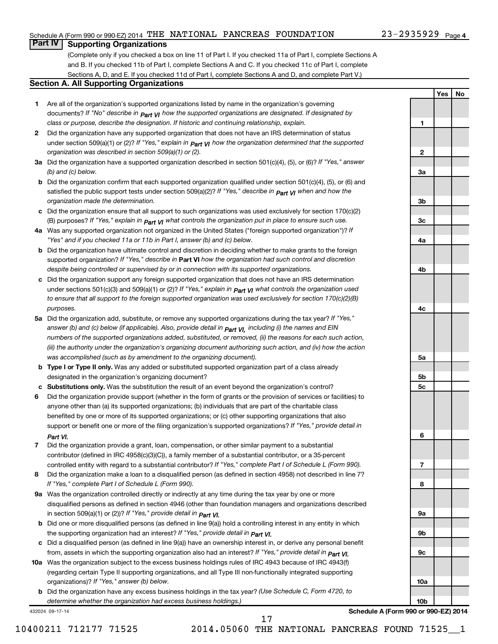### Schedule A (Form 990 or 990-EZ) 2014 THE NATIONAL PANCREAS FOUNDATION  $_{\rm 23-2935929~\,Page}$

### 23-2935929 Page 4

**1**

**2**

**Yes No**

### **Part IV Supporting Organizations**

(Complete only if you checked a box on line 11 of Part I. If you checked 11a of Part I, complete Sections A and B. If you checked 11b of Part I, complete Sections A and C. If you checked 11c of Part I, complete Sections A, D, and E. If you checked 11d of Part I, complete Sections A and D, and complete Part V.)

### **Section A. All Supporting Organizations**

- **1** Are all of the organization's supported organizations listed by name in the organization's governing documents? If "No" describe in  $_{\mathsf{Part}}$   $_{\mathsf{V}}$  how the supported organizations are designated. If designated by *class or purpose, describe the designation. If historic and continuing relationship, explain.*
- **2** Did the organization have any supported organization that does not have an IRS determination of status under section 509(a)(1) or (2)? If "Yes," explain in  $_{\sf Part}$   $_{\sf VI}$  how the organization determined that the supported *organization was described in section 509(a)(1) or (2).*
- **3a** Did the organization have a supported organization described in section 501(c)(4), (5), or (6)? If "Yes," answer *(b) and (c) below.*
- **b** Did the organization confirm that each supported organization qualified under section 501(c)(4), (5), or (6) and satisfied the public support tests under section 509(a)(2)? If "Yes," describe in  $_{\rm Part}$   $_{\rm VI}$  when and how the *organization made the determination.*
- **c** Did the organization ensure that all support to such organizations was used exclusively for section 170(c)(2) (B) purposes? If "Yes," explain in  $_{\mathsf{Part}}$   $_{\mathsf{V}}$  what controls the organization put in place to ensure such use.
- **4 a** *If* Was any supported organization not organized in the United States ("foreign supported organization")? *"Yes" and if you checked 11a or 11b in Part I, answer (b) and (c) below.*
- **b** Did the organization have ultimate control and discretion in deciding whether to make grants to the foreign supported organization? If "Yes," describe in Part VI how the organization had such control and discretion *despite being controlled or supervised by or in connection with its supported organizations.*
- **c** Did the organization support any foreign supported organization that does not have an IRS determination under sections 501(c)(3) and 509(a)(1) or (2)? If "Yes," ex*plain in*  $_{\sf Part}$  *v*J what controls the organization used *to ensure that all support to the foreign supported organization was used exclusively for section 170(c)(2)(B) purposes.*
- **5a** Did the organization add, substitute, or remove any supported organizations during the tax year? If "Yes," answer (b) and (c) below (if applicable). Also, provide detail in  $_{\mathsf{Part}}$   $_{\mathsf{V{\mathsf{I}}}}$ , including (i) the names and EIN *numbers of the supported organizations added, substituted, or removed, (ii) the reasons for each such action, (iii) the authority under the organization's organizing document authorizing such action, and (iv) how the action was accomplished (such as by amendment to the organizing document).*
- **b** Type I or Type II only. Was any added or substituted supported organization part of a class already designated in the organization's organizing document?
- **c Substitutions only.**  Was the substitution the result of an event beyond the organization's control?
- **6** Did the organization provide support (whether in the form of grants or the provision of services or facilities) to support or benefit one or more of the filing organization's supported organizations? If "Yes," provide detail in anyone other than (a) its supported organizations; (b) individuals that are part of the charitable class benefited by one or more of its supported organizations; or (c) other supporting organizations that also *Part VI.*
- **7** Did the organization provide a grant, loan, compensation, or other similar payment to a substantial controlled entity with regard to a substantial contributor? If "Yes," complete Part I of Schedule L (Form 990). contributor (defined in IRC 4958(c)(3)(C)), a family member of a substantial contributor, or a 35-percent
- **8** Did the organization make a loan to a disqualified person (as defined in section 4958) not described in line 7? *If "Yes," complete Part I of Schedule L (Form 990).*
- **9 a** Was the organization controlled directly or indirectly at any time during the tax year by one or more *If "Yes," provide detail in*  in section 509(a)(1) or (2))? *Part VI.* disqualified persons as defined in section 4946 (other than foundation managers and organizations described
- **b** Did one or more disqualified persons (as defined in line 9(a)) hold a controlling interest in any entity in which  *If "Yes," provide detail in*  the supporting organization had an interest? *Part VI.*
- **c** Did a disqualified person (as defined in line 9(a)) have an ownership interest in, or derive any personal benefit from, assets in which the supporting organization also had an interest? If "Yes," *provide detail in Part VI.*
- **10 a** Was the organization subject to the excess business holdings rules of IRC 4943 because of IRC 4943(f)  *If "Yes," answer (b) below.* organizations)? (regarding certain Type II supporting organizations, and all Type III non-functionally integrated supporting
	- **b** Did the organization have any excess business holdings in the tax year? (Use Schedule C, Form 4720, to *determine whether the organization had excess business holdings.)*

432024 09-17-14

**Schedule A (Form 990 or 990-EZ) 2014**

17

**3a 3b 3c 4a 4b 4c 5a 5b 5c 6 7 8 9a 9b 9c 10a 10b**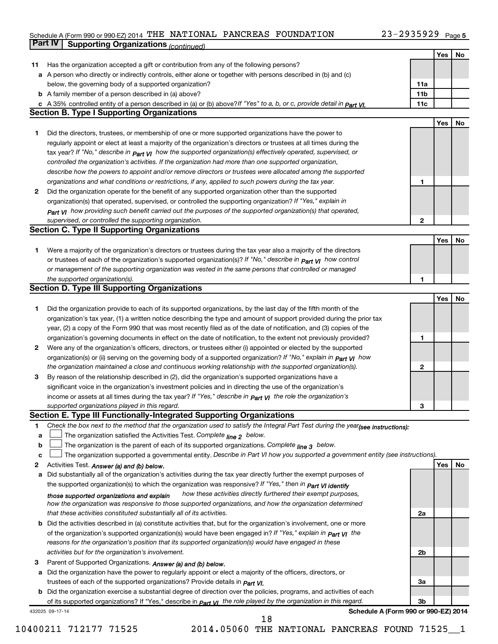#### Schedule A (Form 990 or 990-EZ) 2014 'I'HE NATIONAL PANCREAS FOUNDA'I'ION  $23-2935929$  Page THE NATIONAL PANCREAS FOUNDATION 23-2935929

|    | <b>Part IV</b>  | <b>Supporting Organizations (continued)</b>                                                                                       |                 |     |    |
|----|-----------------|-----------------------------------------------------------------------------------------------------------------------------------|-----------------|-----|----|
|    |                 |                                                                                                                                   |                 | Yes | No |
| 11 |                 | Has the organization accepted a gift or contribution from any of the following persons?                                           |                 |     |    |
| а  |                 | A person who directly or indirectly controls, either alone or together with persons described in (b) and (c)                      |                 |     |    |
|    |                 | below, the governing body of a supported organization?                                                                            | 11a             |     |    |
|    |                 | <b>b</b> A family member of a person described in (a) above?                                                                      | 11 <sub>b</sub> |     |    |
|    |                 | c A 35% controlled entity of a person described in (a) or (b) above?If "Yes" to a, b, or c, provide detail in Part VI.            | 11c             |     |    |
|    |                 | <b>Section B. Type I Supporting Organizations</b>                                                                                 |                 |     |    |
|    |                 |                                                                                                                                   |                 | Yes | No |
| 1. |                 | Did the directors, trustees, or membership of one or more supported organizations have the power to                               |                 |     |    |
|    |                 | regularly appoint or elect at least a majority of the organization's directors or trustees at all times during the                |                 |     |    |
|    |                 | tax year? If "No," describe in $_{Part}$ $_{VI}$ how the supported organization(s) effectively operated, supervised, or           |                 |     |    |
|    |                 | controlled the organization's activities. If the organization had more than one supported organization,                           |                 |     |    |
|    |                 | describe how the powers to appoint and/or remove directors or trustees were allocated among the supported                         |                 |     |    |
|    |                 | organizations and what conditions or restrictions, if any, applied to such powers during the tax year.                            | 1               |     |    |
| 2  |                 | Did the organization operate for the benefit of any supported organization other than the supported                               |                 |     |    |
|    |                 | organization(s) that operated, supervised, or controlled the supporting organization? If "Yes," explain in                        |                 |     |    |
|    |                 | $_{Part}$ v <sub>1</sub> how providing such benefit carried out the purposes of the supported organization(s) that operated,      |                 |     |    |
|    |                 | supervised, or controlled the supporting organization.                                                                            | $\mathbf{2}$    |     |    |
|    |                 | <b>Section C. Type II Supporting Organizations</b>                                                                                |                 |     |    |
|    |                 |                                                                                                                                   |                 | Yes | No |
| 1. |                 | Were a majority of the organization's directors or trustees during the tax year also a majority of the directors                  |                 |     |    |
|    |                 | or trustees of each of the organization's supported organization(s)? If "No," describe in <b>Part VI</b> how control              |                 |     |    |
|    |                 | or management of the supporting organization was vested in the same persons that controlled or managed                            |                 |     |    |
|    |                 | the supported organization(s).                                                                                                    | 1               |     |    |
|    |                 | <b>Section D. Type III Supporting Organizations</b>                                                                               |                 |     |    |
|    |                 |                                                                                                                                   |                 | Yes | No |
| 1  |                 | Did the organization provide to each of its supported organizations, by the last day of the fifth month of the                    |                 |     |    |
|    |                 | organization's tax year, (1) a written notice describing the type and amount of support provided during the prior tax             |                 |     |    |
|    |                 | year, (2) a copy of the Form 990 that was most recently filed as of the date of notification, and (3) copies of the               |                 |     |    |
|    |                 | organization's governing documents in effect on the date of notification, to the extent not previously provided?                  | 1               |     |    |
| 2  |                 | Were any of the organization's officers, directors, or trustees either (i) appointed or elected by the supported                  |                 |     |    |
|    |                 | organization(s) or (ii) serving on the governing body of a supported organization? If "No," explain in part VI how                |                 |     |    |
|    |                 | the organization maintained a close and continuous working relationship with the supported organization(s).                       | $\mathbf{2}$    |     |    |
| 3  |                 | By reason of the relationship described in (2), did the organization's supported organizations have a                             |                 |     |    |
|    |                 | significant voice in the organization's investment policies and in directing the use of the organization's                        |                 |     |    |
|    |                 | income or assets at all times during the tax year? If "Yes," describe in $_{Part}$ y the role the organization's                  |                 |     |    |
|    |                 | supported organizations played in this regard.                                                                                    | З               |     |    |
|    |                 | Section E. Type III Functionally-Integrated Supporting Organizations                                                              |                 |     |    |
| 1  |                 | Check the box next to the method that the organization used to satisfy the Integral Part Test during the year(see instructions):  |                 |     |    |
| a  |                 | The organization satisfied the Activities Test. Complete line 2 below.                                                            |                 |     |    |
| b  |                 | The organization is the parent of each of its supported organizations. Complete line 3 below.                                     |                 |     |    |
| c  |                 | The organization supported a governmental entity. Describe in Part VI how you supported a government entity (see instructions).   |                 |     |    |
| 2  |                 | Activities Test. Answer (a) and (b) below.                                                                                        |                 | Yes | No |
| а  |                 | Did substantially all of the organization's activities during the tax year directly further the exempt purposes of                |                 |     |    |
|    |                 | the supported organization(s) to which the organization was responsive? If "Yes," then in Part VI identify                        |                 |     |    |
|    |                 | how these activities directly furthered their exempt purposes,<br>those supported organizations and explain                       |                 |     |    |
|    |                 | how the organization was responsive to those supported organizations, and how the organization determined                         |                 |     |    |
|    |                 | that these activities constituted substantially all of its activities.                                                            | 2a              |     |    |
| b  |                 | Did the activities described in (a) constitute activities that, but for the organization's involvement, one or more               |                 |     |    |
|    |                 | of the organization's supported organization(s) would have been engaged in? If "Yes," explain in $P_{art}$ $V_I$ the              |                 |     |    |
|    |                 | reasons for the organization's position that its supported organization(s) would have engaged in these                            |                 |     |    |
|    |                 | activities but for the organization's involvement.                                                                                | 2b              |     |    |
| 3  |                 | Parent of Supported Organizations. Answer (a) and (b) below.                                                                      |                 |     |    |
| а  |                 | Did the organization have the power to regularly appoint or elect a majority of the officers, directors, or                       |                 |     |    |
|    |                 | trustees of each of the supported organizations? Provide details in <i>Part VI.</i>                                               | За              |     |    |
| b  |                 | Did the organization exercise a substantial degree of direction over the policies, programs, and activities of each               |                 |     |    |
|    |                 | of its supported organizations? If "Yes," describe in $P_{\text{diff}}$ $y_1$ the role played by the organization in this regard. | Зb              |     |    |
|    | 432025 09-17-14 | Schedule A (Form 990 or 990-EZ) 2014                                                                                              |                 |     |    |

10400211 712177 71525 2014.05060 THE NATIONAL PANCREAS FOUND 71525\_\_1

18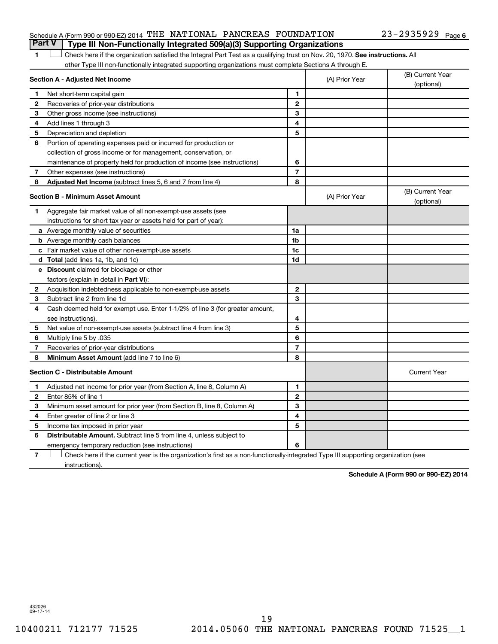### Schedule A (Form 990 or 990-EZ) 2014 THE NATIONAL PANCREAS FOUNDATION  $_{\rm 23-2935929~\,Page}$ **Part V Type III Non-Functionally Integrated 509(a)(3) Supporting Organizations**

1 **Letter on Reck here if the organization satisfied the Integral Part Test as a qualifying trust on Nov. 20, 1970. See instructions. All** other Type III non-functionally integrated supporting organizations must complete Sections A through E.

|              | Section A - Adjusted Net Income                                              | (A) Prior Year | (B) Current Year<br>(optional) |                                |
|--------------|------------------------------------------------------------------------------|----------------|--------------------------------|--------------------------------|
| 1            | Net short-term capital gain                                                  | 1              |                                |                                |
| 2            | Recoveries of prior-year distributions                                       | $\mathbf{2}$   |                                |                                |
| З            | Other gross income (see instructions)                                        | 3              |                                |                                |
| 4            | Add lines 1 through 3                                                        | 4              |                                |                                |
| 5            | Depreciation and depletion                                                   | 5              |                                |                                |
| 6            | Portion of operating expenses paid or incurred for production or             |                |                                |                                |
|              | collection of gross income or for management, conservation, or               |                |                                |                                |
|              | maintenance of property held for production of income (see instructions)     | 6              |                                |                                |
| 7            | Other expenses (see instructions)                                            | $\overline{7}$ |                                |                                |
| 8            | Adjusted Net Income (subtract lines 5, 6 and 7 from line 4)                  | 8              |                                |                                |
|              | <b>Section B - Minimum Asset Amount</b>                                      |                | (A) Prior Year                 | (B) Current Year<br>(optional) |
| 1            | Aggregate fair market value of all non-exempt-use assets (see                |                |                                |                                |
|              | instructions for short tax year or assets held for part of year):            |                |                                |                                |
|              | <b>a</b> Average monthly value of securities                                 | 1a             |                                |                                |
|              | <b>b</b> Average monthly cash balances                                       | 1 <sub>b</sub> |                                |                                |
|              | <b>c</b> Fair market value of other non-exempt-use assets                    | 1 <sub>c</sub> |                                |                                |
|              | d Total (add lines 1a, 1b, and 1c)                                           | 1d             |                                |                                |
|              | e Discount claimed for blockage or other                                     |                |                                |                                |
|              | factors (explain in detail in Part VI):                                      |                |                                |                                |
| 2            | Acquisition indebtedness applicable to non-exempt-use assets                 | $\mathbf{2}$   |                                |                                |
| 3            | Subtract line 2 from line 1d                                                 | 3              |                                |                                |
| 4            | Cash deemed held for exempt use. Enter 1-1/2% of line 3 (for greater amount, |                |                                |                                |
|              | see instructions).                                                           | 4              |                                |                                |
| 5            | Net value of non-exempt-use assets (subtract line 4 from line 3)             | 5              |                                |                                |
| 6            | Multiply line 5 by .035                                                      | 6              |                                |                                |
| 7            | Recoveries of prior-year distributions                                       | $\overline{7}$ |                                |                                |
| 8            | Minimum Asset Amount (add line 7 to line 6)                                  | 8              |                                |                                |
|              | <b>Section C - Distributable Amount</b>                                      |                |                                | <b>Current Year</b>            |
| 1            | Adjusted net income for prior year (from Section A, line 8, Column A)        | 1              |                                |                                |
| $\mathbf{2}$ | Enter 85% of line 1                                                          | $\mathbf{2}$   |                                |                                |
| 3            | Minimum asset amount for prior year (from Section B, line 8, Column A)       | 3              |                                |                                |
| 4            | Enter greater of line 2 or line 3                                            | 4              |                                |                                |
| 5            | Income tax imposed in prior year                                             | 5              |                                |                                |
| 6            | <b>Distributable Amount.</b> Subtract line 5 from line 4, unless subject to  |                |                                |                                |
|              | emergency temporary reduction (see instructions)                             | 6              |                                |                                |
|              |                                                                              |                |                                |                                |

**7** Check here if the current year is the organization's first as a non-functionally-integrated Type III supporting organization (see † instructions).

**Schedule A (Form 990 or 990-EZ) 2014**

432026 09-17-14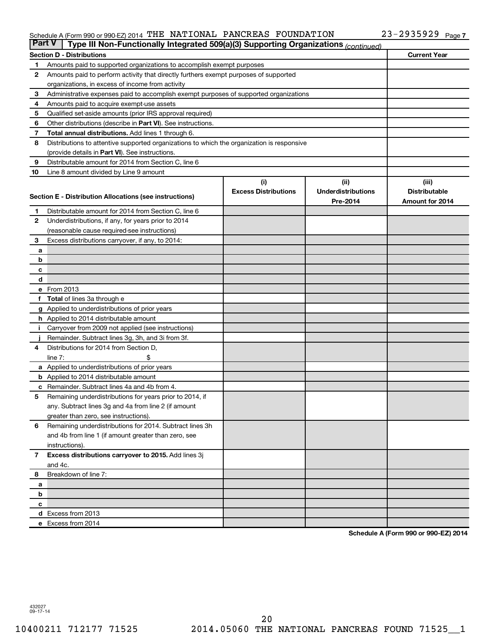#### Schedule A (Form 990 or 990-EZ) 2014 'I'HE NATIONAL PANCREAS FOUNDA'I'ION  $23-2935929$  Page THE NATIONAL PANCREAS FOUNDATION 23-2935929

| <b>Part V</b><br>Type III Non-Functionally Integrated 509(a)(3) Supporting Organizations (continued) |                                                                                                     |                             |                           |                      |  |  |  |  |  |
|------------------------------------------------------------------------------------------------------|-----------------------------------------------------------------------------------------------------|-----------------------------|---------------------------|----------------------|--|--|--|--|--|
|                                                                                                      | <b>Current Year</b><br><b>Section D - Distributions</b>                                             |                             |                           |                      |  |  |  |  |  |
| 1                                                                                                    | Amounts paid to supported organizations to accomplish exempt purposes                               |                             |                           |                      |  |  |  |  |  |
| 2                                                                                                    | Amounts paid to perform activity that directly furthers exempt purposes of supported                |                             |                           |                      |  |  |  |  |  |
|                                                                                                      | organizations, in excess of income from activity                                                    |                             |                           |                      |  |  |  |  |  |
| 3                                                                                                    | Administrative expenses paid to accomplish exempt purposes of supported organizations               |                             |                           |                      |  |  |  |  |  |
| 4                                                                                                    | Amounts paid to acquire exempt-use assets                                                           |                             |                           |                      |  |  |  |  |  |
| 5                                                                                                    | Qualified set-aside amounts (prior IRS approval required)                                           |                             |                           |                      |  |  |  |  |  |
| 6                                                                                                    | Other distributions (describe in Part VI). See instructions.                                        |                             |                           |                      |  |  |  |  |  |
| 7                                                                                                    | Total annual distributions. Add lines 1 through 6.                                                  |                             |                           |                      |  |  |  |  |  |
| 8                                                                                                    | Distributions to attentive supported organizations to which the organization is responsive          |                             |                           |                      |  |  |  |  |  |
|                                                                                                      | (provide details in Part VI). See instructions.                                                     |                             |                           |                      |  |  |  |  |  |
| 9                                                                                                    | Distributable amount for 2014 from Section C, line 6                                                |                             |                           |                      |  |  |  |  |  |
| 10                                                                                                   | Line 8 amount divided by Line 9 amount                                                              |                             |                           |                      |  |  |  |  |  |
|                                                                                                      |                                                                                                     | (i)                         | (ii)                      | (iii)                |  |  |  |  |  |
|                                                                                                      | Section E - Distribution Allocations (see instructions)                                             | <b>Excess Distributions</b> | <b>Underdistributions</b> | <b>Distributable</b> |  |  |  |  |  |
|                                                                                                      |                                                                                                     |                             | Pre-2014                  | Amount for 2014      |  |  |  |  |  |
| 1                                                                                                    | Distributable amount for 2014 from Section C, line 6                                                |                             |                           |                      |  |  |  |  |  |
| $\mathbf{2}$                                                                                         | Underdistributions, if any, for years prior to 2014                                                 |                             |                           |                      |  |  |  |  |  |
|                                                                                                      | (reasonable cause required-see instructions)                                                        |                             |                           |                      |  |  |  |  |  |
| 3                                                                                                    | Excess distributions carryover, if any, to 2014:                                                    |                             |                           |                      |  |  |  |  |  |
| a                                                                                                    |                                                                                                     |                             |                           |                      |  |  |  |  |  |
| b                                                                                                    |                                                                                                     |                             |                           |                      |  |  |  |  |  |
| с                                                                                                    |                                                                                                     |                             |                           |                      |  |  |  |  |  |
| d                                                                                                    |                                                                                                     |                             |                           |                      |  |  |  |  |  |
|                                                                                                      | e From 2013                                                                                         |                             |                           |                      |  |  |  |  |  |
|                                                                                                      | <b>Total</b> of lines 3a through e                                                                  |                             |                           |                      |  |  |  |  |  |
|                                                                                                      | g Applied to underdistributions of prior years                                                      |                             |                           |                      |  |  |  |  |  |
|                                                                                                      | <b>h</b> Applied to 2014 distributable amount<br>Carryover from 2009 not applied (see instructions) |                             |                           |                      |  |  |  |  |  |
|                                                                                                      | Remainder. Subtract lines 3g, 3h, and 3i from 3f.                                                   |                             |                           |                      |  |  |  |  |  |
| 4                                                                                                    | Distributions for 2014 from Section D,                                                              |                             |                           |                      |  |  |  |  |  |
|                                                                                                      | $line 7$ :                                                                                          |                             |                           |                      |  |  |  |  |  |
|                                                                                                      | a Applied to underdistributions of prior years                                                      |                             |                           |                      |  |  |  |  |  |
|                                                                                                      | <b>b</b> Applied to 2014 distributable amount                                                       |                             |                           |                      |  |  |  |  |  |
| с                                                                                                    | Remainder. Subtract lines 4a and 4b from 4.                                                         |                             |                           |                      |  |  |  |  |  |
| 5                                                                                                    | Remaining underdistributions for years prior to 2014, if                                            |                             |                           |                      |  |  |  |  |  |
|                                                                                                      | any. Subtract lines 3g and 4a from line 2 (if amount                                                |                             |                           |                      |  |  |  |  |  |
|                                                                                                      | greater than zero, see instructions).                                                               |                             |                           |                      |  |  |  |  |  |
| 6                                                                                                    | Remaining underdistributions for 2014. Subtract lines 3h                                            |                             |                           |                      |  |  |  |  |  |
|                                                                                                      | and 4b from line 1 (if amount greater than zero, see                                                |                             |                           |                      |  |  |  |  |  |
|                                                                                                      | instructions).                                                                                      |                             |                           |                      |  |  |  |  |  |
| $\mathbf{7}$                                                                                         | Excess distributions carryover to 2015. Add lines 3j                                                |                             |                           |                      |  |  |  |  |  |
|                                                                                                      | and 4c.                                                                                             |                             |                           |                      |  |  |  |  |  |
| 8                                                                                                    | Breakdown of line 7:                                                                                |                             |                           |                      |  |  |  |  |  |
| a                                                                                                    |                                                                                                     |                             |                           |                      |  |  |  |  |  |
| b                                                                                                    |                                                                                                     |                             |                           |                      |  |  |  |  |  |
| с                                                                                                    |                                                                                                     |                             |                           |                      |  |  |  |  |  |
|                                                                                                      | d Excess from 2013                                                                                  |                             |                           |                      |  |  |  |  |  |
|                                                                                                      | e Excess from 2014                                                                                  |                             |                           |                      |  |  |  |  |  |

**Schedule A (Form 990 or 990-EZ) 2014**

432027 09-17-14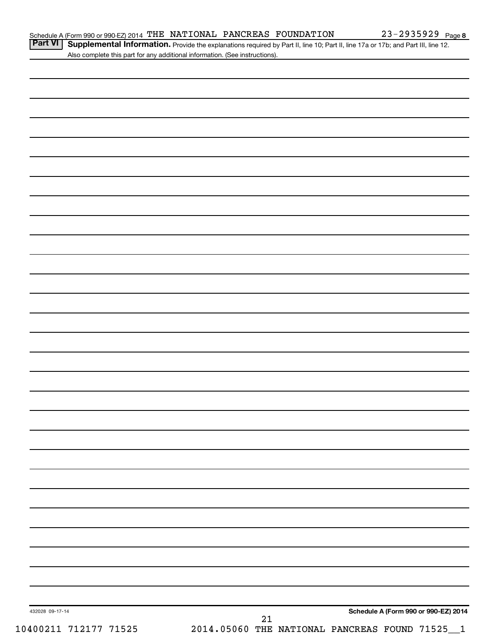Part VI | Supplemental Information. Provide the explanations required by Part II, line 10; Part II, line 17a or 17b; and Part III, line 12. Also complete this part for any additional information. (See instructions).

| $21\,$ | Schedule A (Form 990 or 990-EZ) 2014 |  |
|--------|--------------------------------------|--|
|        |                                      |  |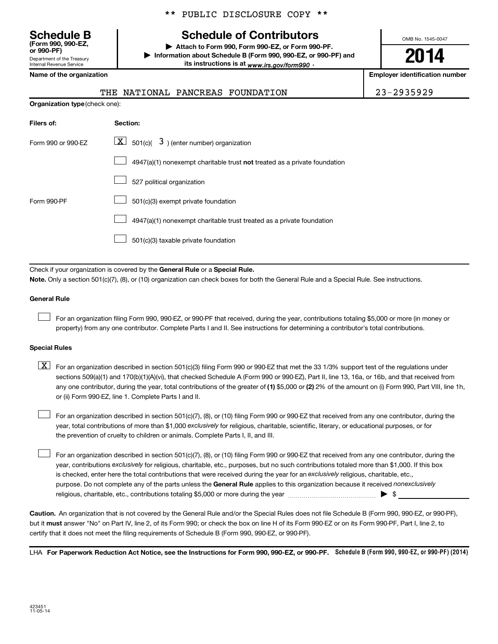Department of the Treasury Internal Revenue Service **(Form 990, 990-EZ,**

\*\* PUBLIC DISCLOSURE COPY \*\*

### **Schedule B Schedule of Contributors**

**or 990-PF) | Attach to Form 990, Form 990-EZ, or Form 990-PF. | Information about Schedule B (Form 990, 990-EZ, or 990-PF) and** its instructions is at <sub>www.irs.gov/form990  $\cdot$ </sub>

OMB No. 1545-0047

**2014**

**Name of the organization Employer identification number**

|--|

|  |  | ושוווט טו נווט טו שטווובטנוטוו |  |
|--|--|--------------------------------|--|
|  |  |                                |  |
|  |  |                                |  |

| <b>Organization type</b> (check one): |                                                                           |  |  |  |  |  |
|---------------------------------------|---------------------------------------------------------------------------|--|--|--|--|--|
| Filers of:                            | Section:                                                                  |  |  |  |  |  |
| Form 990 or 990-EZ                    | $ \mathbf{X} $ 501(c)( 3) (enter number) organization                     |  |  |  |  |  |
|                                       | 4947(a)(1) nonexempt charitable trust not treated as a private foundation |  |  |  |  |  |
|                                       | 527 political organization                                                |  |  |  |  |  |
| Form 990-PF                           | 501(c)(3) exempt private foundation                                       |  |  |  |  |  |
|                                       | 4947(a)(1) nonexempt charitable trust treated as a private foundation     |  |  |  |  |  |
|                                       | 501(c)(3) taxable private foundation                                      |  |  |  |  |  |

THE NATIONAL PANCREAS FOUNDATION

Check if your organization is covered by the General Rule or a Special Rule.

**Note.**  Only a section 501(c)(7), (8), or (10) organization can check boxes for both the General Rule and a Special Rule. See instructions.

#### **General Rule**

 $\Box$ 

For an organization filing Form 990, 990-EZ, or 990-PF that received, during the year, contributions totaling \$5,000 or more (in money or property) from any one contributor. Complete Parts I and II. See instructions for determining a contributor's total contributions.

#### **Special Rules**

any one contributor, during the year, total contributions of the greater of **(1)** \$5,000 or **(2)** 2% of the amount on (i) Form 990, Part VIII, line 1h,  $\boxed{\text{X}}$  For an organization described in section 501(c)(3) filing Form 990 or 990-EZ that met the 33 1/3% support test of the regulations under sections 509(a)(1) and 170(b)(1)(A)(vi), that checked Schedule A (Form 990 or 990-EZ), Part II, line 13, 16a, or 16b, and that received from or (ii) Form 990-EZ, line 1. Complete Parts I and II.

year, total contributions of more than \$1,000 *exclusively* for religious, charitable, scientific, literary, or educational purposes, or for For an organization described in section 501(c)(7), (8), or (10) filing Form 990 or 990-EZ that received from any one contributor, during the the prevention of cruelty to children or animals. Complete Parts I, II, and III.  $\Box$ 

purpose. Do not complete any of the parts unless the General Rule applies to this organization because it received nonexclusively year, contributions exclusively for religious, charitable, etc., purposes, but no such contributions totaled more than \$1,000. If this box is checked, enter here the total contributions that were received during the year for an exclusively religious, charitable, etc., For an organization described in section 501(c)(7), (8), or (10) filing Form 990 or 990-EZ that received from any one contributor, during the religious, charitable, etc., contributions totaling \$5,000 or more during the year  $\ldots$  $\ldots$  $\ldots$  $\ldots$  $\ldots$  $\ldots$  $\Box$ 

**Caution.** An organization that is not covered by the General Rule and/or the Special Rules does not file Schedule B (Form 990, 990-EZ, or 990-PF),  **must** but it answer "No" on Part IV, line 2, of its Form 990; or check the box on line H of its Form 990-EZ or on its Form 990-PF, Part I, line 2, to certify that it does not meet the filing requirements of Schedule B (Form 990, 990-EZ, or 990-PF).

LHA For Paperwork Reduction Act Notice, see the Instructions for Form 990, 990-EZ, or 990-PF. Schedule B (Form 990, 990-EZ, or 990-PF) (2014)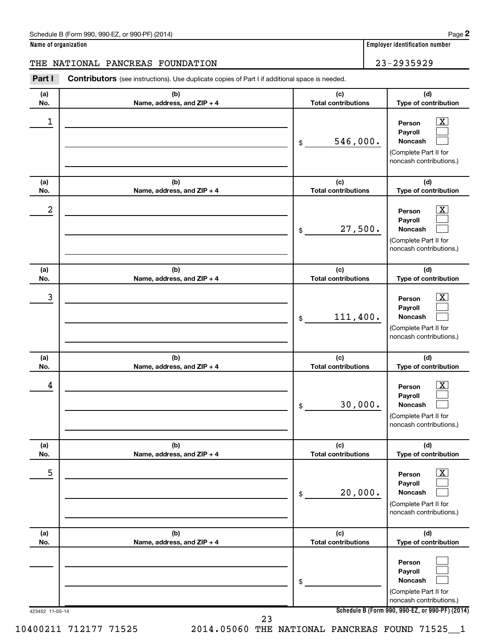| Schedule B (Form 990, 990-EZ, or 990-PF) (2014) | Page |
|-------------------------------------------------|------|
|-------------------------------------------------|------|

| Name of organization |  |  |
|----------------------|--|--|
|                      |  |  |

**Name of organization Employer identification number** 

### THE NATIONAL PANCREAS FOUNDATION 23-2935929

**Part I** Contributors (see instructions). Use duplicate copies of Part I if additional space is needed.

| (a)<br>No.                               | (b)<br>Name, address, and ZIP + 4 | (c)<br><b>Total contributions</b>            | (d)<br>Type of contribution                                                                            |
|------------------------------------------|-----------------------------------|----------------------------------------------|--------------------------------------------------------------------------------------------------------|
| 1                                        |                                   | 546,000.<br>\$                               | x<br>Person<br>Payroll<br>Noncash<br>(Complete Part II for<br>noncash contributions.)                  |
| (a)<br>No.                               | (b)<br>Name, address, and ZIP + 4 | (c)<br><b>Total contributions</b>            | (d)<br>Type of contribution                                                                            |
| 2                                        |                                   | 27,500.<br>\$                                | x<br>Person<br>Payroll<br><b>Noncash</b><br>(Complete Part II for<br>noncash contributions.)           |
| (a)<br>No.                               | (b)<br>Name, address, and ZIP + 4 | (c)<br><b>Total contributions</b>            | (d)<br>Type of contribution                                                                            |
| 3                                        |                                   | 111,400.<br>\$                               | x<br>Person<br>Payroll<br><b>Noncash</b><br>(Complete Part II for<br>noncash contributions.)           |
| (a)<br>No.                               | (b)<br>Name, address, and ZIP + 4 | (c)<br><b>Total contributions</b>            | (d)<br>Type of contribution                                                                            |
| 4                                        |                                   | 30,000.<br>\$                                | x<br>Person<br>Payroll<br><b>Noncash</b><br>(Complete Part II for<br>noncash contributions.)           |
| (a)<br>No.                               | (b)<br>Name, address, and ZIP + 4 | (c)<br><b>Total contributions</b>            | (d)<br>Type of contribution                                                                            |
| 5                                        |                                   | 20,000.<br>\$                                | $\boxed{\text{X}}$<br>Person<br>Payroll<br>Noncash<br>(Complete Part II for<br>noncash contributions.) |
| (a)<br>No.                               | (b)<br>Name, address, and ZIP + 4 | (c)<br><b>Total contributions</b>            | (d)<br>Type of contribution                                                                            |
|                                          |                                   | \$                                           | Person<br>Payroll<br>Noncash<br>(Complete Part II for<br>noncash contributions.)                       |
| 423452 11-05-14<br>10400211 712177 71525 | 23                                | 2014.05060 THE NATIONAL PANCREAS FOUND 71525 | Schedule B (Form 990, 990-EZ, or 990-PF) (2014)<br>$\mathbf{1}$                                        |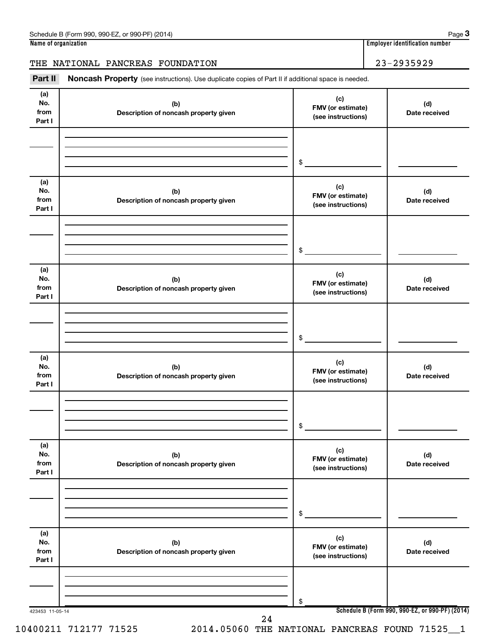### THE NATIONAL PANCREAS FOUNDATION 23-2935929

Part II Noncash Property (see instructions). Use duplicate copies of Part II if additional space is needed.

| (a)<br>No.<br>from<br>Part I | (b)<br>Description of noncash property given | (c)<br>FMV (or estimate)<br>(see instructions) | (d)<br>Date received |
|------------------------------|----------------------------------------------|------------------------------------------------|----------------------|
|                              |                                              | \$                                             |                      |
| (a)<br>No.<br>from<br>Part I | (b)<br>Description of noncash property given | (c)<br>FMV (or estimate)<br>(see instructions) | (d)<br>Date received |
|                              |                                              | \$                                             |                      |
| (a)<br>No.<br>from<br>Part I | (b)<br>Description of noncash property given | (c)<br>FMV (or estimate)<br>(see instructions) | (d)<br>Date received |
|                              |                                              | \$                                             |                      |
| (a)<br>No.<br>from<br>Part I | (b)<br>Description of noncash property given | (c)<br>FMV (or estimate)<br>(see instructions) | (d)<br>Date received |
|                              |                                              | $\$$                                           |                      |
| (a)<br>No.<br>from<br>Part I | (b)<br>Description of noncash property given | (c)<br>FMV (or estimate)<br>(see instructions) | (d)<br>Date received |
|                              |                                              | \$                                             |                      |
| (a)<br>No.<br>from<br>Part I | (b)<br>Description of noncash property given | (c)<br>FMV (or estimate)<br>(see instructions) | (d)<br>Date received |
|                              |                                              | \$                                             |                      |

10400211 712177 71525 2014.05060 THE NATIONAL PANCREAS FOUND 71525\_\_1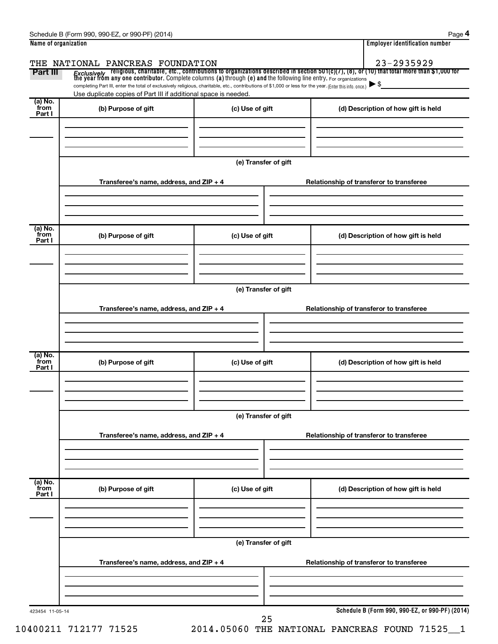|                 | THE NATIONAL PANCREAS FOUNDATION                                                                                                                                                                                                        |                      | 23-2935929                                      |
|-----------------|-----------------------------------------------------------------------------------------------------------------------------------------------------------------------------------------------------------------------------------------|----------------------|-------------------------------------------------|
| Part III        | <i>Exclusively</i> religious, charitable, etc., contributions to organizations described in section 501(c)(7), (8), or (10) that total more than \$1,000 for<br>the year from any one contributor. Complete columns (a) through (e) and |                      |                                                 |
|                 | completing Part III, enter the total of exclusively religious, charitable, etc., contributions of \$1,000 or less for the year. (Enter this info. once.)                                                                                |                      |                                                 |
| (a) No.         | Use duplicate copies of Part III if additional space is needed.                                                                                                                                                                         |                      |                                                 |
| from<br>Part I  | (b) Purpose of gift                                                                                                                                                                                                                     | (c) Use of gift      | (d) Description of how gift is held             |
|                 |                                                                                                                                                                                                                                         |                      |                                                 |
|                 |                                                                                                                                                                                                                                         |                      |                                                 |
|                 |                                                                                                                                                                                                                                         |                      |                                                 |
|                 |                                                                                                                                                                                                                                         |                      |                                                 |
|                 |                                                                                                                                                                                                                                         | (e) Transfer of gift |                                                 |
|                 | Transferee's name, address, and ZIP + 4                                                                                                                                                                                                 |                      | Relationship of transferor to transferee        |
|                 |                                                                                                                                                                                                                                         |                      |                                                 |
|                 |                                                                                                                                                                                                                                         |                      |                                                 |
|                 |                                                                                                                                                                                                                                         |                      |                                                 |
| (a) No.         |                                                                                                                                                                                                                                         |                      |                                                 |
| from<br>Part I  | (b) Purpose of gift                                                                                                                                                                                                                     | (c) Use of gift      | (d) Description of how gift is held             |
|                 |                                                                                                                                                                                                                                         |                      |                                                 |
|                 |                                                                                                                                                                                                                                         |                      |                                                 |
|                 |                                                                                                                                                                                                                                         |                      |                                                 |
|                 |                                                                                                                                                                                                                                         |                      |                                                 |
|                 |                                                                                                                                                                                                                                         | (e) Transfer of gift |                                                 |
|                 | Transferee's name, address, and ZIP + 4                                                                                                                                                                                                 |                      | Relationship of transferor to transferee        |
|                 |                                                                                                                                                                                                                                         |                      |                                                 |
|                 |                                                                                                                                                                                                                                         |                      |                                                 |
|                 |                                                                                                                                                                                                                                         |                      |                                                 |
| (a) No.         |                                                                                                                                                                                                                                         |                      |                                                 |
| `from<br>Part I | (b) Purpose of gift                                                                                                                                                                                                                     | (c) Use of gift      | (d) Description of how gift is held             |
|                 |                                                                                                                                                                                                                                         |                      |                                                 |
|                 |                                                                                                                                                                                                                                         |                      |                                                 |
|                 |                                                                                                                                                                                                                                         |                      |                                                 |
|                 |                                                                                                                                                                                                                                         | (e) Transfer of gift |                                                 |
|                 |                                                                                                                                                                                                                                         |                      |                                                 |
|                 | Transferee's name, address, and ZIP + 4                                                                                                                                                                                                 |                      | Relationship of transferor to transferee        |
|                 |                                                                                                                                                                                                                                         |                      |                                                 |
|                 |                                                                                                                                                                                                                                         |                      |                                                 |
|                 |                                                                                                                                                                                                                                         |                      |                                                 |
| (a) No.<br>from | (b) Purpose of gift                                                                                                                                                                                                                     | (c) Use of gift      | (d) Description of how gift is held             |
| Part I          |                                                                                                                                                                                                                                         |                      |                                                 |
|                 |                                                                                                                                                                                                                                         |                      |                                                 |
|                 |                                                                                                                                                                                                                                         |                      |                                                 |
|                 |                                                                                                                                                                                                                                         |                      |                                                 |
|                 |                                                                                                                                                                                                                                         | (e) Transfer of gift |                                                 |
|                 |                                                                                                                                                                                                                                         |                      |                                                 |
|                 | Transferee's name, address, and ZIP + 4                                                                                                                                                                                                 |                      | Relationship of transferor to transferee        |
|                 |                                                                                                                                                                                                                                         |                      |                                                 |
|                 |                                                                                                                                                                                                                                         |                      |                                                 |
|                 |                                                                                                                                                                                                                                         |                      |                                                 |
|                 |                                                                                                                                                                                                                                         |                      | Schedule B (Form 990, 990-EZ, or 990-PF) (2014) |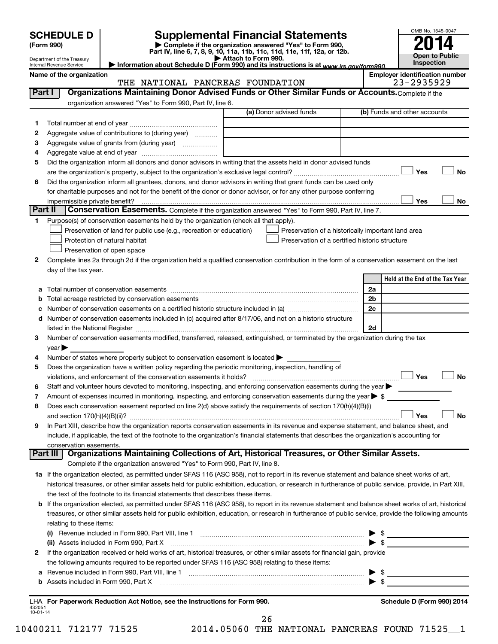|                          | <b>SCHEDULE D</b>                                                                                                            |                                                                                                                                                                                                                                | <b>Supplemental Financial Statements</b>                                                                                             |  |                | OMB No. 1545-0047                     |  |
|--------------------------|------------------------------------------------------------------------------------------------------------------------------|--------------------------------------------------------------------------------------------------------------------------------------------------------------------------------------------------------------------------------|--------------------------------------------------------------------------------------------------------------------------------------|--|----------------|---------------------------------------|--|
|                          | (Form 990)                                                                                                                   |                                                                                                                                                                                                                                | Complete if the organization answered "Yes" to Form 990,<br>Part IV, line 6, 7, 8, 9, 10, 11a, 11b, 11c, 11d, 11e, 11f, 12a, or 12b. |  |                |                                       |  |
|                          | Department of the Treasury<br>Internal Revenue Service                                                                       |                                                                                                                                                                                                                                | Attach to Form 990.<br>Information about Schedule D (Form 990) and its instructions is at www.irs.gov/form990.                       |  |                | <b>Open to Public</b><br>Inspection   |  |
|                          | Name of the organization                                                                                                     |                                                                                                                                                                                                                                |                                                                                                                                      |  |                | <b>Employer identification number</b> |  |
|                          |                                                                                                                              | THE NATIONAL PANCREAS FOUNDATION                                                                                                                                                                                               |                                                                                                                                      |  |                | 23-2935929                            |  |
| <b>Part I</b>            |                                                                                                                              | Organizations Maintaining Donor Advised Funds or Other Similar Funds or Accounts. Complete if the                                                                                                                              |                                                                                                                                      |  |                |                                       |  |
|                          |                                                                                                                              | organization answered "Yes" to Form 990, Part IV, line 6.                                                                                                                                                                      | (a) Donor advised funds                                                                                                              |  |                | (b) Funds and other accounts          |  |
| 1                        |                                                                                                                              |                                                                                                                                                                                                                                |                                                                                                                                      |  |                |                                       |  |
| 2                        |                                                                                                                              | Aggregate value of contributions to (during year)                                                                                                                                                                              |                                                                                                                                      |  |                |                                       |  |
| з                        |                                                                                                                              | Aggregate value of grants from (during year)                                                                                                                                                                                   |                                                                                                                                      |  |                |                                       |  |
| 4                        |                                                                                                                              |                                                                                                                                                                                                                                |                                                                                                                                      |  |                |                                       |  |
| 5                        |                                                                                                                              | Did the organization inform all donors and donor advisors in writing that the assets held in donor advised funds                                                                                                               |                                                                                                                                      |  |                |                                       |  |
|                          |                                                                                                                              |                                                                                                                                                                                                                                |                                                                                                                                      |  |                | Yes<br><b>No</b>                      |  |
| 6                        |                                                                                                                              | Did the organization inform all grantees, donors, and donor advisors in writing that grant funds can be used only                                                                                                              |                                                                                                                                      |  |                |                                       |  |
|                          |                                                                                                                              | for charitable purposes and not for the benefit of the donor or donor advisor, or for any other purpose conferring                                                                                                             |                                                                                                                                      |  |                |                                       |  |
| Part II                  | impermissible private benefit?                                                                                               | Conservation Easements. Complete if the organization answered "Yes" to Form 990, Part IV, line 7.                                                                                                                              |                                                                                                                                      |  |                | Yes<br>No                             |  |
| 1                        |                                                                                                                              | Purpose(s) of conservation easements held by the organization (check all that apply).                                                                                                                                          |                                                                                                                                      |  |                |                                       |  |
|                          |                                                                                                                              | Preservation of land for public use (e.g., recreation or education)                                                                                                                                                            | Preservation of a historically important land area                                                                                   |  |                |                                       |  |
|                          |                                                                                                                              | Protection of natural habitat                                                                                                                                                                                                  | Preservation of a certified historic structure                                                                                       |  |                |                                       |  |
|                          |                                                                                                                              | Preservation of open space                                                                                                                                                                                                     |                                                                                                                                      |  |                |                                       |  |
| 2                        |                                                                                                                              | Complete lines 2a through 2d if the organization held a qualified conservation contribution in the form of a conservation easement on the last                                                                                 |                                                                                                                                      |  |                |                                       |  |
|                          | day of the tax year.                                                                                                         |                                                                                                                                                                                                                                |                                                                                                                                      |  |                |                                       |  |
|                          |                                                                                                                              |                                                                                                                                                                                                                                |                                                                                                                                      |  |                | Held at the End of the Tax Year       |  |
| а                        |                                                                                                                              |                                                                                                                                                                                                                                |                                                                                                                                      |  | 2a             |                                       |  |
| b                        |                                                                                                                              | Total acreage restricted by conservation easements                                                                                                                                                                             |                                                                                                                                      |  | 2 <sub>b</sub> |                                       |  |
| с                        |                                                                                                                              | Number of conservation easements on a certified historic structure included in (a) manufacture included in (a)                                                                                                                 |                                                                                                                                      |  | 2c             |                                       |  |
| d                        |                                                                                                                              | Number of conservation easements included in (c) acquired after 8/17/06, and not on a historic structure                                                                                                                       |                                                                                                                                      |  | 2d             |                                       |  |
| З.                       |                                                                                                                              | Number of conservation easements modified, transferred, released, extinguished, or terminated by the organization during the tax                                                                                               |                                                                                                                                      |  |                |                                       |  |
|                          | $year \triangleright$                                                                                                        |                                                                                                                                                                                                                                |                                                                                                                                      |  |                |                                       |  |
| 4                        |                                                                                                                              | Number of states where property subject to conservation easement is located $\blacktriangleright$                                                                                                                              |                                                                                                                                      |  |                |                                       |  |
| 5                        |                                                                                                                              | Does the organization have a written policy regarding the periodic monitoring, inspection, handling of                                                                                                                         |                                                                                                                                      |  |                |                                       |  |
|                          |                                                                                                                              | violations, and enforcement of the conservation easements it holds?                                                                                                                                                            |                                                                                                                                      |  |                | Yes<br>No                             |  |
| 6                        |                                                                                                                              | Staff and volunteer hours devoted to monitoring, inspecting, and enforcing conservation easements during the year $\blacktriangleright$                                                                                        |                                                                                                                                      |  |                |                                       |  |
| 7                        |                                                                                                                              | Amount of expenses incurred in monitoring, inspecting, and enforcing conservation easements during the year $\triangleright$ \$                                                                                                |                                                                                                                                      |  |                |                                       |  |
| 8                        |                                                                                                                              | Does each conservation easement reported on line 2(d) above satisfy the requirements of section 170(h)(4)(B)(i)                                                                                                                |                                                                                                                                      |  |                |                                       |  |
| 9                        |                                                                                                                              | In Part XIII, describe how the organization reports conservation easements in its revenue and expense statement, and balance sheet, and                                                                                        |                                                                                                                                      |  |                | Yes<br>No                             |  |
|                          |                                                                                                                              | include, if applicable, the text of the footnote to the organization's financial statements that describes the organization's accounting for                                                                                   |                                                                                                                                      |  |                |                                       |  |
|                          | conservation easements.                                                                                                      |                                                                                                                                                                                                                                |                                                                                                                                      |  |                |                                       |  |
|                          | Part III                                                                                                                     | Organizations Maintaining Collections of Art, Historical Treasures, or Other Similar Assets.                                                                                                                                   |                                                                                                                                      |  |                |                                       |  |
|                          |                                                                                                                              | Complete if the organization answered "Yes" to Form 990, Part IV, line 8.                                                                                                                                                      |                                                                                                                                      |  |                |                                       |  |
|                          |                                                                                                                              | 1a If the organization elected, as permitted under SFAS 116 (ASC 958), not to report in its revenue statement and balance sheet works of art,                                                                                  |                                                                                                                                      |  |                |                                       |  |
|                          |                                                                                                                              | historical treasures, or other similar assets held for public exhibition, education, or research in furtherance of public service, provide, in Part XIII,                                                                      |                                                                                                                                      |  |                |                                       |  |
|                          |                                                                                                                              | the text of the footnote to its financial statements that describes these items.                                                                                                                                               |                                                                                                                                      |  |                |                                       |  |
| b                        |                                                                                                                              | If the organization elected, as permitted under SFAS 116 (ASC 958), to report in its revenue statement and balance sheet works of art, historical                                                                              |                                                                                                                                      |  |                |                                       |  |
|                          |                                                                                                                              | treasures, or other similar assets held for public exhibition, education, or research in furtherance of public service, provide the following amounts                                                                          |                                                                                                                                      |  |                |                                       |  |
|                          | relating to these items:                                                                                                     |                                                                                                                                                                                                                                |                                                                                                                                      |  |                |                                       |  |
|                          | (ii) Assets included in Form 990, Part X                                                                                     |                                                                                                                                                                                                                                | $\triangleright$ \$                                                                                                                  |  |                |                                       |  |
| 2                        | If the organization received or held works of art, historical treasures, or other similar assets for financial gain, provide |                                                                                                                                                                                                                                |                                                                                                                                      |  |                |                                       |  |
|                          |                                                                                                                              | the following amounts required to be reported under SFAS 116 (ASC 958) relating to these items:                                                                                                                                |                                                                                                                                      |  |                |                                       |  |
| а                        |                                                                                                                              |                                                                                                                                                                                                                                |                                                                                                                                      |  |                |                                       |  |
| b                        |                                                                                                                              | Assets included in Form 990, Part X [11] Marshall Marson and Marshall Marson and Marson and Marson and Marson and Marson and Marson and Marson and Marson and Marson and Marson and Marson and Marson and Marson and Marson an |                                                                                                                                      |  |                | $\blacktriangleright$ \$              |  |
|                          |                                                                                                                              |                                                                                                                                                                                                                                |                                                                                                                                      |  |                |                                       |  |
| 432051<br>$10 - 01 - 14$ |                                                                                                                              | LHA For Paperwork Reduction Act Notice, see the Instructions for Form 990.                                                                                                                                                     |                                                                                                                                      |  |                | Schedule D (Form 990) 2014            |  |

26

10400211 712177 71525 2014.05060 THE NATIONAL PANCREAS FOUND 71525\_\_1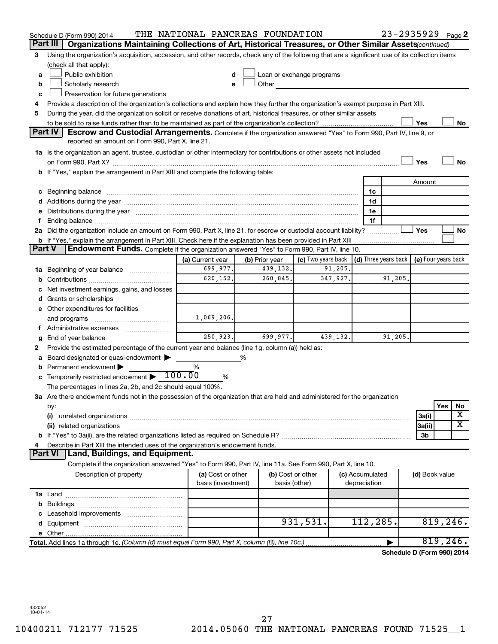|   | Schedule D (Form 990) 2014                                                                                                                                                            | THE NATIONAL PANCREAS FOUNDATION        |   |                                    |                                                                             |           |                                 | 23-2935929 Page 2          |                |          |                         |
|---|---------------------------------------------------------------------------------------------------------------------------------------------------------------------------------------|-----------------------------------------|---|------------------------------------|-----------------------------------------------------------------------------|-----------|---------------------------------|----------------------------|----------------|----------|-------------------------|
|   | Part III<br>Organizations Maintaining Collections of Art, Historical Treasures, or Other Similar Assets (continued)                                                                   |                                         |   |                                    |                                                                             |           |                                 |                            |                |          |                         |
| 3 | Using the organization's acquisition, accession, and other records, check any of the following that are a significant use of its collection items                                     |                                         |   |                                    |                                                                             |           |                                 |                            |                |          |                         |
|   | (check all that apply):                                                                                                                                                               |                                         |   |                                    |                                                                             |           |                                 |                            |                |          |                         |
| a | Public exhibition                                                                                                                                                                     |                                         |   | Loan or exchange programs          |                                                                             |           |                                 |                            |                |          |                         |
| b | Scholarly research                                                                                                                                                                    |                                         |   | Other                              |                                                                             |           |                                 |                            |                |          |                         |
| с | Preservation for future generations                                                                                                                                                   |                                         |   |                                    |                                                                             |           |                                 |                            |                |          |                         |
| 4 | Provide a description of the organization's collections and explain how they further the organization's exempt purpose in Part XIII.                                                  |                                         |   |                                    |                                                                             |           |                                 |                            |                |          |                         |
| 5 | During the year, did the organization solicit or receive donations of art, historical treasures, or other similar assets                                                              |                                         |   |                                    |                                                                             |           |                                 |                            |                |          |                         |
|   |                                                                                                                                                                                       |                                         |   |                                    |                                                                             |           |                                 |                            | Yes            |          | No                      |
|   | Part IV<br><b>Escrow and Custodial Arrangements.</b> Complete if the organization answered "Yes" to Form 990, Part IV, line 9, or<br>reported an amount on Form 990, Part X, line 21. |                                         |   |                                    |                                                                             |           |                                 |                            |                |          |                         |
|   | 1a Is the organization an agent, trustee, custodian or other intermediary for contributions or other assets not included                                                              |                                         |   |                                    |                                                                             |           |                                 |                            |                |          |                         |
|   |                                                                                                                                                                                       |                                         |   |                                    |                                                                             |           |                                 |                            | Yes            |          | No                      |
|   | b If "Yes," explain the arrangement in Part XIII and complete the following table:                                                                                                    |                                         |   |                                    |                                                                             |           |                                 |                            |                |          |                         |
|   |                                                                                                                                                                                       |                                         |   |                                    |                                                                             |           |                                 |                            | Amount         |          |                         |
|   |                                                                                                                                                                                       |                                         |   |                                    |                                                                             |           | 1c                              |                            |                |          |                         |
|   |                                                                                                                                                                                       |                                         |   |                                    |                                                                             |           | 1d                              |                            |                |          |                         |
|   | e Distributions during the year measurement contracts and the year measurement of the state of the state of th                                                                        |                                         |   |                                    |                                                                             |           | 1e                              |                            |                |          |                         |
|   |                                                                                                                                                                                       |                                         |   |                                    |                                                                             |           | 1f                              |                            |                |          |                         |
|   | 2a Did the organization include an amount on Form 990, Part X, line 21, for escrow or custodial account liability?                                                                    |                                         |   |                                    |                                                                             |           |                                 |                            | Yes            |          | No                      |
|   | <b>b</b> If "Yes," explain the arrangement in Part XIII. Check here if the explanation has been provided in Part XIII                                                                 |                                         |   |                                    |                                                                             |           |                                 |                            |                |          |                         |
|   | <b>Part V</b><br>Endowment Funds. Complete if the organization answered "Yes" to Form 990, Part IV, line 10.                                                                          |                                         |   |                                    |                                                                             |           |                                 |                            |                |          |                         |
|   |                                                                                                                                                                                       | (a) Current year                        |   | (b) Prior year                     | (c) Two years back $\vert$ (d) Three years back $\vert$ (e) Four years back |           |                                 |                            |                |          |                         |
|   | 1a Beginning of year balance                                                                                                                                                          | 699,977.                                |   | 439,132.                           |                                                                             | 91,205.   |                                 |                            |                |          |                         |
| b |                                                                                                                                                                                       | 620,152.                                |   | 260,845.                           |                                                                             | 347,927.  |                                 | 91,205.                    |                |          |                         |
| c | Net investment earnings, gains, and losses                                                                                                                                            |                                         |   |                                    |                                                                             |           |                                 |                            |                |          |                         |
|   |                                                                                                                                                                                       |                                         |   |                                    |                                                                             |           |                                 |                            |                |          |                         |
|   | e Other expenditures for facilities                                                                                                                                                   |                                         |   |                                    |                                                                             |           |                                 |                            |                |          |                         |
|   | and programs                                                                                                                                                                          | 1,069,206.                              |   |                                    |                                                                             |           |                                 |                            |                |          |                         |
|   |                                                                                                                                                                                       |                                         |   |                                    |                                                                             |           |                                 |                            |                |          |                         |
| g | End of year balance <i></i>                                                                                                                                                           | 250,923.                                |   | 699,977.                           |                                                                             | 439, 132. |                                 | 91,205.                    |                |          |                         |
| 2 | Provide the estimated percentage of the current year end balance (line 1g, column (a)) held as:                                                                                       |                                         |   |                                    |                                                                             |           |                                 |                            |                |          |                         |
| а | Board designated or quasi-endowment                                                                                                                                                   |                                         | % |                                    |                                                                             |           |                                 |                            |                |          |                         |
| b | Permanent endowment                                                                                                                                                                   | %                                       |   |                                    |                                                                             |           |                                 |                            |                |          |                         |
|   | <b>c</b> Temporarily restricted endowment $\blacktriangleright$ 100.00                                                                                                                | %                                       |   |                                    |                                                                             |           |                                 |                            |                |          |                         |
|   | The percentages in lines 2a, 2b, and 2c should equal 100%.                                                                                                                            |                                         |   |                                    |                                                                             |           |                                 |                            |                |          |                         |
|   | 3a Are there endowment funds not in the possession of the organization that are held and administered for the organization                                                            |                                         |   |                                    |                                                                             |           |                                 |                            |                |          |                         |
|   | by:                                                                                                                                                                                   |                                         |   |                                    |                                                                             |           |                                 |                            |                | Yes      | No                      |
|   | (i)                                                                                                                                                                                   |                                         |   |                                    |                                                                             |           |                                 |                            | 3a(i)          |          | х                       |
|   |                                                                                                                                                                                       |                                         |   |                                    |                                                                             |           |                                 |                            | 3a(ii)         |          | $\overline{\textbf{x}}$ |
|   |                                                                                                                                                                                       |                                         |   |                                    |                                                                             |           |                                 |                            | 3b             |          |                         |
| 4 | Describe in Part XIII the intended uses of the organization's endowment funds.                                                                                                        |                                         |   |                                    |                                                                             |           |                                 |                            |                |          |                         |
|   | Land, Buildings, and Equipment.<br><b>Part VI</b>                                                                                                                                     |                                         |   |                                    |                                                                             |           |                                 |                            |                |          |                         |
|   | Complete if the organization answered "Yes" to Form 990, Part IV, line 11a. See Form 990, Part X, line 10.                                                                            |                                         |   |                                    |                                                                             |           |                                 |                            |                |          |                         |
|   | Description of property                                                                                                                                                               | (a) Cost or other<br>basis (investment) |   | (b) Cost or other<br>basis (other) |                                                                             |           | (c) Accumulated<br>depreciation |                            | (d) Book value |          |                         |
|   |                                                                                                                                                                                       |                                         |   |                                    |                                                                             |           |                                 |                            |                |          |                         |
|   |                                                                                                                                                                                       |                                         |   |                                    |                                                                             |           |                                 |                            |                |          |                         |
|   |                                                                                                                                                                                       |                                         |   |                                    |                                                                             |           |                                 |                            |                |          |                         |
|   |                                                                                                                                                                                       |                                         |   |                                    | 931,531.                                                                    |           | 112,285.                        |                            |                |          | 819,246.                |
|   |                                                                                                                                                                                       |                                         |   |                                    |                                                                             |           |                                 |                            |                |          |                         |
|   | Total. Add lines 1a through 1e. (Column (d) must equal Form 990, Part X, column (B), line 10c.)                                                                                       |                                         |   |                                    |                                                                             |           |                                 |                            |                | 819,246. |                         |
|   |                                                                                                                                                                                       |                                         |   |                                    |                                                                             |           |                                 | Schedule D (Form 990) 2014 |                |          |                         |

432052 10-01-14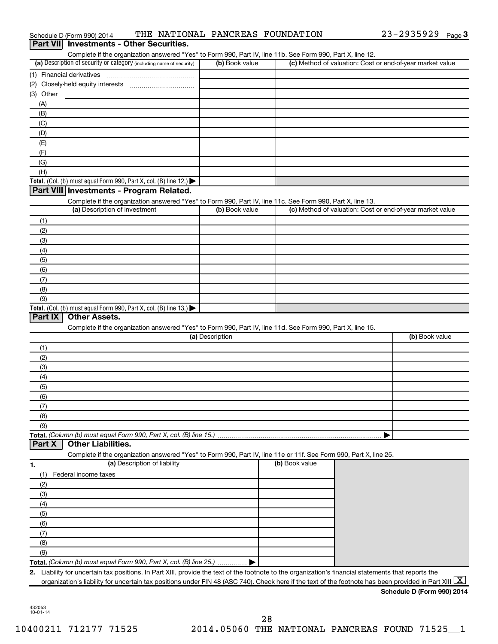|                 | Schedule D (Form 990) 2014                                                                                                                                                                                                 |                              | THE NATIONAL PANCREAS FOUNDATION                                                                                             |                | $23 - 2935929$ Page 3                                                                                                                                    |
|-----------------|----------------------------------------------------------------------------------------------------------------------------------------------------------------------------------------------------------------------------|------------------------------|------------------------------------------------------------------------------------------------------------------------------|----------------|----------------------------------------------------------------------------------------------------------------------------------------------------------|
| <b>Part VII</b> | <b>Investments - Other Securities.</b>                                                                                                                                                                                     |                              |                                                                                                                              |                |                                                                                                                                                          |
|                 | (a) Description of security or category (including name of security)                                                                                                                                                       |                              | Complete if the organization answered "Yes" to Form 990, Part IV, line 11b. See Form 990, Part X, line 12.<br>(b) Book value |                | (c) Method of valuation: Cost or end-of-year market value                                                                                                |
|                 | (1) Financial derivatives                                                                                                                                                                                                  |                              |                                                                                                                              |                |                                                                                                                                                          |
|                 |                                                                                                                                                                                                                            |                              |                                                                                                                              |                |                                                                                                                                                          |
| (3) Other       |                                                                                                                                                                                                                            |                              |                                                                                                                              |                |                                                                                                                                                          |
| (A)             |                                                                                                                                                                                                                            |                              |                                                                                                                              |                |                                                                                                                                                          |
| (B)             |                                                                                                                                                                                                                            |                              |                                                                                                                              |                |                                                                                                                                                          |
| (C)             |                                                                                                                                                                                                                            |                              |                                                                                                                              |                |                                                                                                                                                          |
| (D)             |                                                                                                                                                                                                                            |                              |                                                                                                                              |                |                                                                                                                                                          |
| (E)             |                                                                                                                                                                                                                            |                              |                                                                                                                              |                |                                                                                                                                                          |
| (F)             |                                                                                                                                                                                                                            |                              |                                                                                                                              |                |                                                                                                                                                          |
| (G)<br>(H)      |                                                                                                                                                                                                                            |                              |                                                                                                                              |                |                                                                                                                                                          |
|                 | Total. (Col. (b) must equal Form 990, Part X, col. (B) line 12.)                                                                                                                                                           |                              |                                                                                                                              |                |                                                                                                                                                          |
|                 | Part VIII Investments - Program Related.                                                                                                                                                                                   |                              |                                                                                                                              |                |                                                                                                                                                          |
|                 |                                                                                                                                                                                                                            |                              | Complete if the organization answered "Yes" to Form 990, Part IV, line 11c. See Form 990, Part X, line 13.                   |                |                                                                                                                                                          |
|                 | (a) Description of investment                                                                                                                                                                                              |                              | (b) Book value                                                                                                               |                | (c) Method of valuation: Cost or end-of-year market value                                                                                                |
| (1)             |                                                                                                                                                                                                                            |                              |                                                                                                                              |                |                                                                                                                                                          |
| (2)             |                                                                                                                                                                                                                            |                              |                                                                                                                              |                |                                                                                                                                                          |
| (3)             |                                                                                                                                                                                                                            |                              |                                                                                                                              |                |                                                                                                                                                          |
| (4)             |                                                                                                                                                                                                                            |                              |                                                                                                                              |                |                                                                                                                                                          |
| (5)             |                                                                                                                                                                                                                            |                              |                                                                                                                              |                |                                                                                                                                                          |
| (6)             |                                                                                                                                                                                                                            |                              |                                                                                                                              |                |                                                                                                                                                          |
| (7)             |                                                                                                                                                                                                                            |                              |                                                                                                                              |                |                                                                                                                                                          |
| (8)<br>(9)      |                                                                                                                                                                                                                            |                              |                                                                                                                              |                |                                                                                                                                                          |
|                 | Total. (Col. (b) must equal Form 990, Part X, col. (B) line 13.) $\blacktriangleright$                                                                                                                                     |                              |                                                                                                                              |                |                                                                                                                                                          |
| Part IX         | <b>Other Assets.</b>                                                                                                                                                                                                       |                              |                                                                                                                              |                |                                                                                                                                                          |
|                 |                                                                                                                                                                                                                            |                              | Complete if the organization answered "Yes" to Form 990, Part IV, line 11d. See Form 990, Part X, line 15.                   |                |                                                                                                                                                          |
|                 |                                                                                                                                                                                                                            |                              | (a) Description                                                                                                              |                | (b) Book value                                                                                                                                           |
| (1)             |                                                                                                                                                                                                                            |                              |                                                                                                                              |                |                                                                                                                                                          |
| (2)             |                                                                                                                                                                                                                            |                              |                                                                                                                              |                |                                                                                                                                                          |
| (3)             |                                                                                                                                                                                                                            |                              |                                                                                                                              |                |                                                                                                                                                          |
| (4)             |                                                                                                                                                                                                                            |                              |                                                                                                                              |                |                                                                                                                                                          |
| (5)             |                                                                                                                                                                                                                            |                              |                                                                                                                              |                |                                                                                                                                                          |
| (6)             |                                                                                                                                                                                                                            |                              |                                                                                                                              |                |                                                                                                                                                          |
| (7)<br>(8)      |                                                                                                                                                                                                                            |                              |                                                                                                                              |                |                                                                                                                                                          |
| (9)             |                                                                                                                                                                                                                            |                              |                                                                                                                              |                |                                                                                                                                                          |
|                 | Total. (Column (b) must equal Form 990, Part X, col. (B) line 15.)                                                                                                                                                         |                              |                                                                                                                              |                |                                                                                                                                                          |
| Part X          | <b>Other Liabilities.</b>                                                                                                                                                                                                  |                              |                                                                                                                              |                |                                                                                                                                                          |
|                 |                                                                                                                                                                                                                            |                              | Complete if the organization answered "Yes" to Form 990, Part IV, line 11e or 11f. See Form 990, Part X, line 25.            |                |                                                                                                                                                          |
| 1.              |                                                                                                                                                                                                                            | (a) Description of liability |                                                                                                                              | (b) Book value |                                                                                                                                                          |
| (1)             | Federal income taxes                                                                                                                                                                                                       |                              |                                                                                                                              |                |                                                                                                                                                          |
| (2)             |                                                                                                                                                                                                                            |                              |                                                                                                                              |                |                                                                                                                                                          |
| (3)             |                                                                                                                                                                                                                            |                              |                                                                                                                              |                |                                                                                                                                                          |
| (4)             |                                                                                                                                                                                                                            |                              |                                                                                                                              |                |                                                                                                                                                          |
| (5)             |                                                                                                                                                                                                                            |                              |                                                                                                                              |                |                                                                                                                                                          |
| (6)             |                                                                                                                                                                                                                            |                              |                                                                                                                              |                |                                                                                                                                                          |
| (7)             |                                                                                                                                                                                                                            |                              |                                                                                                                              |                |                                                                                                                                                          |
| (8)             |                                                                                                                                                                                                                            |                              |                                                                                                                              |                |                                                                                                                                                          |
| (9)             |                                                                                                                                                                                                                            |                              |                                                                                                                              |                |                                                                                                                                                          |
|                 | Total. (Column (b) must equal Form 990, Part X, col. (B) line 25.)<br>2. Liability for uncertain tax positions. In Part XIII, provide the text of the footnote to the organization's financial statements that reports the |                              |                                                                                                                              |                |                                                                                                                                                          |
|                 |                                                                                                                                                                                                                            |                              |                                                                                                                              |                | organization's liability for uncertain tax positions under FIN 48 (ASC 740). Check here if the text of the footnote has been provided in Part XIII $ X $ |
|                 |                                                                                                                                                                                                                            |                              |                                                                                                                              |                | Schedule D (Form 990) 2014                                                                                                                               |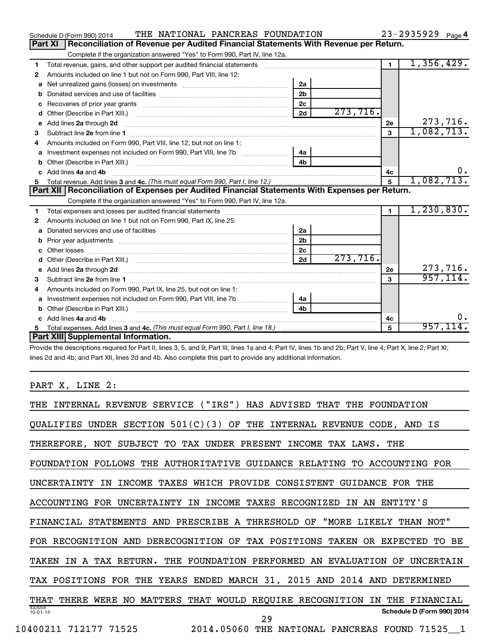|    | THE NATIONAL PANCREAS FOUNDATION<br>Schedule D (Form 990) 2014                                                                                                                                                                      |                |          |                      | 23-2935929 Page 4 |           |
|----|-------------------------------------------------------------------------------------------------------------------------------------------------------------------------------------------------------------------------------------|----------------|----------|----------------------|-------------------|-----------|
|    | Reconciliation of Revenue per Audited Financial Statements With Revenue per Return.<br><b>Part XI</b>                                                                                                                               |                |          |                      |                   |           |
|    | Complete if the organization answered "Yes" to Form 990, Part IV, line 12a.                                                                                                                                                         |                |          |                      |                   |           |
| 1  | Total revenue, gains, and other support per audited financial statements [[[[[[[[[[[[[[[[[[[[[[]]]]]]]]]]]]]]                                                                                                                       |                |          | $\blacksquare$       | 1,356,429.        |           |
| 2  | Amounts included on line 1 but not on Form 990, Part VIII, line 12:                                                                                                                                                                 |                |          |                      |                   |           |
| a  |                                                                                                                                                                                                                                     | 2a             |          |                      |                   |           |
| b  |                                                                                                                                                                                                                                     | 2 <sub>b</sub> |          |                      |                   |           |
| с  |                                                                                                                                                                                                                                     | 2c             |          |                      |                   |           |
| d  |                                                                                                                                                                                                                                     | 2d             | 273,716. |                      |                   |           |
| e  | Add lines 2a through 2d <b>continuum continuum contract and continuum contract a</b> through 2d continuum contract and continuum contract a term of the contract of the contract of the contract of the contract of the contract of |                |          | 2e                   |                   | 273,716.  |
| З  |                                                                                                                                                                                                                                     |                |          | 3                    | 1,082,713.        |           |
| 4  | Amounts included on Form 990, Part VIII, line 12, but not on line 1:                                                                                                                                                                |                |          |                      |                   |           |
| a  | Investment expenses not included on Form 990, Part VIII, line 7b                                                                                                                                                                    | 4a             |          |                      |                   |           |
| b  |                                                                                                                                                                                                                                     | 4 <sub>h</sub> |          |                      |                   |           |
| c. | Add lines 4a and 4b                                                                                                                                                                                                                 |                |          | 4c                   |                   | 0.        |
| 5. |                                                                                                                                                                                                                                     |                |          | 5                    | 1,082,713.        |           |
|    | Part XII   Reconciliation of Expenses per Audited Financial Statements With Expenses per Return.                                                                                                                                    |                |          |                      |                   |           |
|    | Complete if the organization answered "Yes" to Form 990, Part IV, line 12a.                                                                                                                                                         |                |          |                      |                   |           |
| 1  |                                                                                                                                                                                                                                     |                |          | $\blacktriangleleft$ | 1, 230, 830.      |           |
| 2  | Amounts included on line 1 but not on Form 990, Part IX, line 25:                                                                                                                                                                   |                |          |                      |                   |           |
| a  |                                                                                                                                                                                                                                     | 2a             |          |                      |                   |           |
| b  |                                                                                                                                                                                                                                     | 2 <sub>b</sub> |          |                      |                   |           |
|    |                                                                                                                                                                                                                                     | 2 <sub>c</sub> |          |                      |                   |           |
|    |                                                                                                                                                                                                                                     | 2d             | 273,716. |                      |                   |           |
| е  | Add lines 2a through 2d <b>contained a contained a contained a contained a</b> contained a contained a contained a contained a contact a contact a contact a contact a contact a contact a contact a contact a contact a contact a  |                |          | 2e                   |                   | 273,716.  |
| 3  |                                                                                                                                                                                                                                     |                |          | 3                    |                   | 957, 114. |
| 4  | Amounts included on Form 990, Part IX, line 25, but not on line 1:                                                                                                                                                                  |                |          |                      |                   |           |
| a  |                                                                                                                                                                                                                                     | 4а             |          |                      |                   |           |
| b  |                                                                                                                                                                                                                                     | 4 <sub>h</sub> |          |                      |                   |           |
|    | Add lines 4a and 4b                                                                                                                                                                                                                 |                |          | 4c                   |                   |           |
|    |                                                                                                                                                                                                                                     |                |          | 5                    | 957,1             |           |
|    | Part XIII Supplemental Information.                                                                                                                                                                                                 |                |          |                      |                   |           |

Provide the descriptions required for Part II, lines 3, 5, and 9; Part III, lines 1a and 4; Part IV, lines 1b and 2b; Part V, line 4; Part X, line 2; Part XI, lines 2d and 4b; and Part XII, lines 2d and 4b. Also complete this part to provide any additional information.

PART X, LINE 2:

| INTERNAL REVENUE SERVICE ("IRS") HAS ADVISED<br>THAT<br>THE FOUNDATION                               |
|------------------------------------------------------------------------------------------------------|
| UNDER SECTION $501(C)(3)$ OF THE INTERNAL REVENUE CODE, AND IS<br>OUALIFIES                          |
| THEREFORE, NOT SUBJECT TO TAX UNDER PRESENT INCOME TAX LAWS. THE                                     |
| FOUNDATION FOLLOWS THE AUTHORITATIVE GUIDANCE RELATING TO ACCOUNTING FOR                             |
| INCOME TAXES WHICH PROVIDE CONSISTENT GUIDANCE FOR THE<br>UNCERTAINTY<br>TN                          |
| ACCOUNTING FOR UNCERTAINTY IN INCOME TAXES RECOGNIZED<br>AN ENTITY'S<br>IN                           |
| FINANCIAL STATEMENTS AND PRESCRIBE A THRESHOLD OF "MORE LIKELY THAN NOT"                             |
| FOR RECOGNITION AND DERECOGNITION OF<br>TAX POSITIONS TAKEN OR EXPECTED<br>BЕ<br>TO.                 |
| IN A TAX RETURN. THE FOUNDATION PERFORMED AN EVALUATION OF<br>UNCERTAIN<br>TAKEN                     |
| TAX POSITIONS FOR THE YEARS ENDED MARCH 31, 2015 AND 2014 AND DETERMINED                             |
| MATTERS THAT WOULD REQUIRE RECOGNITION<br>THERE WERE<br>THAT<br>NO.<br>IN<br>THE<br><b>FINANCIAL</b> |
| 432054<br>Schedule D (Form 990) 2014<br>$10 - 01 - 14$<br>29                                         |
| 2014.05060 THE<br>10400211 712177 71525<br>NATIONAL PANCREAS FOUND 71525 1                           |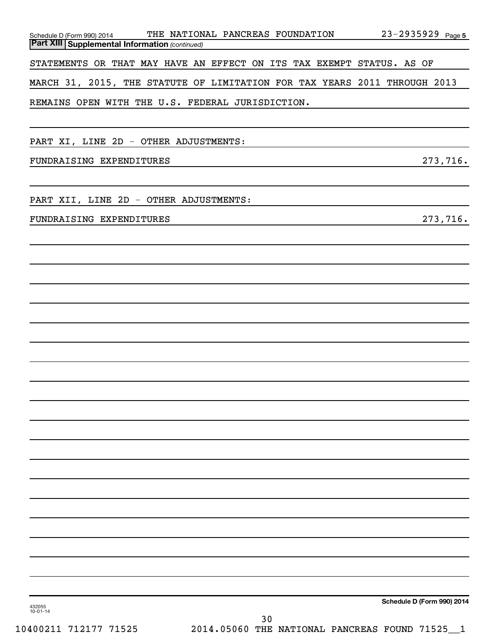| Schedule D (Form 990) 2014<br><b>Part XIII Supplemental Information (continued)</b> | THE NATIONAL PANCREAS FOUNDATION<br>$23 - 2935929$ Page 5                 |
|-------------------------------------------------------------------------------------|---------------------------------------------------------------------------|
|                                                                                     |                                                                           |
|                                                                                     | STATEMENTS OR THAT MAY HAVE AN EFFECT ON ITS TAX EXEMPT STATUS. AS OF     |
|                                                                                     | MARCH 31, 2015, THE STATUTE OF LIMITATION FOR TAX YEARS 2011 THROUGH 2013 |
| REMAINS OPEN WITH THE U.S. FEDERAL JURISDICTION.                                    |                                                                           |
|                                                                                     |                                                                           |
| PART XI, LINE 2D - OTHER ADJUSTMENTS:                                               |                                                                           |
| FUNDRAISING EXPENDITURES                                                            | 273,716.                                                                  |
|                                                                                     |                                                                           |
| PART XII, LINE 2D - OTHER ADJUSTMENTS:                                              |                                                                           |
| FUNDRAISING EXPENDITURES                                                            | 273,716.                                                                  |
|                                                                                     |                                                                           |
|                                                                                     |                                                                           |
|                                                                                     |                                                                           |
|                                                                                     |                                                                           |
|                                                                                     |                                                                           |
|                                                                                     |                                                                           |
|                                                                                     |                                                                           |
|                                                                                     |                                                                           |
|                                                                                     |                                                                           |
|                                                                                     |                                                                           |
|                                                                                     |                                                                           |
|                                                                                     |                                                                           |
|                                                                                     |                                                                           |
|                                                                                     |                                                                           |
|                                                                                     |                                                                           |
|                                                                                     |                                                                           |
|                                                                                     |                                                                           |
|                                                                                     |                                                                           |
|                                                                                     |                                                                           |
|                                                                                     |                                                                           |
|                                                                                     |                                                                           |
|                                                                                     |                                                                           |
| 432055<br>$10 - 01 - 14$                                                            | Schedule D (Form 990) 2014                                                |
| 10400211 712177 71525                                                               | 30<br>2014.05060 THE NATIONAL PANCREAS FOUND 71525_1                      |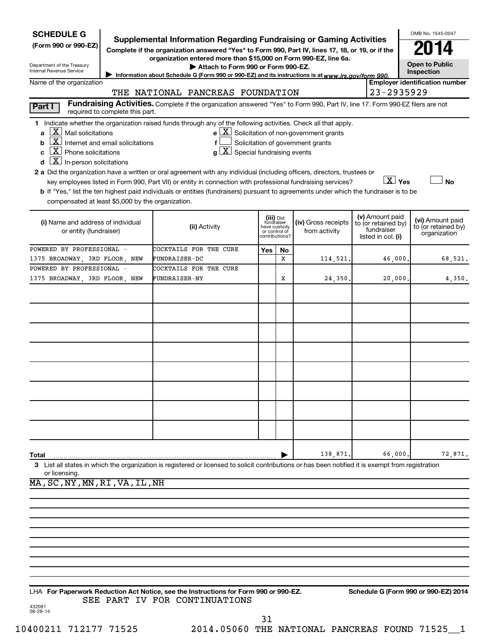| Supplemental Information Regarding Fundraising or Gaming Activities<br>(Form 990 or 990-EZ)<br>Complete if the organization answered "Yes" to Form 990, Part IV, lines 17, 18, or 19, or if the<br>organization entered more than \$15,000 on Form 990-EZ, line 6a.<br><b>Open to Public</b><br>Department of the Treasury<br>Attach to Form 990 or Form 990-EZ.<br>Internal Revenue Service<br>Inspection<br>Information about Schedule G (Form 990 or 990-EZ) and its instructions is at www.irs.gov/form 990<br><b>Employer identification number</b><br>Name of the organization<br>23-2935929<br>THE NATIONAL PANCREAS FOUNDATION<br>Fundraising Activities. Complete if the organization answered "Yes" to Form 990, Part IV, line 17. Form 990-EZ filers are not<br>Part I<br>required to complete this part.<br>1 Indicate whether the organization raised funds through any of the following activities. Check all that apply.<br>$\mathbf{X}$ Mail solicitations<br>$e$ $\boxed{\text{X}}$ Solicitation of non-government grants<br>a<br>$\overline{\mathbf{X}}$ Internet and email solicitations<br>Solicitation of government grants<br>b<br>$\overline{X}$ Phone solicitations<br>$g\left[\overline{X}\right]$ Special fundraising events<br>C<br>$\mathbf{X}$ In-person solicitations<br>d<br>2 a Did the organization have a written or oral agreement with any individual (including officers, directors, trustees or<br>$\boxed{\text{X}}$ Yes<br><b>No</b><br>key employees listed in Form 990, Part VII) or entity in connection with professional fundraising services?<br>b If "Yes," list the ten highest paid individuals or entities (fundraisers) pursuant to agreements under which the fundraiser is to be<br>compensated at least \$5,000 by the organization.<br>(v) Amount paid<br>(iii) Did<br>fundraiser<br>(vi) Amount paid<br>(i) Name and address of individual<br>(iv) Gross receipts<br>to (or retained by)<br>to (or retained by)<br>(ii) Activity<br>have custody<br>fundraiser<br>or entity (fundraiser)<br>from activity<br>or control of<br>?contributions<br>organization<br>listed in col. (i)<br>POWERED BY PROFESSIONAL -<br>COCKTAILS FOR THE CURE<br>Yes<br>No<br>x<br>46,000<br>68,521.<br>1375 BROADWAY, 3RD FLOOR, NEW<br>114,521.<br>FUNDRAISER-DC<br>POWERED BY PROFESSIONAL -<br>COCKTAILS FOR THE CURE<br>1375 BROADWAY, 3RD FLOOR, NEW<br>24,350.<br>20,000<br>4,350.<br>FUNDRAISER-NY<br>Х<br>138,871<br>66,000<br>72,871.<br>Total<br>3 List all states in which the organization is registered or licensed to solicit contributions or has been notified it is exempt from registration<br>or licensing.<br>MA, SC, NY, MN, RI, VA, IL, NH | <b>SCHEDULE G</b> |  |  |  | OMB No. 1545-0047 |
|-------------------------------------------------------------------------------------------------------------------------------------------------------------------------------------------------------------------------------------------------------------------------------------------------------------------------------------------------------------------------------------------------------------------------------------------------------------------------------------------------------------------------------------------------------------------------------------------------------------------------------------------------------------------------------------------------------------------------------------------------------------------------------------------------------------------------------------------------------------------------------------------------------------------------------------------------------------------------------------------------------------------------------------------------------------------------------------------------------------------------------------------------------------------------------------------------------------------------------------------------------------------------------------------------------------------------------------------------------------------------------------------------------------------------------------------------------------------------------------------------------------------------------------------------------------------------------------------------------------------------------------------------------------------------------------------------------------------------------------------------------------------------------------------------------------------------------------------------------------------------------------------------------------------------------------------------------------------------------------------------------------------------------------------------------------------------------------------------------------------------------------------------------------------------------------------------------------------------------------------------------------------------------------------------------------------------------------------------------------------------------------------------------------------------------------------------------------------------------------------------------------------------------------------------------------------------------------------------------------------------------------------------------------------------------------------------------|-------------------|--|--|--|-------------------|
|                                                                                                                                                                                                                                                                                                                                                                                                                                                                                                                                                                                                                                                                                                                                                                                                                                                                                                                                                                                                                                                                                                                                                                                                                                                                                                                                                                                                                                                                                                                                                                                                                                                                                                                                                                                                                                                                                                                                                                                                                                                                                                                                                                                                                                                                                                                                                                                                                                                                                                                                                                                                                                                                                                       |                   |  |  |  |                   |
|                                                                                                                                                                                                                                                                                                                                                                                                                                                                                                                                                                                                                                                                                                                                                                                                                                                                                                                                                                                                                                                                                                                                                                                                                                                                                                                                                                                                                                                                                                                                                                                                                                                                                                                                                                                                                                                                                                                                                                                                                                                                                                                                                                                                                                                                                                                                                                                                                                                                                                                                                                                                                                                                                                       |                   |  |  |  |                   |
|                                                                                                                                                                                                                                                                                                                                                                                                                                                                                                                                                                                                                                                                                                                                                                                                                                                                                                                                                                                                                                                                                                                                                                                                                                                                                                                                                                                                                                                                                                                                                                                                                                                                                                                                                                                                                                                                                                                                                                                                                                                                                                                                                                                                                                                                                                                                                                                                                                                                                                                                                                                                                                                                                                       |                   |  |  |  |                   |
|                                                                                                                                                                                                                                                                                                                                                                                                                                                                                                                                                                                                                                                                                                                                                                                                                                                                                                                                                                                                                                                                                                                                                                                                                                                                                                                                                                                                                                                                                                                                                                                                                                                                                                                                                                                                                                                                                                                                                                                                                                                                                                                                                                                                                                                                                                                                                                                                                                                                                                                                                                                                                                                                                                       |                   |  |  |  |                   |
|                                                                                                                                                                                                                                                                                                                                                                                                                                                                                                                                                                                                                                                                                                                                                                                                                                                                                                                                                                                                                                                                                                                                                                                                                                                                                                                                                                                                                                                                                                                                                                                                                                                                                                                                                                                                                                                                                                                                                                                                                                                                                                                                                                                                                                                                                                                                                                                                                                                                                                                                                                                                                                                                                                       |                   |  |  |  |                   |
|                                                                                                                                                                                                                                                                                                                                                                                                                                                                                                                                                                                                                                                                                                                                                                                                                                                                                                                                                                                                                                                                                                                                                                                                                                                                                                                                                                                                                                                                                                                                                                                                                                                                                                                                                                                                                                                                                                                                                                                                                                                                                                                                                                                                                                                                                                                                                                                                                                                                                                                                                                                                                                                                                                       |                   |  |  |  |                   |
|                                                                                                                                                                                                                                                                                                                                                                                                                                                                                                                                                                                                                                                                                                                                                                                                                                                                                                                                                                                                                                                                                                                                                                                                                                                                                                                                                                                                                                                                                                                                                                                                                                                                                                                                                                                                                                                                                                                                                                                                                                                                                                                                                                                                                                                                                                                                                                                                                                                                                                                                                                                                                                                                                                       |                   |  |  |  |                   |
|                                                                                                                                                                                                                                                                                                                                                                                                                                                                                                                                                                                                                                                                                                                                                                                                                                                                                                                                                                                                                                                                                                                                                                                                                                                                                                                                                                                                                                                                                                                                                                                                                                                                                                                                                                                                                                                                                                                                                                                                                                                                                                                                                                                                                                                                                                                                                                                                                                                                                                                                                                                                                                                                                                       |                   |  |  |  |                   |
|                                                                                                                                                                                                                                                                                                                                                                                                                                                                                                                                                                                                                                                                                                                                                                                                                                                                                                                                                                                                                                                                                                                                                                                                                                                                                                                                                                                                                                                                                                                                                                                                                                                                                                                                                                                                                                                                                                                                                                                                                                                                                                                                                                                                                                                                                                                                                                                                                                                                                                                                                                                                                                                                                                       |                   |  |  |  |                   |
|                                                                                                                                                                                                                                                                                                                                                                                                                                                                                                                                                                                                                                                                                                                                                                                                                                                                                                                                                                                                                                                                                                                                                                                                                                                                                                                                                                                                                                                                                                                                                                                                                                                                                                                                                                                                                                                                                                                                                                                                                                                                                                                                                                                                                                                                                                                                                                                                                                                                                                                                                                                                                                                                                                       |                   |  |  |  |                   |
|                                                                                                                                                                                                                                                                                                                                                                                                                                                                                                                                                                                                                                                                                                                                                                                                                                                                                                                                                                                                                                                                                                                                                                                                                                                                                                                                                                                                                                                                                                                                                                                                                                                                                                                                                                                                                                                                                                                                                                                                                                                                                                                                                                                                                                                                                                                                                                                                                                                                                                                                                                                                                                                                                                       |                   |  |  |  |                   |
|                                                                                                                                                                                                                                                                                                                                                                                                                                                                                                                                                                                                                                                                                                                                                                                                                                                                                                                                                                                                                                                                                                                                                                                                                                                                                                                                                                                                                                                                                                                                                                                                                                                                                                                                                                                                                                                                                                                                                                                                                                                                                                                                                                                                                                                                                                                                                                                                                                                                                                                                                                                                                                                                                                       |                   |  |  |  |                   |
|                                                                                                                                                                                                                                                                                                                                                                                                                                                                                                                                                                                                                                                                                                                                                                                                                                                                                                                                                                                                                                                                                                                                                                                                                                                                                                                                                                                                                                                                                                                                                                                                                                                                                                                                                                                                                                                                                                                                                                                                                                                                                                                                                                                                                                                                                                                                                                                                                                                                                                                                                                                                                                                                                                       |                   |  |  |  |                   |
|                                                                                                                                                                                                                                                                                                                                                                                                                                                                                                                                                                                                                                                                                                                                                                                                                                                                                                                                                                                                                                                                                                                                                                                                                                                                                                                                                                                                                                                                                                                                                                                                                                                                                                                                                                                                                                                                                                                                                                                                                                                                                                                                                                                                                                                                                                                                                                                                                                                                                                                                                                                                                                                                                                       |                   |  |  |  |                   |
|                                                                                                                                                                                                                                                                                                                                                                                                                                                                                                                                                                                                                                                                                                                                                                                                                                                                                                                                                                                                                                                                                                                                                                                                                                                                                                                                                                                                                                                                                                                                                                                                                                                                                                                                                                                                                                                                                                                                                                                                                                                                                                                                                                                                                                                                                                                                                                                                                                                                                                                                                                                                                                                                                                       |                   |  |  |  |                   |
|                                                                                                                                                                                                                                                                                                                                                                                                                                                                                                                                                                                                                                                                                                                                                                                                                                                                                                                                                                                                                                                                                                                                                                                                                                                                                                                                                                                                                                                                                                                                                                                                                                                                                                                                                                                                                                                                                                                                                                                                                                                                                                                                                                                                                                                                                                                                                                                                                                                                                                                                                                                                                                                                                                       |                   |  |  |  |                   |
|                                                                                                                                                                                                                                                                                                                                                                                                                                                                                                                                                                                                                                                                                                                                                                                                                                                                                                                                                                                                                                                                                                                                                                                                                                                                                                                                                                                                                                                                                                                                                                                                                                                                                                                                                                                                                                                                                                                                                                                                                                                                                                                                                                                                                                                                                                                                                                                                                                                                                                                                                                                                                                                                                                       |                   |  |  |  |                   |
|                                                                                                                                                                                                                                                                                                                                                                                                                                                                                                                                                                                                                                                                                                                                                                                                                                                                                                                                                                                                                                                                                                                                                                                                                                                                                                                                                                                                                                                                                                                                                                                                                                                                                                                                                                                                                                                                                                                                                                                                                                                                                                                                                                                                                                                                                                                                                                                                                                                                                                                                                                                                                                                                                                       |                   |  |  |  |                   |
|                                                                                                                                                                                                                                                                                                                                                                                                                                                                                                                                                                                                                                                                                                                                                                                                                                                                                                                                                                                                                                                                                                                                                                                                                                                                                                                                                                                                                                                                                                                                                                                                                                                                                                                                                                                                                                                                                                                                                                                                                                                                                                                                                                                                                                                                                                                                                                                                                                                                                                                                                                                                                                                                                                       |                   |  |  |  |                   |
|                                                                                                                                                                                                                                                                                                                                                                                                                                                                                                                                                                                                                                                                                                                                                                                                                                                                                                                                                                                                                                                                                                                                                                                                                                                                                                                                                                                                                                                                                                                                                                                                                                                                                                                                                                                                                                                                                                                                                                                                                                                                                                                                                                                                                                                                                                                                                                                                                                                                                                                                                                                                                                                                                                       |                   |  |  |  |                   |
|                                                                                                                                                                                                                                                                                                                                                                                                                                                                                                                                                                                                                                                                                                                                                                                                                                                                                                                                                                                                                                                                                                                                                                                                                                                                                                                                                                                                                                                                                                                                                                                                                                                                                                                                                                                                                                                                                                                                                                                                                                                                                                                                                                                                                                                                                                                                                                                                                                                                                                                                                                                                                                                                                                       |                   |  |  |  |                   |
|                                                                                                                                                                                                                                                                                                                                                                                                                                                                                                                                                                                                                                                                                                                                                                                                                                                                                                                                                                                                                                                                                                                                                                                                                                                                                                                                                                                                                                                                                                                                                                                                                                                                                                                                                                                                                                                                                                                                                                                                                                                                                                                                                                                                                                                                                                                                                                                                                                                                                                                                                                                                                                                                                                       |                   |  |  |  |                   |
|                                                                                                                                                                                                                                                                                                                                                                                                                                                                                                                                                                                                                                                                                                                                                                                                                                                                                                                                                                                                                                                                                                                                                                                                                                                                                                                                                                                                                                                                                                                                                                                                                                                                                                                                                                                                                                                                                                                                                                                                                                                                                                                                                                                                                                                                                                                                                                                                                                                                                                                                                                                                                                                                                                       |                   |  |  |  |                   |
|                                                                                                                                                                                                                                                                                                                                                                                                                                                                                                                                                                                                                                                                                                                                                                                                                                                                                                                                                                                                                                                                                                                                                                                                                                                                                                                                                                                                                                                                                                                                                                                                                                                                                                                                                                                                                                                                                                                                                                                                                                                                                                                                                                                                                                                                                                                                                                                                                                                                                                                                                                                                                                                                                                       |                   |  |  |  |                   |
|                                                                                                                                                                                                                                                                                                                                                                                                                                                                                                                                                                                                                                                                                                                                                                                                                                                                                                                                                                                                                                                                                                                                                                                                                                                                                                                                                                                                                                                                                                                                                                                                                                                                                                                                                                                                                                                                                                                                                                                                                                                                                                                                                                                                                                                                                                                                                                                                                                                                                                                                                                                                                                                                                                       |                   |  |  |  |                   |
|                                                                                                                                                                                                                                                                                                                                                                                                                                                                                                                                                                                                                                                                                                                                                                                                                                                                                                                                                                                                                                                                                                                                                                                                                                                                                                                                                                                                                                                                                                                                                                                                                                                                                                                                                                                                                                                                                                                                                                                                                                                                                                                                                                                                                                                                                                                                                                                                                                                                                                                                                                                                                                                                                                       |                   |  |  |  |                   |
|                                                                                                                                                                                                                                                                                                                                                                                                                                                                                                                                                                                                                                                                                                                                                                                                                                                                                                                                                                                                                                                                                                                                                                                                                                                                                                                                                                                                                                                                                                                                                                                                                                                                                                                                                                                                                                                                                                                                                                                                                                                                                                                                                                                                                                                                                                                                                                                                                                                                                                                                                                                                                                                                                                       |                   |  |  |  |                   |
|                                                                                                                                                                                                                                                                                                                                                                                                                                                                                                                                                                                                                                                                                                                                                                                                                                                                                                                                                                                                                                                                                                                                                                                                                                                                                                                                                                                                                                                                                                                                                                                                                                                                                                                                                                                                                                                                                                                                                                                                                                                                                                                                                                                                                                                                                                                                                                                                                                                                                                                                                                                                                                                                                                       |                   |  |  |  |                   |
|                                                                                                                                                                                                                                                                                                                                                                                                                                                                                                                                                                                                                                                                                                                                                                                                                                                                                                                                                                                                                                                                                                                                                                                                                                                                                                                                                                                                                                                                                                                                                                                                                                                                                                                                                                                                                                                                                                                                                                                                                                                                                                                                                                                                                                                                                                                                                                                                                                                                                                                                                                                                                                                                                                       |                   |  |  |  |                   |
|                                                                                                                                                                                                                                                                                                                                                                                                                                                                                                                                                                                                                                                                                                                                                                                                                                                                                                                                                                                                                                                                                                                                                                                                                                                                                                                                                                                                                                                                                                                                                                                                                                                                                                                                                                                                                                                                                                                                                                                                                                                                                                                                                                                                                                                                                                                                                                                                                                                                                                                                                                                                                                                                                                       |                   |  |  |  |                   |
|                                                                                                                                                                                                                                                                                                                                                                                                                                                                                                                                                                                                                                                                                                                                                                                                                                                                                                                                                                                                                                                                                                                                                                                                                                                                                                                                                                                                                                                                                                                                                                                                                                                                                                                                                                                                                                                                                                                                                                                                                                                                                                                                                                                                                                                                                                                                                                                                                                                                                                                                                                                                                                                                                                       |                   |  |  |  |                   |
|                                                                                                                                                                                                                                                                                                                                                                                                                                                                                                                                                                                                                                                                                                                                                                                                                                                                                                                                                                                                                                                                                                                                                                                                                                                                                                                                                                                                                                                                                                                                                                                                                                                                                                                                                                                                                                                                                                                                                                                                                                                                                                                                                                                                                                                                                                                                                                                                                                                                                                                                                                                                                                                                                                       |                   |  |  |  |                   |

432081 08-28-14 **For Paperwork Reduction Act Notice, see the Instructions for Form 990 or 990-EZ. Schedule G (Form 990 or 990-EZ) 2014** LHA SEE PART IV FOR CONTINUATIONS

31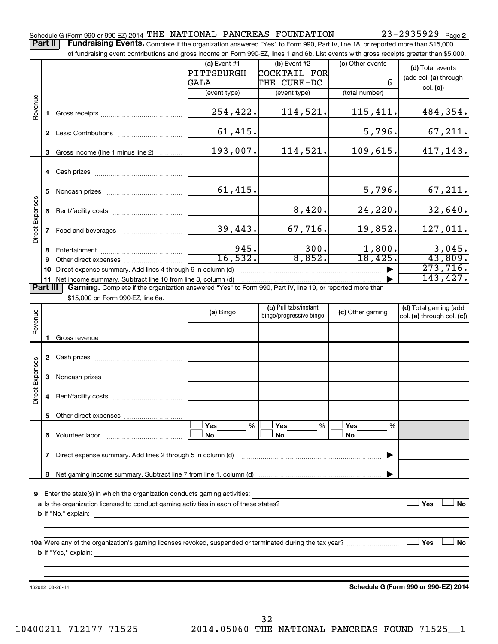Part II | Fundraising Events. Complete if the organization answered "Yes" to Form 990, Part IV, line 18, or reported more than \$15,000 of fundraising event contributions and gross income on Form 990-EZ, lines 1 and 6b. List events with gross receipts greater than \$5,000.

|                        |                                                                                                                                                                                                                                     |                                                                                                                                                                                                                                | $(a)$ Event #1<br>PITTSBURGH | $(b)$ Event #2<br>COCKTAIL FOR                   | (c) Other events      | (d) Total events                                    |
|------------------------|-------------------------------------------------------------------------------------------------------------------------------------------------------------------------------------------------------------------------------------|--------------------------------------------------------------------------------------------------------------------------------------------------------------------------------------------------------------------------------|------------------------------|--------------------------------------------------|-----------------------|-----------------------------------------------------|
|                        |                                                                                                                                                                                                                                     | THE CURE-DC<br>GALA                                                                                                                                                                                                            |                              | 6                                                | (add col. (a) through |                                                     |
|                        |                                                                                                                                                                                                                                     |                                                                                                                                                                                                                                | (event type)                 | (event type)                                     | (total number)        | col. (c)                                            |
| Revenue                |                                                                                                                                                                                                                                     |                                                                                                                                                                                                                                | 254,422.                     | 114,521.                                         | 115,411.              | 484,354.                                            |
|                        | $\mathbf{2}$                                                                                                                                                                                                                        |                                                                                                                                                                                                                                | 61,415.                      |                                                  | 5,796.                | 67, 211.                                            |
|                        | 3                                                                                                                                                                                                                                   | Gross income (line 1 minus line 2)                                                                                                                                                                                             | 193,007.                     | 114,521.                                         | 109,615.              | 417,143.                                            |
|                        |                                                                                                                                                                                                                                     |                                                                                                                                                                                                                                |                              |                                                  |                       |                                                     |
|                        | Noncash prizes and the state of the state of the state of the state of the state of the state of the state of the state of the state of the state of the state of the state of the state of the state of the state of the stat<br>5 |                                                                                                                                                                                                                                | 61,415.                      |                                                  | 5,796.                | 67,211.                                             |
| <b>Direct Expenses</b> | 6                                                                                                                                                                                                                                   |                                                                                                                                                                                                                                |                              | 8,420.                                           | 24,220.               | 32,640.                                             |
|                        |                                                                                                                                                                                                                                     | Food and beverages <b>Example 20</b>                                                                                                                                                                                           | 39,443.                      | 67,716.                                          | 19,852.               | 127,011.                                            |
|                        | 8                                                                                                                                                                                                                                   |                                                                                                                                                                                                                                | 945.                         | 300.                                             | 1,800.                | 3,045.                                              |
|                        | 9                                                                                                                                                                                                                                   | Other direct expenses of the state of the state of the state of the state of the state of the state of the state of the state of the state of the state of the state of the state of the state of the state of the state of th | 16, 532.                     | 8,852.                                           | 18,425.               | 43,809.                                             |
|                        | 10                                                                                                                                                                                                                                  | Direct expense summary. Add lines 4 through 9 in column (d)                                                                                                                                                                    | 273,716.                     |                                                  |                       |                                                     |
|                        |                                                                                                                                                                                                                                     |                                                                                                                                                                                                                                |                              |                                                  |                       | 143,427.                                            |
| <b>Part III</b>        |                                                                                                                                                                                                                                     | Gaming. Complete if the organization answered "Yes" to Form 990, Part IV, line 19, or reported more than                                                                                                                       |                              |                                                  |                       |                                                     |
|                        |                                                                                                                                                                                                                                     | \$15,000 on Form 990-EZ, line 6a.                                                                                                                                                                                              |                              |                                                  |                       |                                                     |
| enue                   |                                                                                                                                                                                                                                     |                                                                                                                                                                                                                                | (a) Bingo                    | (b) Pull tabs/instant<br>bingo/progressive bingo | (c) Other gaming      | (d) Total gaming (add<br>col. (a) through col. (c)) |

|                 |              |                             | (a) Bingo             | bingo/progressive bingo | (c) Other gaming      | $\frac{1}{2}$ . ord. gaining ass<br>col. (a) through col. (c)) |
|-----------------|--------------|-----------------------------|-----------------------|-------------------------|-----------------------|----------------------------------------------------------------|
| Revenue         | 1.           |                             |                       |                         |                       |                                                                |
|                 | $\mathbf{2}$ |                             |                       |                         |                       |                                                                |
|                 | 3            |                             |                       |                         |                       |                                                                |
| Direct Expenses | 4            |                             |                       |                         |                       |                                                                |
|                 | 5.           |                             |                       |                         |                       |                                                                |
|                 | 6            |                             | Yes<br>%<br><b>No</b> | Yes<br>%<br><b>No</b>   | Yes<br>%<br><b>No</b> |                                                                |
|                 |              |                             |                       |                         |                       |                                                                |
|                 | 8            |                             |                       |                         |                       |                                                                |
| 9               |              |                             |                       |                         |                       |                                                                |
|                 |              |                             |                       |                         |                       | Yes<br><b>No</b>                                               |
|                 |              |                             |                       |                         |                       |                                                                |
|                 |              | <b>b</b> If "Yes," explain: |                       |                         |                       | Yes<br><b>No</b>                                               |
|                 |              |                             |                       |                         |                       |                                                                |

432082 08-28-14

**Schedule G (Form 990 or 990-EZ) 2014**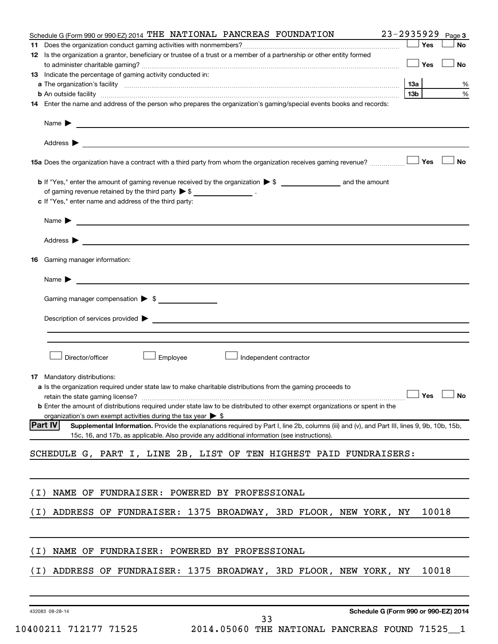|       | Schedule G (Form 990 or 990-EZ) 2014 THE NATIONAL PANCREAS FOUNDATION                                                                                                                                                                                   |                        |            | 23-2935929 Page 3    |
|-------|---------------------------------------------------------------------------------------------------------------------------------------------------------------------------------------------------------------------------------------------------------|------------------------|------------|----------------------|
|       |                                                                                                                                                                                                                                                         |                        | Yes        | No                   |
|       | 12 Is the organization a grantor, beneficiary or trustee of a trust or a member of a partnership or other entity formed                                                                                                                                 |                        |            |                      |
|       |                                                                                                                                                                                                                                                         |                        | $\Box$ Yes | No                   |
|       | 13 Indicate the percentage of gaming activity conducted in:                                                                                                                                                                                             |                        |            |                      |
|       |                                                                                                                                                                                                                                                         | 13a<br>13 <sub>b</sub> |            | %<br>%               |
|       | <b>b</b> An outside facility <i>www.communicality.communicality.communicality.communicality www.communicality.communicality</i><br>14 Enter the name and address of the person who prepares the organization's gaming/special events books and records: |                        |            |                      |
|       |                                                                                                                                                                                                                                                         |                        |            |                      |
|       | Name $\blacktriangleright$<br><u>some started and the started and the started and the started and the started and the started and the started and</u>                                                                                                   |                        |            |                      |
|       | Address $\blacktriangleright$                                                                                                                                                                                                                           |                        |            |                      |
|       | 15a Does the organization have a contract with a third party from whom the organization receives gaming revenue?                                                                                                                                        |                        | Yes        | No                   |
|       |                                                                                                                                                                                                                                                         |                        |            |                      |
|       | of gaming revenue retained by the third party $\triangleright$ \$ ___________________.                                                                                                                                                                  |                        |            |                      |
|       | c If "Yes," enter name and address of the third party:                                                                                                                                                                                                  |                        |            |                      |
|       | Name $\blacktriangleright$<br><u> 1989 - Andrea Andrew Maria (h. 1989).</u>                                                                                                                                                                             |                        |            |                      |
|       | Address $\blacktriangleright$<br>and the control of the control of the control of the control of the control of the control of the control of the                                                                                                       |                        |            |                      |
|       | <b>16</b> Gaming manager information:                                                                                                                                                                                                                   |                        |            |                      |
|       |                                                                                                                                                                                                                                                         |                        |            |                      |
|       | Name $\blacktriangleright$<br><u> 1989 - Johann Stein, fransk politik (f. 1989)</u>                                                                                                                                                                     |                        |            |                      |
|       |                                                                                                                                                                                                                                                         |                        |            |                      |
|       |                                                                                                                                                                                                                                                         |                        |            |                      |
|       | Description of services provided > example and the contract of the contract of the contract of the contract of                                                                                                                                          |                        |            |                      |
|       |                                                                                                                                                                                                                                                         |                        |            |                      |
|       | Director/officer<br>Employee<br>$\perp$ Independent contractor                                                                                                                                                                                          |                        |            |                      |
|       |                                                                                                                                                                                                                                                         |                        |            |                      |
|       | 17 Mandatory distributions:                                                                                                                                                                                                                             |                        |            |                      |
|       | a Is the organization required under state law to make charitable distributions from the gaming proceeds to                                                                                                                                             |                        |            |                      |
|       | retain the state gaming license?                                                                                                                                                                                                                        |                        |            | $\Box$ Yes $\Box$ No |
|       | <b>b</b> Enter the amount of distributions required under state law to be distributed to other exempt organizations or spent in the<br>organization's own exempt activities during the tax year $\triangleright$ \$                                     |                        |            |                      |
|       | <b>Part IV</b><br>Supplemental Information. Provide the explanations required by Part I, line 2b, columns (iii) and (v), and Part III, lines 9, 9b, 10b, 15b,                                                                                           |                        |            |                      |
|       | 15c, 16, and 17b, as applicable. Also provide any additional information (see instructions).                                                                                                                                                            |                        |            |                      |
|       | SCHEDULE G, PART I, LINE 2B, LIST OF TEN HIGHEST PAID FUNDRAISERS:                                                                                                                                                                                      |                        |            |                      |
|       |                                                                                                                                                                                                                                                         |                        |            |                      |
|       |                                                                                                                                                                                                                                                         |                        |            |                      |
| ( I ) | NAME OF FUNDRAISER: POWERED BY PROFESSIONAL                                                                                                                                                                                                             |                        |            |                      |
| ( I ) | ADDRESS OF FUNDRAISER: 1375 BROADWAY, 3RD FLOOR, NEW YORK, NY                                                                                                                                                                                           |                        | 10018      |                      |
|       |                                                                                                                                                                                                                                                         |                        |            |                      |
|       |                                                                                                                                                                                                                                                         |                        |            |                      |
| ( I ) | NAME OF FUNDRAISER: POWERED BY PROFESSIONAL                                                                                                                                                                                                             |                        |            |                      |
| ( I ) | ADDRESS OF FUNDRAISER: 1375 BROADWAY, 3RD FLOOR, NEW YORK, NY                                                                                                                                                                                           |                        | 10018      |                      |
|       |                                                                                                                                                                                                                                                         |                        |            |                      |
|       |                                                                                                                                                                                                                                                         |                        |            |                      |
|       | Schedule G (Form 990 or 990-EZ) 2014<br>432083 08-28-14<br>33                                                                                                                                                                                           |                        |            |                      |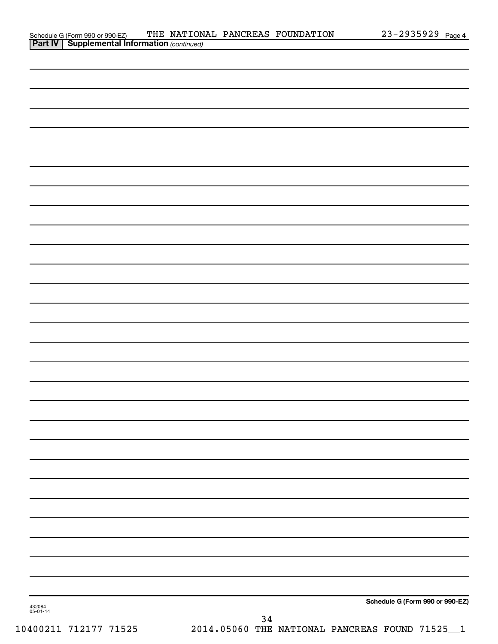| Schedule G (Form 990 or 990-EZ)                       |  | THE NATIONAL PANCREAS FOUNDATION | $23 - 2935929$ Page 4 |  |
|-------------------------------------------------------|--|----------------------------------|-----------------------|--|
| <b>Part IV   Supplemental Information (continued)</b> |  |                                  |                       |  |

| . .                |      |                                 |
|--------------------|------|---------------------------------|
|                    |      |                                 |
|                    |      |                                 |
|                    |      |                                 |
|                    |      |                                 |
|                    |      |                                 |
|                    |      |                                 |
|                    |      |                                 |
|                    |      |                                 |
|                    |      |                                 |
|                    |      |                                 |
|                    |      |                                 |
|                    |      |                                 |
|                    |      |                                 |
|                    |      |                                 |
|                    |      |                                 |
|                    |      |                                 |
|                    |      |                                 |
|                    |      |                                 |
|                    |      |                                 |
|                    |      |                                 |
|                    |      |                                 |
|                    |      |                                 |
|                    |      |                                 |
|                    |      |                                 |
|                    |      |                                 |
|                    |      |                                 |
|                    |      |                                 |
|                    |      |                                 |
|                    |      |                                 |
|                    |      |                                 |
|                    |      |                                 |
|                    |      |                                 |
|                    |      |                                 |
|                    |      |                                 |
|                    |      |                                 |
|                    |      |                                 |
|                    |      |                                 |
|                    |      |                                 |
|                    |      |                                 |
|                    |      |                                 |
|                    |      |                                 |
|                    |      |                                 |
|                    |      |                                 |
|                    |      |                                 |
|                    |      |                                 |
|                    |      |                                 |
|                    |      |                                 |
|                    |      |                                 |
|                    |      |                                 |
|                    |      |                                 |
|                    |      |                                 |
|                    |      | Schedule G (Form 990 or 990-EZ) |
| 432084<br>05-01-14 |      |                                 |
|                    | $34$ |                                 |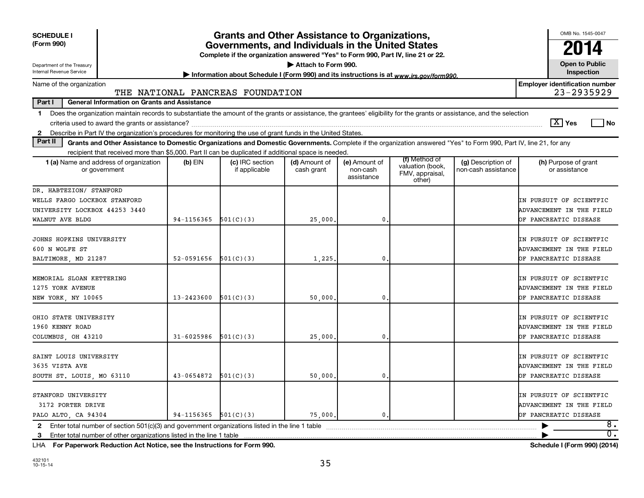| <b>SCHEDULE I</b><br>(Form 990)                                                                                                                                                                                                                                                                                 |                          | <b>Grants and Other Assistance to Organizations,</b><br>Governments, and Individuals in the United States<br>Complete if the organization answered "Yes" to Form 990, Part IV, line 21 or 22. |                             |                                         |                                                                |                                           | OMB No. 1545-0047<br>20<br>14                       |
|-----------------------------------------------------------------------------------------------------------------------------------------------------------------------------------------------------------------------------------------------------------------------------------------------------------------|--------------------------|-----------------------------------------------------------------------------------------------------------------------------------------------------------------------------------------------|-----------------------------|-----------------------------------------|----------------------------------------------------------------|-------------------------------------------|-----------------------------------------------------|
| Department of the Treasury<br>Internal Revenue Service                                                                                                                                                                                                                                                          |                          | Information about Schedule I (Form 990) and its instructions is at www.irs.gov/form990.                                                                                                       | Attach to Form 990.         |                                         |                                                                |                                           | <b>Open to Public</b><br>Inspection                 |
| Name of the organization                                                                                                                                                                                                                                                                                        |                          | THE NATIONAL PANCREAS FOUNDATION                                                                                                                                                              |                             |                                         |                                                                |                                           | <b>Employer identification number</b><br>23-2935929 |
| <b>General Information on Grants and Assistance</b><br>Part I                                                                                                                                                                                                                                                   |                          |                                                                                                                                                                                               |                             |                                         |                                                                |                                           |                                                     |
| Does the organization maintain records to substantiate the amount of the grants or assistance, the grantees' eligibility for the grants or assistance, and the selection<br>1.<br>Describe in Part IV the organization's procedures for monitoring the use of grant funds in the United States.<br>$\mathbf{2}$ |                          |                                                                                                                                                                                               |                             |                                         |                                                                |                                           | $\boxed{\text{X}}$ Yes<br>  No                      |
| Part II<br>Grants and Other Assistance to Domestic Organizations and Domestic Governments. Complete if the organization answered "Yes" to Form 990, Part IV, line 21, for any                                                                                                                                   |                          |                                                                                                                                                                                               |                             |                                         |                                                                |                                           |                                                     |
| recipient that received more than \$5,000. Part II can be duplicated if additional space is needed.                                                                                                                                                                                                             |                          |                                                                                                                                                                                               |                             |                                         |                                                                |                                           |                                                     |
| 1 (a) Name and address of organization<br>or government                                                                                                                                                                                                                                                         | $(b)$ EIN                | (c) IRC section<br>if applicable                                                                                                                                                              | (d) Amount of<br>cash grant | (e) Amount of<br>non-cash<br>assistance | (f) Method of<br>valuation (book,<br>FMV, appraisal,<br>other) | (g) Description of<br>non-cash assistance | (h) Purpose of grant<br>or assistance               |
| DR. HABTEZION/ STANFORD                                                                                                                                                                                                                                                                                         |                          |                                                                                                                                                                                               |                             |                                         |                                                                |                                           |                                                     |
| WELLS FARGO LOCKBOX STANFORD                                                                                                                                                                                                                                                                                    |                          |                                                                                                                                                                                               |                             |                                         |                                                                |                                           | IN PURSUIT OF SCIENTFIC                             |
| UNIVERSITY LOCKBOX 44253 3440                                                                                                                                                                                                                                                                                   |                          |                                                                                                                                                                                               |                             |                                         |                                                                |                                           | ADVANCEMENT IN THE FIELD                            |
| WALNUT AVE BLDG                                                                                                                                                                                                                                                                                                 | $94 - 1156365$           | 501(C)(3)                                                                                                                                                                                     | 25,000                      | 0                                       |                                                                |                                           | OF PANCREATIC DISEASE                               |
| JOHNS HOPKINS UNIVERSITY                                                                                                                                                                                                                                                                                        |                          |                                                                                                                                                                                               |                             |                                         |                                                                |                                           | IN PURSUIT OF SCIENTFIC                             |
| 600 N WOLFE ST                                                                                                                                                                                                                                                                                                  |                          |                                                                                                                                                                                               |                             |                                         |                                                                |                                           | ADVANCEMENT IN THE FIELD                            |
| BALTIMORE, MD 21287                                                                                                                                                                                                                                                                                             | 52-0591656               | 501(C)(3)                                                                                                                                                                                     | 1,225                       | 0                                       |                                                                |                                           | OF PANCREATIC DISEASE                               |
|                                                                                                                                                                                                                                                                                                                 |                          |                                                                                                                                                                                               |                             |                                         |                                                                |                                           |                                                     |
| MEMORIAL SLOAN KETTERING                                                                                                                                                                                                                                                                                        |                          |                                                                                                                                                                                               |                             |                                         |                                                                |                                           | IN PURSUIT OF SCIENTFIC                             |
| 1275 YORK AVENUE                                                                                                                                                                                                                                                                                                |                          |                                                                                                                                                                                               |                             |                                         |                                                                |                                           | ADVANCEMENT IN THE FIELD                            |
| NEW YORK, NY 10065                                                                                                                                                                                                                                                                                              | 13-2423600               | 501(C)(3)                                                                                                                                                                                     | 50,000                      | 0                                       |                                                                |                                           | OF PANCREATIC DISEASE                               |
|                                                                                                                                                                                                                                                                                                                 |                          |                                                                                                                                                                                               |                             |                                         |                                                                |                                           |                                                     |
| OHIO STATE UNIVERSITY                                                                                                                                                                                                                                                                                           |                          |                                                                                                                                                                                               |                             |                                         |                                                                |                                           | IN PURSUIT OF SCIENTFIC                             |
| 1960 KENNY ROAD<br>COLUMBUS, OH 43210                                                                                                                                                                                                                                                                           | $31 - 6025986$           | 501(C)(3)                                                                                                                                                                                     | 25,000                      | 0                                       |                                                                |                                           | ADVANCEMENT IN THE FIELD<br>OF PANCREATIC DISEASE   |
|                                                                                                                                                                                                                                                                                                                 |                          |                                                                                                                                                                                               |                             |                                         |                                                                |                                           |                                                     |
| SAINT LOUIS UNIVERSITY                                                                                                                                                                                                                                                                                          |                          |                                                                                                                                                                                               |                             |                                         |                                                                |                                           | IN PURSUIT OF SCIENTFIC                             |
| 3635 VISTA AVE                                                                                                                                                                                                                                                                                                  |                          |                                                                                                                                                                                               |                             |                                         |                                                                |                                           | ADVANCEMENT IN THE FIELD                            |
| SOUTH ST. LOUIS, MO 63110                                                                                                                                                                                                                                                                                       | 43-0654872               | 501(C)(3)                                                                                                                                                                                     | 50,000                      | 0                                       |                                                                |                                           | OF PANCREATIC DISEASE                               |
|                                                                                                                                                                                                                                                                                                                 |                          |                                                                                                                                                                                               |                             |                                         |                                                                |                                           |                                                     |
| STANFORD UNIVERSITY                                                                                                                                                                                                                                                                                             |                          |                                                                                                                                                                                               |                             |                                         |                                                                |                                           | IN PURSUIT OF SCIENTFIC                             |
| 3172 PORTER DRIVE                                                                                                                                                                                                                                                                                               |                          |                                                                                                                                                                                               |                             |                                         |                                                                |                                           | ADVANCEMENT IN THE FIELD                            |
| PALO ALTO, CA 94304                                                                                                                                                                                                                                                                                             | $94-1156365$ $501(C)(3)$ |                                                                                                                                                                                               | 75,000.                     | 0.                                      |                                                                |                                           | OF PANCREATIC DISEASE                               |
|                                                                                                                                                                                                                                                                                                                 |                          |                                                                                                                                                                                               |                             |                                         |                                                                |                                           | 8.<br>▶                                             |
| 3 Enter total number of other organizations listed in the line 1 table                                                                                                                                                                                                                                          |                          |                                                                                                                                                                                               |                             |                                         |                                                                |                                           | $\overline{0}$ .                                    |

**For Paperwork Reduction Act Notice, see the Instructions for Form 990. Schedule I (Form 990) (2014)** LHA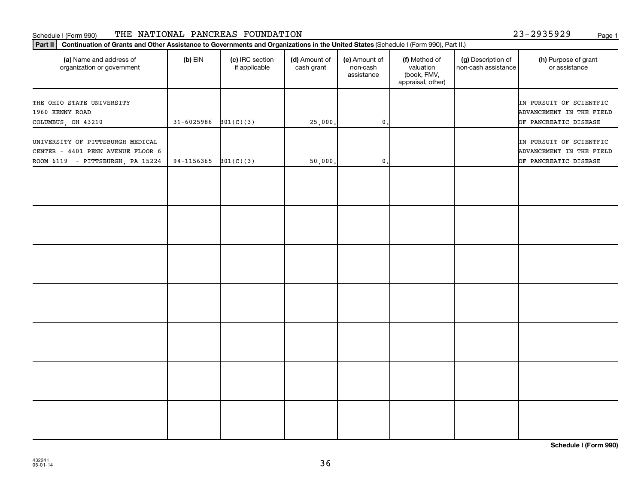### Schedule I (Form 990) THE NATIONAL PANCREAS FOUNDATION 23-2935929 <sub>Page 1</sub>

| Continuation of Grants and Other Assistance to Governments and Organizations in the United States (Schedule I (Form 990), Part II.)<br>Part II |            |                                  |                             |                                         |                                                                |                                           |                                                                              |  |
|------------------------------------------------------------------------------------------------------------------------------------------------|------------|----------------------------------|-----------------------------|-----------------------------------------|----------------------------------------------------------------|-------------------------------------------|------------------------------------------------------------------------------|--|
| (a) Name and address of<br>organization or government                                                                                          | $(b)$ EIN  | (c) IRC section<br>if applicable | (d) Amount of<br>cash grant | (e) Amount of<br>non-cash<br>assistance | (f) Method of<br>valuation<br>(book, FMV,<br>appraisal, other) | (g) Description of<br>non-cash assistance | (h) Purpose of grant<br>or assistance                                        |  |
| THE OHIO STATE UNIVERSITY<br>1960 KENNY ROAD<br>COLUMBUS, OH 43210                                                                             | 31-6025986 | 301(C)(3)                        | 25,000.                     | $\mathbf 0$ .                           |                                                                |                                           | IN PURSUIT OF SCIENTFIC<br>ADVANCEMENT IN THE FIELD<br>OF PANCREATIC DISEASE |  |
| UNIVERSITY OF PITTSBURGH MEDICAL<br>CENTER - 4401 PENN AVENUE FLOOR 6<br>ROOM 6119 - PITTSBURGH, PA 15224                                      | 94-1156365 | 301(C)(3)                        | 50,000.                     | $\mathbf{0}$ .                          |                                                                |                                           | IN PURSUIT OF SCIENTFIC<br>ADVANCEMENT IN THE FIELD<br>OF PANCREATIC DISEASE |  |
|                                                                                                                                                |            |                                  |                             |                                         |                                                                |                                           |                                                                              |  |
|                                                                                                                                                |            |                                  |                             |                                         |                                                                |                                           |                                                                              |  |
|                                                                                                                                                |            |                                  |                             |                                         |                                                                |                                           |                                                                              |  |
|                                                                                                                                                |            |                                  |                             |                                         |                                                                |                                           |                                                                              |  |
|                                                                                                                                                |            |                                  |                             |                                         |                                                                |                                           |                                                                              |  |
|                                                                                                                                                |            |                                  |                             |                                         |                                                                |                                           |                                                                              |  |
|                                                                                                                                                |            |                                  |                             |                                         |                                                                |                                           |                                                                              |  |

**Schedule I (Form 990)**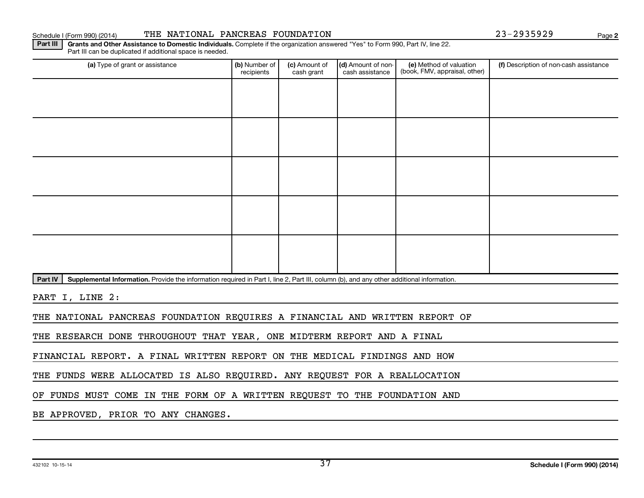Schedule I (Form 990) (2014) THE NATIONAL PANCREAS FOUNDATION 23-2935929 Page

**2**

Part III | Grants and Other Assistance to Domestic Individuals. Complete if the organization answered "Yes" to Form 990, Part IV, line 22. Part III can be duplicated if additional space is needed.

| (a) Type of grant or assistance                                                                                                                      | (b) Number of<br>recipients | (c) Amount of<br>cash grant | (d) Amount of non-<br>cash assistance | (e) Method of valuation<br>(book, FMV, appraisal, other) | (f) Description of non-cash assistance |
|------------------------------------------------------------------------------------------------------------------------------------------------------|-----------------------------|-----------------------------|---------------------------------------|----------------------------------------------------------|----------------------------------------|
|                                                                                                                                                      |                             |                             |                                       |                                                          |                                        |
|                                                                                                                                                      |                             |                             |                                       |                                                          |                                        |
|                                                                                                                                                      |                             |                             |                                       |                                                          |                                        |
|                                                                                                                                                      |                             |                             |                                       |                                                          |                                        |
|                                                                                                                                                      |                             |                             |                                       |                                                          |                                        |
|                                                                                                                                                      |                             |                             |                                       |                                                          |                                        |
|                                                                                                                                                      |                             |                             |                                       |                                                          |                                        |
|                                                                                                                                                      |                             |                             |                                       |                                                          |                                        |
|                                                                                                                                                      |                             |                             |                                       |                                                          |                                        |
|                                                                                                                                                      |                             |                             |                                       |                                                          |                                        |
| Supplemental Information. Provide the information required in Part I, line 2, Part III, column (b), and any other additional information.<br>Part IV |                             |                             |                                       |                                                          |                                        |
| PART I, LINE 2:                                                                                                                                      |                             |                             |                                       |                                                          |                                        |
| THE NATIONAL PANCREAS FOUNDATION REQUIRES A FINANCIAL AND WRITTEN REPORT OF                                                                          |                             |                             |                                       |                                                          |                                        |

THE RESEARCH DONE THROUGHOUT THAT YEAR, ONE MIDTERM REPORT AND A FINAL

FINANCIAL REPORT. A FINAL WRITTEN REPORT ON THE MEDICAL FINDINGS AND HOW

THE FUNDS WERE ALLOCATED IS ALSO REQUIRED. ANY REQUEST FOR A REALLOCATION

OF FUNDS MUST COME IN THE FORM OF A WRITTEN REQUEST TO THE FOUNDATION AND

BE APPROVED, PRIOR TO ANY CHANGES.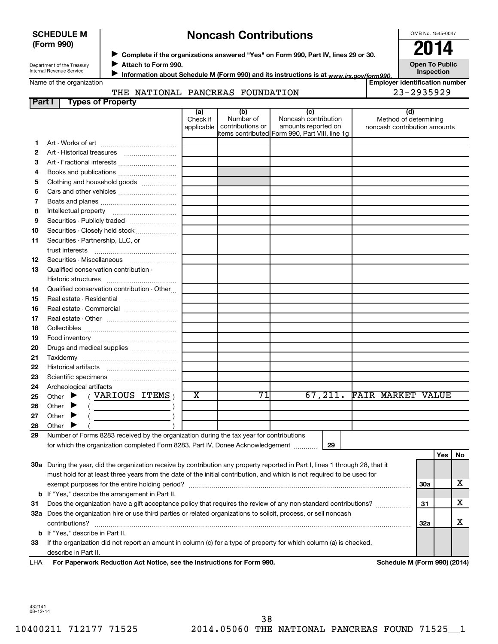### **SCHEDULE M (Form 990)**

## **Noncash Contributions**

OMB No. 1545-0047

Department of the Treasury Internal Revenue Service

Name of the organization

◆ Complete if the organizations answered "Yes" on Form 990, Part IV, lines 29 or 30.<br>▶ Complete if the organizations answered "Yes" on Form 990, Part IV, lines 29 or 30.

**Attach to Form 990.** J

Information about Schedule M (Form 990) and its instructions is at www.irs.gov/form990.

**Inspection Employer identification number**

**Open To Public**

### THE NATIONAL PANCREAS FOUNDATION 23-2935929

| Part I   | <b>Types of Property</b>                                                                                                       |                               |                                      |                                                                                                       |                                                              |            |     |    |
|----------|--------------------------------------------------------------------------------------------------------------------------------|-------------------------------|--------------------------------------|-------------------------------------------------------------------------------------------------------|--------------------------------------------------------------|------------|-----|----|
|          |                                                                                                                                | (a)<br>Check if<br>applicable | (b)<br>Number of<br>contributions or | (c)<br>Noncash contribution<br>amounts reported on<br>items contributed  Form 990, Part VIII, line 1g | (d)<br>Method of determining<br>noncash contribution amounts |            |     |    |
| 1        |                                                                                                                                |                               |                                      |                                                                                                       |                                                              |            |     |    |
| 2        |                                                                                                                                |                               |                                      |                                                                                                       |                                                              |            |     |    |
| З        | Art - Fractional interests                                                                                                     |                               |                                      |                                                                                                       |                                                              |            |     |    |
| 4        | Books and publications                                                                                                         |                               |                                      |                                                                                                       |                                                              |            |     |    |
| 5        | Clothing and household goods                                                                                                   |                               |                                      |                                                                                                       |                                                              |            |     |    |
| 6        |                                                                                                                                |                               |                                      |                                                                                                       |                                                              |            |     |    |
| 7        |                                                                                                                                |                               |                                      |                                                                                                       |                                                              |            |     |    |
| 8        |                                                                                                                                |                               |                                      |                                                                                                       |                                                              |            |     |    |
| 9        | Securities - Publicly traded                                                                                                   |                               |                                      |                                                                                                       |                                                              |            |     |    |
| 10       | Securities - Closely held stock                                                                                                |                               |                                      |                                                                                                       |                                                              |            |     |    |
| 11       | Securities - Partnership, LLC, or                                                                                              |                               |                                      |                                                                                                       |                                                              |            |     |    |
|          |                                                                                                                                |                               |                                      |                                                                                                       |                                                              |            |     |    |
| 12       | Securities - Miscellaneous                                                                                                     |                               |                                      |                                                                                                       |                                                              |            |     |    |
| 13       | Qualified conservation contribution -                                                                                          |                               |                                      |                                                                                                       |                                                              |            |     |    |
|          |                                                                                                                                |                               |                                      |                                                                                                       |                                                              |            |     |    |
| 14       | Qualified conservation contribution - Other                                                                                    |                               |                                      |                                                                                                       |                                                              |            |     |    |
| 15       | Real estate - Residential                                                                                                      |                               |                                      |                                                                                                       |                                                              |            |     |    |
| 16       | Real estate - Commercial                                                                                                       |                               |                                      |                                                                                                       |                                                              |            |     |    |
| 17       |                                                                                                                                |                               |                                      |                                                                                                       |                                                              |            |     |    |
| 18       |                                                                                                                                |                               |                                      |                                                                                                       |                                                              |            |     |    |
| 19       |                                                                                                                                |                               |                                      |                                                                                                       |                                                              |            |     |    |
| 20       | Drugs and medical supplies                                                                                                     |                               |                                      |                                                                                                       |                                                              |            |     |    |
| 21       |                                                                                                                                |                               |                                      |                                                                                                       |                                                              |            |     |    |
| 22       |                                                                                                                                |                               |                                      |                                                                                                       |                                                              |            |     |    |
| 23       |                                                                                                                                |                               |                                      |                                                                                                       |                                                              |            |     |    |
| 24       |                                                                                                                                | х                             | 71                                   |                                                                                                       | 67,211. FAIR MARKET VALUE                                    |            |     |    |
| 25       | $($ VARIOUS ITEMS $)$<br>Other $\blacktriangleright$                                                                           |                               |                                      |                                                                                                       |                                                              |            |     |    |
| 26       | Other<br>▸                                                                                                                     |                               |                                      |                                                                                                       |                                                              |            |     |    |
| 27<br>28 | Other<br>▸<br>Other $\blacktriangleright$                                                                                      |                               |                                      |                                                                                                       |                                                              |            |     |    |
| 29       | Number of Forms 8283 received by the organization during the tax year for contributions                                        |                               |                                      |                                                                                                       |                                                              |            |     |    |
|          | for which the organization completed Form 8283, Part IV, Donee Acknowledgement [1111]                                          |                               |                                      | 29                                                                                                    |                                                              |            |     |    |
|          |                                                                                                                                |                               |                                      |                                                                                                       |                                                              |            | Yes | No |
|          | 30a During the year, did the organization receive by contribution any property reported in Part I, lines 1 through 28, that it |                               |                                      |                                                                                                       |                                                              |            |     |    |
|          | must hold for at least three years from the date of the initial contribution, and which is not required to be used for         |                               |                                      |                                                                                                       |                                                              |            |     |    |
|          |                                                                                                                                |                               |                                      |                                                                                                       |                                                              | <b>30a</b> |     | x  |
|          | <b>b</b> If "Yes," describe the arrangement in Part II.                                                                        |                               |                                      |                                                                                                       |                                                              |            |     |    |
| 31       | Does the organization have a gift acceptance policy that requires the review of any non-standard contributions?                |                               |                                      |                                                                                                       |                                                              | 31         |     | х  |
|          | 32a Does the organization hire or use third parties or related organizations to solicit, process, or sell noncash              |                               |                                      |                                                                                                       |                                                              |            |     |    |
|          | contributions?                                                                                                                 |                               |                                      |                                                                                                       |                                                              | 32a        |     | x  |
|          | <b>b</b> If "Yes," describe in Part II.                                                                                        |                               |                                      |                                                                                                       |                                                              |            |     |    |
| 33       | If the organization did not report an amount in column (c) for a type of property for which column (a) is checked,             |                               |                                      |                                                                                                       |                                                              |            |     |    |
|          | describe in Part II.                                                                                                           |                               |                                      |                                                                                                       |                                                              |            |     |    |

**For Paperwork Reduction Act Notice, see the Instructions for Form 990. Schedule M (Form 990) (2014)** LHA

432141 08-12-14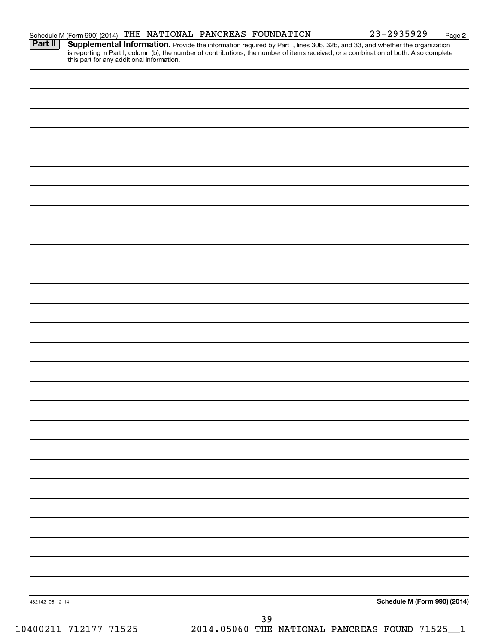|  |  |  |  |  | Schedule M (Form 990) (2014) THE NATIONAL PANCREAS FOUNDATION | 23-2935929 | Page |  |
|--|--|--|--|--|---------------------------------------------------------------|------------|------|--|
|--|--|--|--|--|---------------------------------------------------------------|------------|------|--|

Provide the information required by Part I, lines 30b, 32b, and 33, and whether the organization is reporting in Part I, column (b), the number of contributions, the number of items received, or a combination of both. Also complete this part for any additional information. **Part II Supplemental Information.** 

| 432142 08-12-14       | Schedule M (Form 990) (2014)                         |
|-----------------------|------------------------------------------------------|
|                       |                                                      |
|                       | 39<br>2014.05060 THE NATIONAL PANCREAS FOUND 71525_1 |
| 10400211 712177 71525 |                                                      |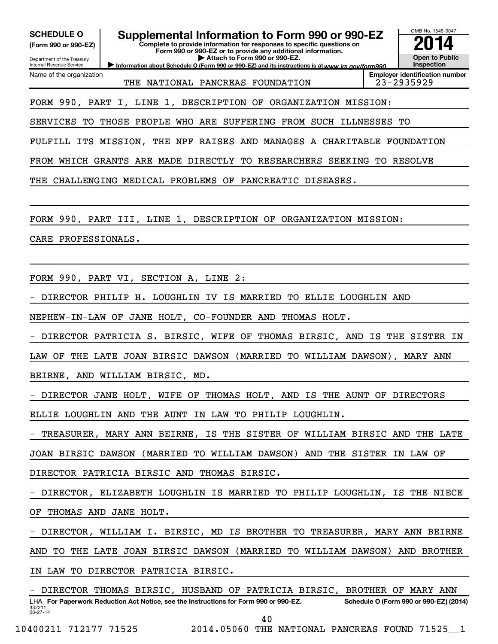| <b>SCHEDULE O</b><br>(Form 990 or 990-EZ)<br>Department of the Treasury<br>Internal Revenue Service | Supplemental Information to Form 990 or 990-EZ<br>Complete to provide information for responses to specific questions on<br>Form 990 or 990-EZ or to provide any additional information.<br>Attach to Form 990 or 990-EZ.<br>Information about Schedule O (Form 990 or 990-EZ) and its instructions is at www.irs.cov/form990. | OMB No. 1545-0047<br><b>Open to Public</b><br>Inspection |
|-----------------------------------------------------------------------------------------------------|--------------------------------------------------------------------------------------------------------------------------------------------------------------------------------------------------------------------------------------------------------------------------------------------------------------------------------|----------------------------------------------------------|
| Name of the organization                                                                            | THE NATIONAL PANCREAS FOUNDATION                                                                                                                                                                                                                                                                                               | <b>Employer identification number</b><br>23-2935929      |
|                                                                                                     | FORM 990, PART I, LINE 1, DESCRIPTION OF ORGANIZATION MISSION:                                                                                                                                                                                                                                                                 |                                                          |
|                                                                                                     | SERVICES TO THOSE PEOPLE WHO ARE SUFFERING FROM SUCH ILLNESSES TO                                                                                                                                                                                                                                                              |                                                          |
|                                                                                                     | FULFILL ITS MISSION, THE NPF RAISES AND MANAGES A CHARITABLE FOUNDATION                                                                                                                                                                                                                                                        |                                                          |
|                                                                                                     | FROM WHICH GRANTS ARE MADE DIRECTLY TO RESEARCHERS SEEKING TO RESOLVE                                                                                                                                                                                                                                                          |                                                          |
| THE                                                                                                 | CHALLENGING MEDICAL PROBLEMS OF PANCREATIC DISEASES.                                                                                                                                                                                                                                                                           |                                                          |
|                                                                                                     |                                                                                                                                                                                                                                                                                                                                |                                                          |
|                                                                                                     | FORM 990, PART III, LINE 1, DESCRIPTION OF ORGANIZATION MISSION:                                                                                                                                                                                                                                                               |                                                          |
| CARE PROFESSIONALS.                                                                                 |                                                                                                                                                                                                                                                                                                                                |                                                          |
|                                                                                                     |                                                                                                                                                                                                                                                                                                                                |                                                          |
|                                                                                                     | FORM 990, PART VI, SECTION A, LINE 2:                                                                                                                                                                                                                                                                                          |                                                          |
|                                                                                                     | DIRECTOR PHILIP H. LOUGHLIN IV IS MARRIED TO ELLIE LOUGHLIN AND                                                                                                                                                                                                                                                                |                                                          |
|                                                                                                     | NEPHEW-IN-LAW OF JANE HOLT, CO-FOUNDER AND THOMAS HOLT.                                                                                                                                                                                                                                                                        |                                                          |
|                                                                                                     | DIRECTOR PATRICIA S. BIRSIC, WIFE OF THOMAS BIRSIC, AND IS THE SISTER IN                                                                                                                                                                                                                                                       |                                                          |
| LAW OF                                                                                              | THE LATE JOAN BIRSIC DAWSON (MARRIED TO WILLIAM DAWSON), MARY ANN                                                                                                                                                                                                                                                              |                                                          |
|                                                                                                     | BEIRNE, AND WILLIAM BIRSIC, MD.                                                                                                                                                                                                                                                                                                |                                                          |
|                                                                                                     | - DIRECTOR JANE HOLT, WIFE OF THOMAS HOLT, AND IS THE AUNT OF DIRECTORS                                                                                                                                                                                                                                                        |                                                          |
|                                                                                                     | ELLIE LOUGHLIN AND THE AUNT IN LAW TO PHILIP LOUGHLIN.                                                                                                                                                                                                                                                                         |                                                          |
|                                                                                                     | - TREASURER, MARY ANN BEIRNE, IS THE SISTER OF WILLIAM BIRSIC AND THE LATE                                                                                                                                                                                                                                                     |                                                          |
|                                                                                                     | JOAN BIRSIC DAWSON (MARRIED TO WILLIAM DAWSON) AND THE SISTER IN LAW OF                                                                                                                                                                                                                                                        |                                                          |
|                                                                                                     | DIRECTOR PATRICIA BIRSIC AND THOMAS BIRSIC.                                                                                                                                                                                                                                                                                    |                                                          |
|                                                                                                     | - DIRECTOR, ELIZABETH LOUGHLIN IS MARRIED TO PHILIP LOUGHLIN, IS THE NIECE                                                                                                                                                                                                                                                     |                                                          |
| OF THOMAS AND JANE HOLT.                                                                            |                                                                                                                                                                                                                                                                                                                                |                                                          |
|                                                                                                     | - DIRECTOR, WILLIAM I. BIRSIC, MD IS BROTHER TO TREASURER, MARY ANN BEIRNE                                                                                                                                                                                                                                                     |                                                          |
|                                                                                                     | AND TO THE LATE JOAN BIRSIC DAWSON (MARRIED TO WILLIAM DAWSON) AND BROTHER                                                                                                                                                                                                                                                     |                                                          |
|                                                                                                     | IN LAW TO DIRECTOR PATRICIA BIRSIC.                                                                                                                                                                                                                                                                                            |                                                          |
| 432211<br>$08 - 27 - 14$                                                                            | - DIRECTOR THOMAS BIRSIC, HUSBAND OF PATRICIA BIRSIC, BROTHER OF MARY ANN<br>LHA For Paperwork Reduction Act Notice, see the Instructions for Form 990 or 990-EZ.                                                                                                                                                              | Schedule O (Form 990 or 990-EZ) (2014)                   |

40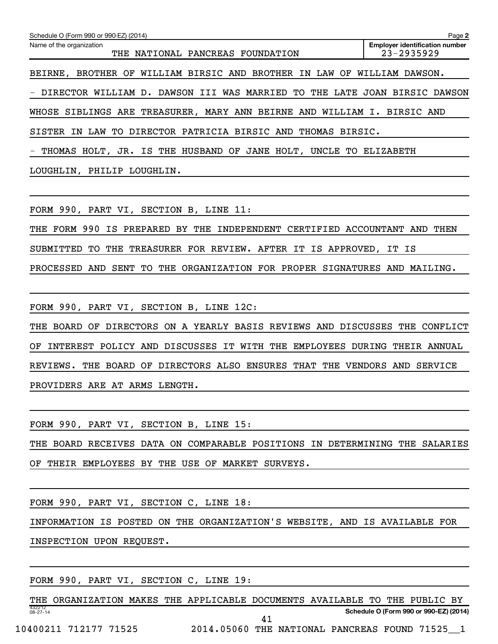| Schedule O (Form 990 or 990-EZ) (2014)                                                | Page 2                                                  |
|---------------------------------------------------------------------------------------|---------------------------------------------------------|
| Name of the organization<br>THE NATIONAL PANCREAS FOUNDATION                          | <b>Employer identification number</b><br>$23 - 2935929$ |
| BROTHER OF WILLIAM BIRSIC AND BROTHER IN LAW OF<br>BEIRNE,                            | WILLIAM DAWSON.                                         |
| DIRECTOR WILLIAM D. DAWSON III WAS MARRIED TO THE LATE JOAN BIRSIC DAWSON             |                                                         |
| WHOSE SIBLINGS ARE TREASURER, MARY ANN BEIRNE AND WILLIAM I. BIRSIC AND               |                                                         |
| SISTER IN LAW TO DIRECTOR PATRICIA BIRSIC AND THOMAS BIRSIC.                          |                                                         |
| THOMAS HOLT, JR. IS THE HUSBAND OF JANE HOLT, UNCLE TO ELIZABETH<br>$\qquad \qquad -$ |                                                         |
| LOUGHLIN, PHILIP LOUGHLIN.                                                            |                                                         |
|                                                                                       |                                                         |

FORM 990, PART VI, SECTION B, LINE 11:

THE FORM 990 IS PREPARED BY THE INDEPENDENT CERTIFIED ACCOUNTANT AND THEN SUBMITTED TO THE TREASURER FOR REVIEW. AFTER IT IS APPROVED, IT IS PROCESSED AND SENT TO THE ORGANIZATION FOR PROPER SIGNATURES AND MAILING.

FORM 990, PART VI, SECTION B, LINE 12C:

THE BOARD OF DIRECTORS ON A YEARLY BASIS REVIEWS AND DISCUSSES THE CONFLICT OF INTEREST POLICY AND DISCUSSES IT WITH THE EMPLOYEES DURING THEIR ANNUAL REVIEWS. THE BOARD OF DIRECTORS ALSO ENSURES THAT THE VENDORS AND SERVICE PROVIDERS ARE AT ARMS LENGTH.

FORM 990, PART VI, SECTION B, LINE 15:

THE BOARD RECEIVES DATA ON COMPARABLE POSITIONS IN DETERMINING THE SALARIES OF THEIR EMPLOYEES BY THE USE OF MARKET SURVEYS.

FORM 990, PART VI, SECTION C, LINE 18:

INFORMATION IS POSTED ON THE ORGANIZATION'S WEBSITE, AND IS AVAILABLE FOR

INSPECTION UPON REQUEST.

FORM 990, PART VI, SECTION C, LINE 19:

432212 08-27-14 **Schedule O (Form 990 or 990-EZ) (2014)** THE ORGANIZATION MAKES THE APPLICABLE DOCUMENTS AVAILABLE TO THE PUBLIC BY 41

10400211 712177 71525 2014.05060 THE NATIONAL PANCREAS FOUND 71525\_\_1